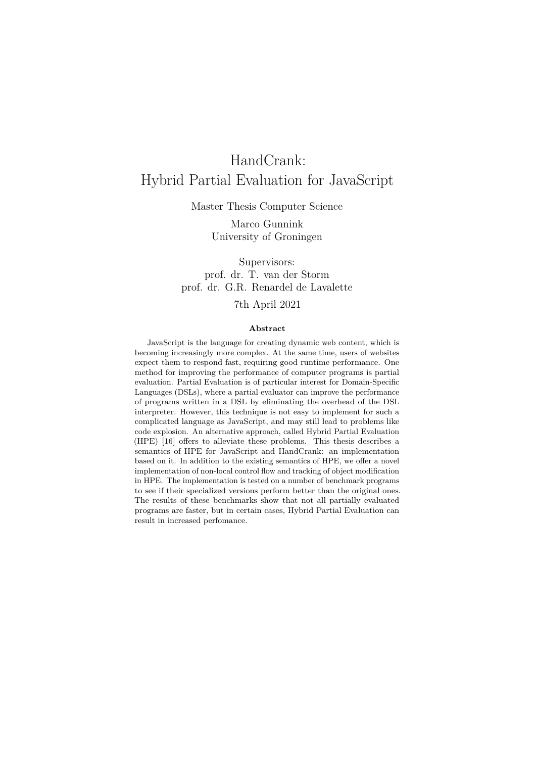# HandCrank: Hybrid Partial Evaluation for JavaScript

Master Thesis Computer Science

Marco Gunnink University of Groningen

Supervisors: prof. dr. T. van der Storm prof. dr. G.R. Renardel de Lavalette

## 7th April 2021

#### **Abstract**

JavaScript is the language for creating dynamic web content, which is becoming increasingly more complex. At the same time, users of websites expect them to respond fast, requiring good runtime performance. One method for improving the performance of computer programs is partial evaluation. Partial Evaluation is of particular interest for Domain-Specific Languages (DSLs), where a partial evaluator can improve the performance of programs written in a DSL by eliminating the overhead of the DSL interpreter. However, this technique is not easy to implement for such a complicated language as JavaScript, and may still lead to problems like code explosion. An alternative approach, called Hybrid Partial Evaluation (HPE) [\[16\]](#page-70-0) offers to alleviate these problems. This thesis describes a semantics of HPE for JavaScript and HandCrank: an implementation based on it. In addition to the existing semantics of HPE, we offer a novel implementation of non-local control flow and tracking of object modification in HPE. The implementation is tested on a number of benchmark programs to see if their specialized versions perform better than the original ones. The results of these benchmarks show that not all partially evaluated programs are faster, but in certain cases, Hybrid Partial Evaluation can result in increased perfomance.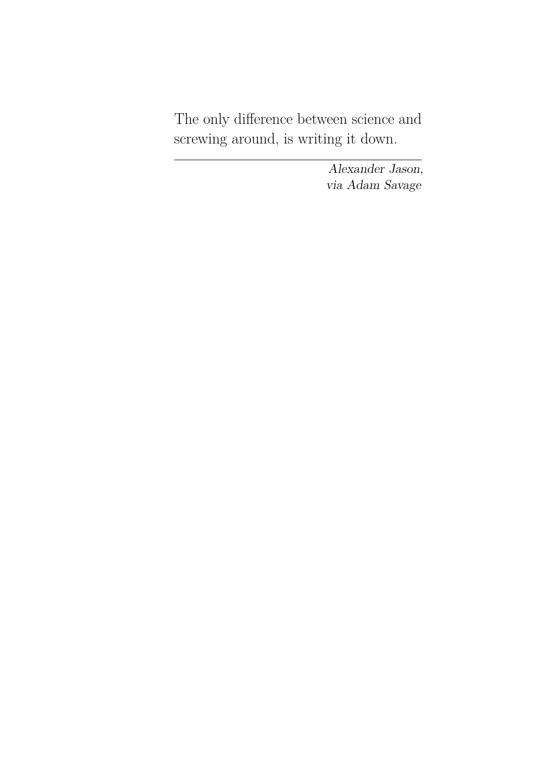The only difference between science and screwing around, is writing it down.

> Alexander Jason, via Adam Savage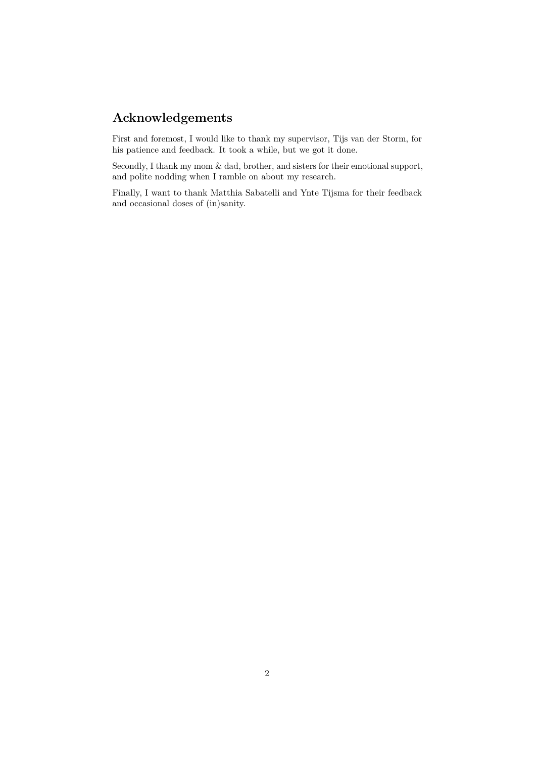# **Acknowledgements**

First and foremost, I would like to thank my supervisor, Tijs van der Storm, for his patience and feedback. It took a while, but we got it done.

Secondly, I thank my mom & dad, brother, and sisters for their emotional support, and polite nodding when I ramble on about my research.

Finally, I want to thank Matthia Sabatelli and Ynte Tijsma for their feedback and occasional doses of (in)sanity.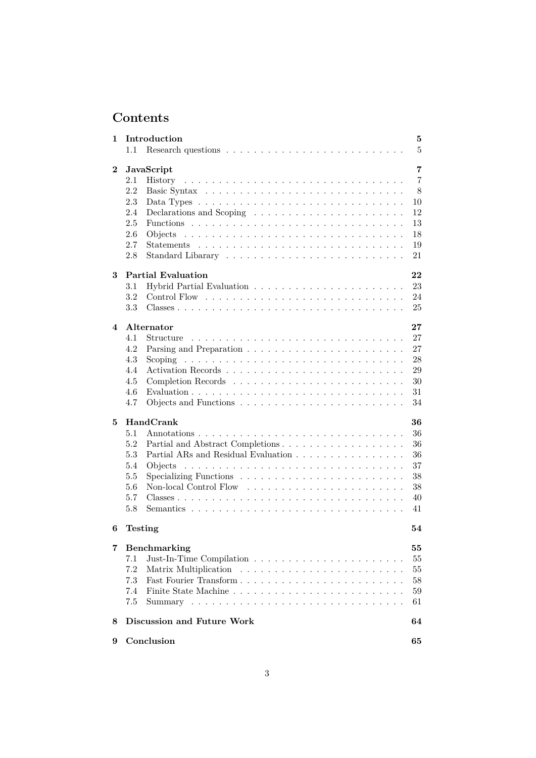# **Contents**

| 1                       | Introduction                                                                              | 5              |
|-------------------------|-------------------------------------------------------------------------------------------|----------------|
|                         | 1.1                                                                                       | $\overline{5}$ |
| $\bf{2}$                | JavaScript                                                                                | 7              |
|                         | 2.1                                                                                       | $\overline{7}$ |
|                         | 2.2                                                                                       | 8              |
|                         | 2.3<br>Data Types $\ldots \ldots \ldots \ldots \ldots \ldots \ldots \ldots \ldots \ldots$ | 10             |
|                         | 2.4                                                                                       | 12             |
|                         | 2.5                                                                                       | 13             |
|                         | 2.6<br>Objects                                                                            | 18             |
|                         | 2.7                                                                                       | 19             |
|                         | 2.8                                                                                       | 21             |
| 3                       | <b>Partial Evaluation</b>                                                                 | 22             |
|                         | 3.1                                                                                       | 23             |
|                         | 3.2                                                                                       | 24             |
|                         | 3.3                                                                                       | 25             |
| $\overline{\mathbf{4}}$ | Alternator                                                                                | 27             |
|                         | 4.1<br>Structure                                                                          | 27             |
|                         | 4.2                                                                                       | 27             |
|                         | 4.3                                                                                       | 28             |
|                         | 4.4                                                                                       | 29             |
|                         | 4.5                                                                                       | 30             |
|                         | 4.6                                                                                       | 31             |
|                         | 4.7                                                                                       | 34             |
| 5                       | HandCrank                                                                                 | 36             |
|                         | 5.1                                                                                       | 36             |
|                         | 5.2                                                                                       | 36             |
|                         | 5.3                                                                                       | 36             |
|                         | 5.4                                                                                       | 37             |
|                         | 5.5<br>Specializing Functions $\ldots \ldots \ldots \ldots \ldots \ldots \ldots \ldots$   | 38             |
|                         | 5.6                                                                                       | 38             |
|                         | 5.7                                                                                       | 40             |
|                         | 5.8                                                                                       | 41             |
| 6                       | <b>Testing</b>                                                                            | 54             |
| 7                       | Benchmarking                                                                              | 55             |
|                         | 7.1                                                                                       | 55             |
|                         | 7.2                                                                                       | 55             |
|                         | 7.3                                                                                       | 58             |
|                         | 7.4                                                                                       | 59             |
|                         | 7.5                                                                                       | 61             |
|                         |                                                                                           |                |
| 8                       | Discussion and Future Work                                                                | 64             |
| 9                       | Conclusion                                                                                | 65             |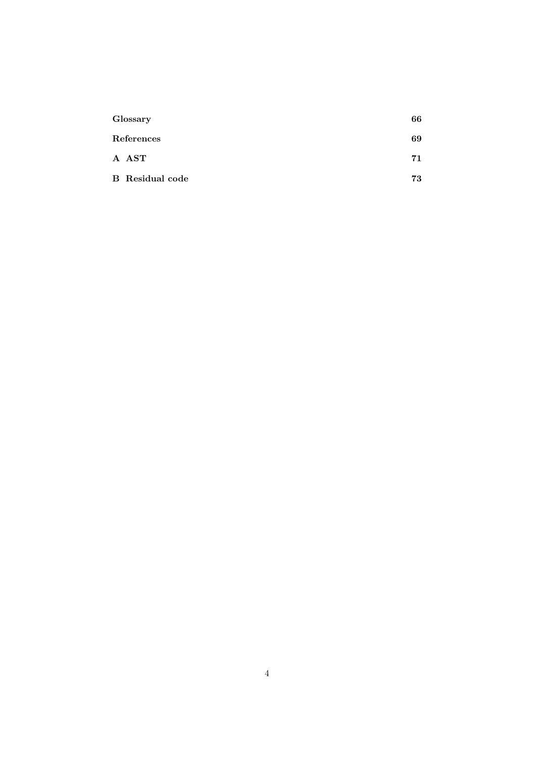| Glossary               | 66 |
|------------------------|----|
| References             | 69 |
| A AST                  | 71 |
| <b>B</b> Residual code | 73 |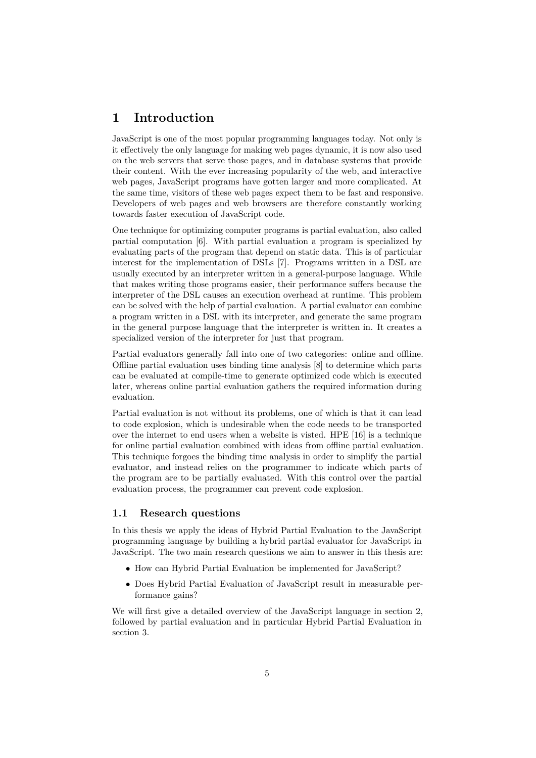# <span id="page-5-0"></span>**1 Introduction**

JavaScript is one of the most popular programming languages today. Not only is it effectively the only language for making web pages dynamic, it is now also used on the web servers that serve those pages, and in database systems that provide their content. With the ever increasing popularity of the web, and interactive web pages, JavaScript programs have gotten larger and more complicated. At the same time, visitors of these web pages expect them to be fast and responsive. Developers of web pages and web browsers are therefore constantly working towards faster execution of JavaScript code.

One technique for optimizing computer programs is partial evaluation, also called partial computation [\[6\]](#page-69-1). With partial evaluation a program is specialized by evaluating parts of the program that depend on static data. This is of particular interest for the implementation of DSLs [\[7\]](#page-69-2). Programs written in a DSL are usually executed by an interpreter written in a general-purpose language. While that makes writing those programs easier, their performance suffers because the interpreter of the DSL causes an execution overhead at runtime. This problem can be solved with the help of partial evaluation. A partial evaluator can combine a program written in a DSL with its interpreter, and generate the same program in the general purpose language that the interpreter is written in. It creates a specialized version of the interpreter for just that program.

Partial evaluators generally fall into one of two categories: online and offline. Offline partial evaluation uses binding time analysis [\[8\]](#page-69-3) to determine which parts can be evaluated at compile-time to generate optimized code which is executed later, whereas online partial evaluation gathers the required information during evaluation.

Partial evaluation is not without its problems, one of which is that it can lead to code explosion, which is undesirable when the code needs to be transported over the internet to end users when a website is visted. HPE [\[16\]](#page-70-0) is a technique for online partial evaluation combined with ideas from offline partial evaluation. This technique forgoes the binding time analysis in order to simplify the partial evaluator, and instead relies on the programmer to indicate which parts of the program are to be partially evaluated. With this control over the partial evaluation process, the programmer can prevent code explosion.

#### <span id="page-5-1"></span>**1.1 Research questions**

In this thesis we apply the ideas of Hybrid Partial Evaluation to the JavaScript programming language by building a hybrid partial evaluator for JavaScript in JavaScript. The two main research questions we aim to answer in this thesis are:

- How can Hybrid Partial Evaluation be implemented for JavaScript?
- Does Hybrid Partial Evaluation of JavaScript result in measurable performance gains?

We will first give a detailed overview of the JavaScript language in section [2,](#page-7-0) followed by partial evaluation and in particular Hybrid Partial Evaluation in section [3.](#page-22-0)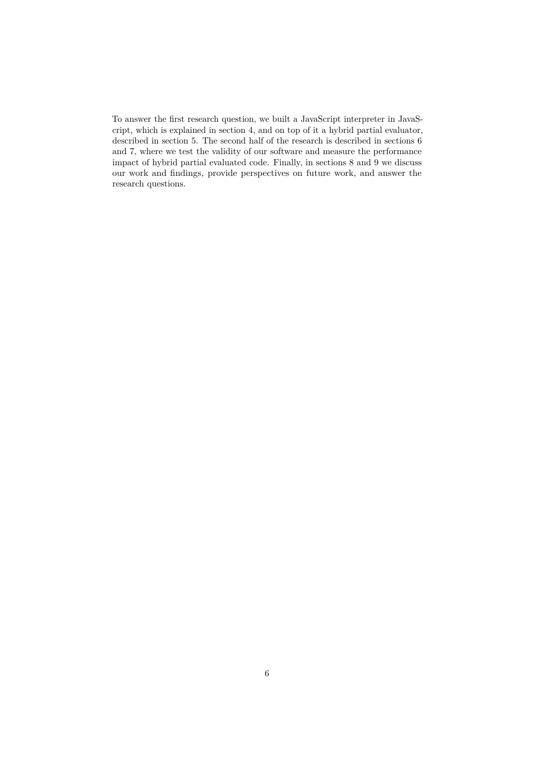To answer the first research question, we built a JavaScript interpreter in JavaScript, which is explained in section [4,](#page-27-0) and on top of it a hybrid partial evaluator, described in section [5.](#page-36-0) The second half of the research is described in sections [6](#page-54-0) and [7,](#page-55-0) where we test the validity of our software and measure the performance impact of hybrid partial evaluated code. Finally, in sections [8](#page-64-0) and [9](#page-65-0) we discuss our work and findings, provide perspectives on future work, and answer the research questions.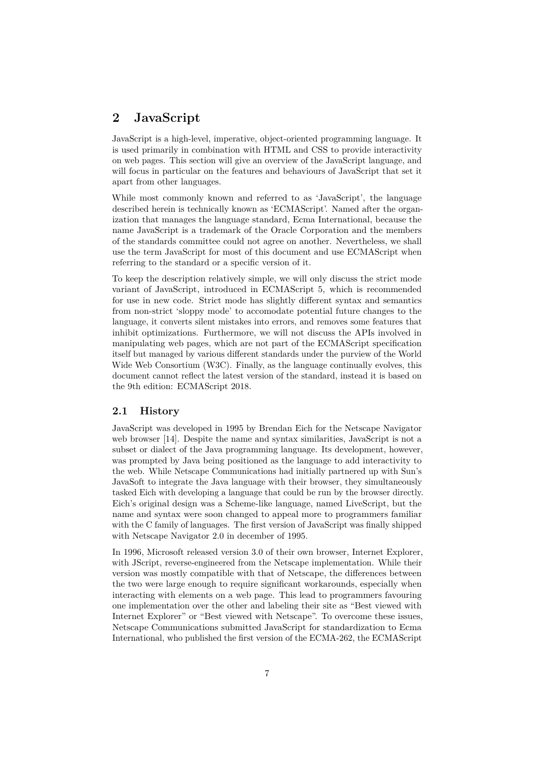# <span id="page-7-0"></span>**2 JavaScript**

JavaScript is a high-level, imperative, object-oriented programming language. It is used primarily in combination with HTML and CSS to provide interactivity on web pages. This section will give an overview of the JavaScript language, and will focus in particular on the features and behaviours of JavaScript that set it apart from other languages.

While most commonly known and referred to as 'JavaScript', the language described herein is technically known as 'ECMAScript'. Named after the organization that manages the language standard, Ecma International, because the name JavaScript is a trademark of the Oracle Corporation and the members of the standards committee could not agree on another. Nevertheless, we shall use the term JavaScript for most of this document and use ECMAScript when referring to the standard or a specific version of it.

To keep the description relatively simple, we will only discuss the strict mode variant of JavaScript, introduced in ECMAScript 5, which is recommended for use in new code. Strict mode has slightly different syntax and semantics from non-strict 'sloppy mode' to accomodate potential future changes to the language, it converts silent mistakes into errors, and removes some features that inhibit optimizations. Furthermore, we will not discuss the APIs involved in manipulating web pages, which are not part of the ECMAScript specification itself but managed by various different standards under the purview of the World Wide Web Consortium (W3C). Finally, as the language continually evolves, this document cannot reflect the latest version of the standard, instead it is based on the 9th edition: ECMAScript 2018.

#### <span id="page-7-1"></span>**2.1 History**

JavaScript was developed in 1995 by Brendan Eich for the Netscape Navigator web browser [\[14\]](#page-70-1). Despite the name and syntax similarities, JavaScript is not a subset or dialect of the Java programming language. Its development, however, was prompted by Java being positioned as the language to add interactivity to the web. While Netscape Communications had initially partnered up with Sun's JavaSoft to integrate the Java language with their browser, they simultaneously tasked Eich with developing a language that could be run by the browser directly. Eich's original design was a Scheme-like language, named LiveScript, but the name and syntax were soon changed to appeal more to programmers familiar with the C family of languages. The first version of JavaScript was finally shipped with Netscape Navigator 2.0 in december of 1995.

In 1996, Microsoft released version 3.0 of their own browser, Internet Explorer, with JScript, reverse-engineered from the Netscape implementation. While their version was mostly compatible with that of Netscape, the differences between the two were large enough to require significant workarounds, especially when interacting with elements on a web page. This lead to programmers favouring one implementation over the other and labeling their site as "Best viewed with Internet Explorer" or "Best viewed with Netscape". To overcome these issues, Netscape Communications submitted JavaScript for standardization to Ecma International, who published the first version of the ECMA-262, the ECMAScript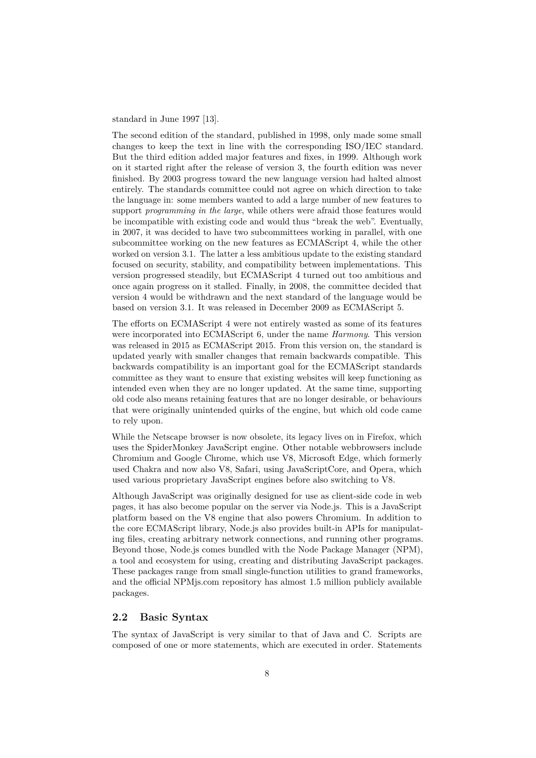standard in June 1997 [\[13\]](#page-69-4).

The second edition of the standard, published in 1998, only made some small changes to keep the text in line with the corresponding ISO/IEC standard. But the third edition added major features and fixes, in 1999. Although work on it started right after the release of version 3, the fourth edition was never finished. By 2003 progress toward the new language version had halted almost entirely. The standards committee could not agree on which direction to take the language in: some members wanted to add a large number of new features to support *programming in the large*, while others were afraid those features would be incompatible with existing code and would thus "break the web". Eventually, in 2007, it was decided to have two subcommittees working in parallel, with one subcommittee working on the new features as ECMAScript 4, while the other worked on version 3.1. The latter a less ambitious update to the existing standard focused on security, stability, and compatibility between implementations. This version progressed steadily, but ECMAScript 4 turned out too ambitious and once again progress on it stalled. Finally, in 2008, the committee decided that version 4 would be withdrawn and the next standard of the language would be based on version 3.1. It was released in December 2009 as ECMAScript 5.

The efforts on ECMAScript 4 were not entirely wasted as some of its features were incorporated into ECMAScript 6, under the name *Harmony*. This version was released in 2015 as ECMAScript 2015. From this version on, the standard is updated yearly with smaller changes that remain backwards compatible. This backwards compatibility is an important goal for the ECMAScript standards committee as they want to ensure that existing websites will keep functioning as intended even when they are no longer updated. At the same time, supporting old code also means retaining features that are no longer desirable, or behaviours that were originally unintended quirks of the engine, but which old code came to rely upon.

While the Netscape browser is now obsolete, its legacy lives on in Firefox, which uses the SpiderMonkey JavaScript engine. Other notable webbrowsers include Chromium and Google Chrome, which use V8, Microsoft Edge, which formerly used Chakra and now also V8, Safari, using JavaScriptCore, and Opera, which used various proprietary JavaScript engines before also switching to V8.

Although JavaScript was originally designed for use as client-side code in web pages, it has also become popular on the server via Node.js. This is a JavaScript platform based on the V8 engine that also powers Chromium. In addition to the core ECMAScript library, Node.js also provides built-in APIs for manipulating files, creating arbitrary network connections, and running other programs. Beyond those, Node.js comes bundled with the Node Package Manager (NPM), a tool and ecosystem for using, creating and distributing JavaScript packages. These packages range from small single-function utilities to grand frameworks, and the official NPMjs.com repository has almost 1.5 million publicly available packages.

#### <span id="page-8-0"></span>**2.2 Basic Syntax**

The syntax of JavaScript is very similar to that of Java and C. Scripts are composed of one or more statements, which are executed in order. Statements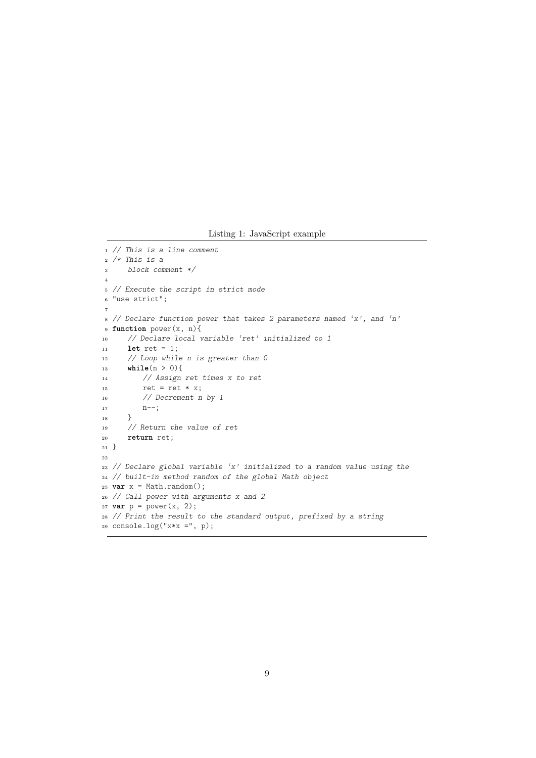Listing 1: JavaScript example

```
1 // This is a line comment
2 /* This is a
3 block comment */
 4
5 // Execute the script in strict mode
6 "use strict";
 7
8 // Declare function power that takes 2 parameters named 'x', and 'n'
9 function power(x, n){
10 // Declare local variable 'ret' initialized to 1
11 let ret = 1;
12 // Loop while n is greater than 0
13 while(n > 0){
14 // Assign ret times x to ret
15 ret = ret * x;16 // Decrement n by 1
\label{eq:17} \texttt{n--};18 }
19 // Return the value of ret
20 return ret;
_{21} \}22
23 // Declare global variable 'x' initialized to a random value using the
24 // built-in method random of the global Math object
25 var x = Math.random();
26 // Call power with arguments x and 2
27 var p = power(x, 2);
28 // Print the result to the standard output, prefixed by a string
29 console.log("x*x =", p);
```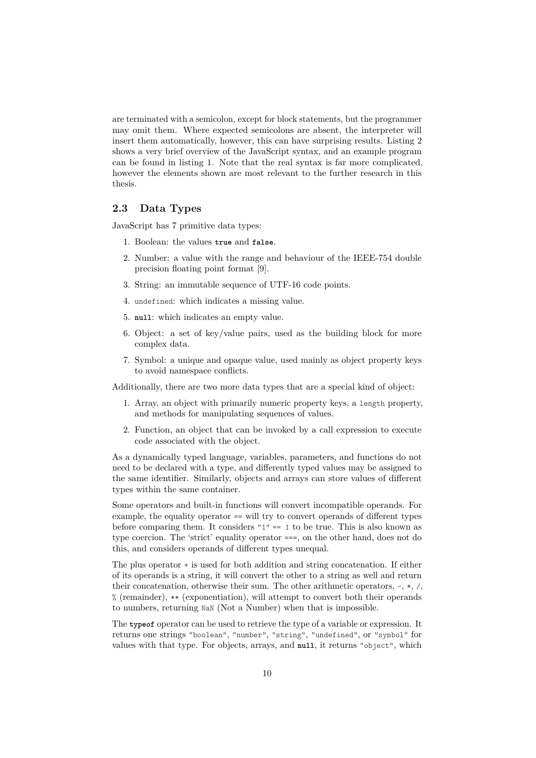are terminated with a semicolon, except for block statements, but the programmer may omit them. Where expected semicolons are absent, the interpreter will insert them automatically, however, this can have surprising results. Listing [2](#page-11-0) shows a very brief overview of the JavaScript syntax, and an example program can be found in listing [1.](#page-9-0) Note that the real syntax is far more complicated, however the elements shown are most relevant to the further research in this thesis.

## <span id="page-10-0"></span>**2.3 Data Types**

JavaScript has 7 primitive data types:

- 1. Boolean: the values **true** and **false**.
- 2. Number: a value with the range and behaviour of the IEEE-754 double precision floating point format [\[9\]](#page-69-5).
- 3. String: an immutable sequence of UTF-16 code points.
- 4. undefined: which indicates a missing value.
- 5. **null**: which indicates an empty value.
- 6. Object: a set of key/value pairs, used as the building block for more complex data.
- 7. Symbol: a unique and opaque value, used mainly as object property keys to avoid namespace conflicts.

Additionally, there are two more data types that are a special kind of object:

- 1. Array, an object with primarily numeric property keys, a length property, and methods for manipulating sequences of values.
- 2. Function, an object that can be invoked by a call expression to execute code associated with the object.

As a dynamically typed language, variables, parameters, and functions do not need to be declared with a type, and differently typed values may be assigned to the same identifier. Similarly, objects and arrays can store values of different types within the same container.

Some operators and built-in functions will convert incompatible operands. For example, the equality operator == will try to convert operands of different types before comparing them. It considers " $1" == 1$  to be true. This is also known as type coercion. The 'strict' equality operator ===, on the other hand, does not do this, and considers operands of different types unequal.

The plus operator + is used for both addition and string concatenation. If either of its operands is a string, it will convert the other to a string as well and return their concatenation, otherwise their sum. The other arithmetic operators, -, \*, /, % (remainder), \*\* (exponentiation), will attempt to convert both their operands to numbers, returning NaN (Not a Number) when that is impossible.

The **typeof** operator can be used to retrieve the type of a variable or expression. It returns one strings "boolean", "number", "string", "undefined", or "symbol" for values with that type. For objects, arrays, and **null**, it returns "object", which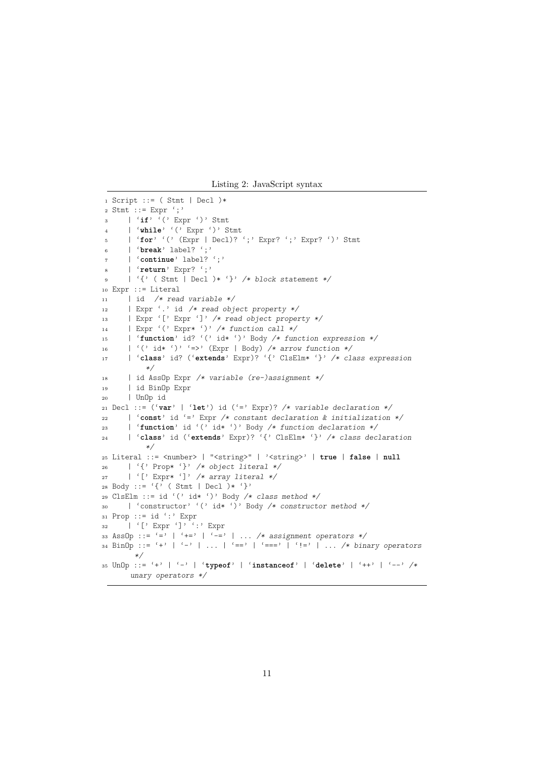Listing 2: JavaScript syntax

```
1 Script ::= ( Stmt | Decl )*
2 Stmt ::= Expr ';'
3 | 'if' '(' Expr ')' Stmt
      4 | 'while' '(' Expr ')' Stmt
5 | 'for' '(' (Expr | Decl)? ';' Expr? ';' Expr? ')' Stmt
6 | 'break' label? ';'
      7 | 'continue' label? ';'
     8 | 'return' Expr? ';'
9 | '{' ( Stmt | Decl )* '}' /* block statement */
10 Expr ::= Literal
11 | id /* read variable */
12 | Expr '.' id /* read object property */
13 | Expr '[' Expr ']' /* read object property */
14 | Expr '(' Expr* ')' /* function call */
15 | 'function' id? '(' id* ')' Body /* function expression */
16 | '(' id* ')' '=>' (Expr | Body) /* arrow function */
17 | 'class' id? ('extends' Expr)? '{' ClsElm* '}' /* class expression
         */
18 | id AssOp Expr /* variable (re-)assignment */
19 | id BinOp Expr
20 | UnOp id
21 Decl ::= ('var' | 'let') id ('=' Expr)? /* variable declaration */
22 | 'const' id '=' Expr /* constant declaration & initialization */
23 | 'function' id '(' id* ')' Body /* function declaration */
24 | 'class' id ('extends' Expr)? '{' ClsElm* '}' /* class declaration
         */
25 Literal ::= <number> | "<string>" | '<string>' | true | false | null
26 | '{' Prop* '}' /* object literal */
27 | '[' Expr* ']' /* array literal */
28 Body ::= '{' ( Stmt | Decl )* '}'
29 ClsElm ::= id '(' id* ')' Body /* class method */
30 | 'constructor' '(' id* ')' Body /* constructor method */
31 Prop ::= id ':' Expr
32 | '[' Expr ']' ':' Expr
33 AssOp ::= '=' | '+=' | '-=' | ... /* assignment operators */
34 BinOp ::= '+' | '-' | ... | '==' | '===' | '!=' | ... /* binary operators
      */
35 UnOp ::= '+' | '-' | 'typeof' | 'instanceof' | 'delete' | '++' | '--' /*
      unary operators */
```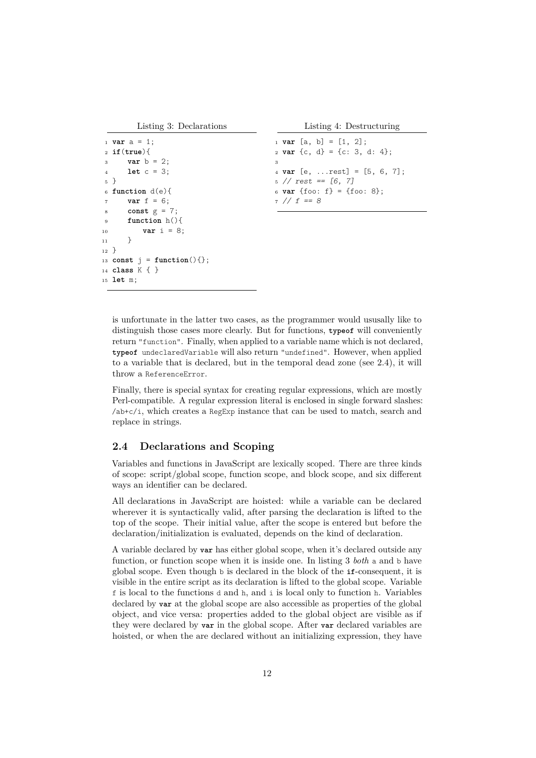Listing 3: Declarations

```
Listing 4: Destructuring
```

```
1 var a = 1;
2 if(true){
3 var b = 2;
4 let c = 3;
5 }
6 function d(e){
     var f = 6;8 const g = 7;
9 function h(){
10 var i = 8;
11 }
12 }
13 const j = function(){};
14 class K { }
15 let m;
```
<span id="page-12-2"></span> **var** [a, b] = [1, 2]; **var** {c, d} = {c: 3, d: 4}; 3 **var** [e, ...rest] = [5, 6, 7]; // rest ==  $[6, 7]$  **var** {foo: f} = {foo: 8};  $7$  //  $f = 8$ 

is unfortunate in the latter two cases, as the programmer would ususally like to distinguish those cases more clearly. But for functions, **typeof** will conveniently return "function". Finally, when applied to a variable name which is not declared, **typeof** undeclaredVariable will also return "undefined". However, when applied to a variable that is declared, but in the temporal dead zone (see [2.4\)](#page-12-0), it will throw a ReferenceError.

Finally, there is special syntax for creating regular expressions, which are mostly Perl-compatible. A regular expression literal is enclosed in single forward slashes: /ab+c/i, which creates a RegExp instance that can be used to match, search and replace in strings.

#### <span id="page-12-0"></span>**2.4 Declarations and Scoping**

Variables and functions in JavaScript are lexically scoped. There are three kinds of scope: script/global scope, function scope, and block scope, and six different ways an identifier can be declared.

All declarations in JavaScript are hoisted: while a variable can be declared wherever it is syntactically valid, after parsing the declaration is lifted to the top of the scope. Their initial value, after the scope is entered but before the declaration/initialization is evaluated, depends on the kind of declaration.

A variable declared by **var** has either global scope, when it's declared outside any function, or function scope when it is inside one. In listing [3](#page-12-1) *both* a and b have global scope. Even though b is declared in the block of the **if**-consequent, it is visible in the entire script as its declaration is lifted to the global scope. Variable f is local to the functions d and h, and i is local only to function h. Variables declared by **var** at the global scope are also accessible as properties of the global object, and vice versa: properties added to the global object are visible as if they were declared by **var** in the global scope. After **var** declared variables are hoisted, or when the are declared without an initializing expression, they have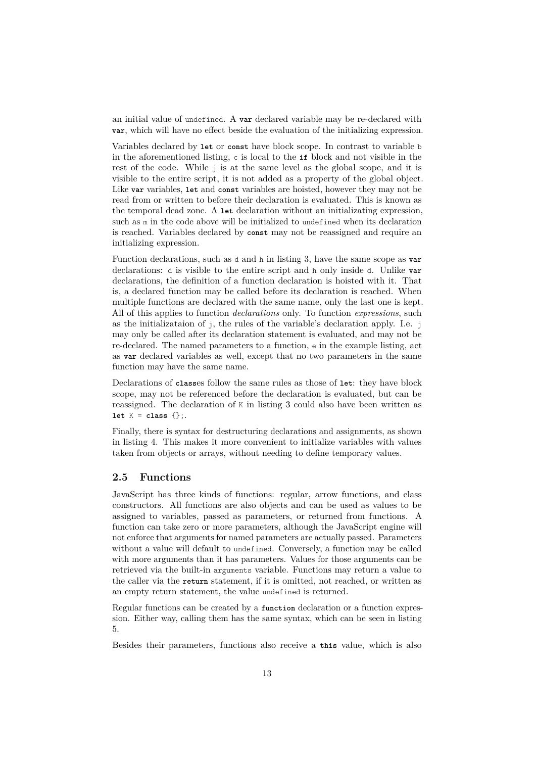an initial value of undefined. A **var** declared variable may be re-declared with **var**, which will have no effect beside the evaluation of the initializing expression.

Variables declared by **let** or **const** have block scope. In contrast to variable b in the aforementioned listing, c is local to the **if** block and not visible in the rest of the code. While j is at the same level as the global scope, and it is visible to the entire script, it is not added as a property of the global object. Like **var** variables, **let** and **const** variables are hoisted, however they may not be read from or written to before their declaration is evaluated. This is known as the temporal dead zone. A **let** declaration without an initializating expression, such as m in the code above will be initialized to undefined when its declaration is reached. Variables declared by **const** may not be reassigned and require an initializing expression.

Function declarations, such as d and h in listing [3,](#page-12-1) have the same scope as **var** declarations: d is visible to the entire script and h only inside d. Unlike **var** declarations, the definition of a function declaration is hoisted with it. That is, a declared function may be called before its declaration is reached. When multiple functions are declared with the same name, only the last one is kept. All of this applies to function *declarations* only. To function *expressions*, such as the initializataion of j, the rules of the variable's declaration apply. I.e. j may only be called after its declaration statement is evaluated, and may not be re-declared. The named parameters to a function, e in the example listing, act as **var** declared variables as well, except that no two parameters in the same function may have the same name.

Declarations of **class**es follow the same rules as those of **let**: they have block scope, may not be referenced before the declaration is evaluated, but can be reassigned. The declaration of K in listing [3](#page-12-1) could also have been written as **let** K = **class** {};.

Finally, there is syntax for destructuring declarations and assignments, as shown in listing [4.](#page-12-2) This makes it more convenient to initialize variables with values taken from objects or arrays, without needing to define temporary values.

#### <span id="page-13-0"></span>**2.5 Functions**

JavaScript has three kinds of functions: regular, arrow functions, and class constructors. All functions are also objects and can be used as values to be assigned to variables, passed as parameters, or returned from functions. A function can take zero or more parameters, although the JavaScript engine will not enforce that arguments for named parameters are actually passed. Parameters without a value will default to undefined. Conversely, a function may be called with more arguments than it has parameters. Values for those arguments can be retrieved via the built-in arguments variable. Functions may return a value to the caller via the **return** statement, if it is omitted, not reached, or written as an empty return statement, the value undefined is returned.

Regular functions can be created by a **function** declaration or a function expression. Either way, calling them has the same syntax, which can be seen in listing [5.](#page-14-0)

Besides their parameters, functions also receive a **this** value, which is also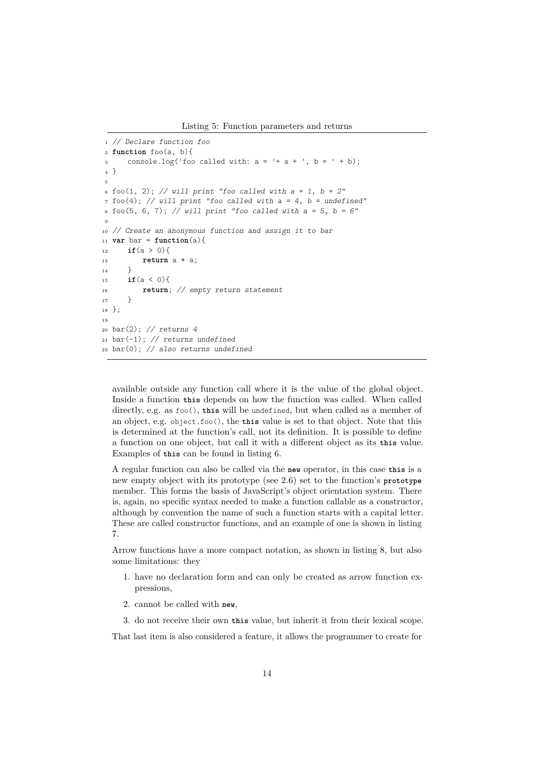Listing 5: Function parameters and returns

```
1 // Declare function foo
2 function foo(a, b){
3 console.log('foo called with: a = '+ a + ', b = ' + b);
4 }
5
6 foo(1, 2); // will print "foo called with a = 1, b = 2"
7 foo(4); // will print "foo called with a = 4, b = undefined"
s \text{foo}(5, 6, 7); // will print "foo called with a = 5, b = 6"9
10 // Create an anonymous function and assign it to bar
11 var bar = function(a){
12 if(a > 0){
13 return a * a;
14 }
15 if(a < 0){
16 return; // empty return statement
17 }
18 };
19
20 bar(2); // returns 4
21 bar(-1); // returns undefined
22 bar(0); // also returns undefined
```
available outside any function call where it is the value of the global object. Inside a function **this** depends on how the function was called. When called directly, e.g. as foo(), this will be undefined, but when called as a member of an object, e.g. object.foo(), the **this** value is set to that object. Note that this is determined at the function's call, not its definition. It is possible to define a function on one object, but call it with a different object as its **this** value. Examples of **this** can be found in listing [6.](#page-15-0)

A regular function can also be called via the **new** operator, in this case **this** is a new empty object with its prototype (see [2.6\)](#page-18-0) set to the function's **prototype** member. This forms the basis of JavaScript's object orientation system. There is, again, no specific syntax needed to make a function callable as a constructor, although by convention the name of such a function starts with a capital letter. These are called constructor functions, and an example of one is shown in listing [7.](#page-15-1)

Arrow functions have a more compact notation, as shown in listing [8,](#page-16-0) but also some limitations: they

- 1. have no declaration form and can only be created as arrow function expressions,
- 2. cannot be called with **new**,
- 3. do not receive their own **this** value, but inherit it from their lexical scope.

That last item is also considered a feature, it allows the programmer to create for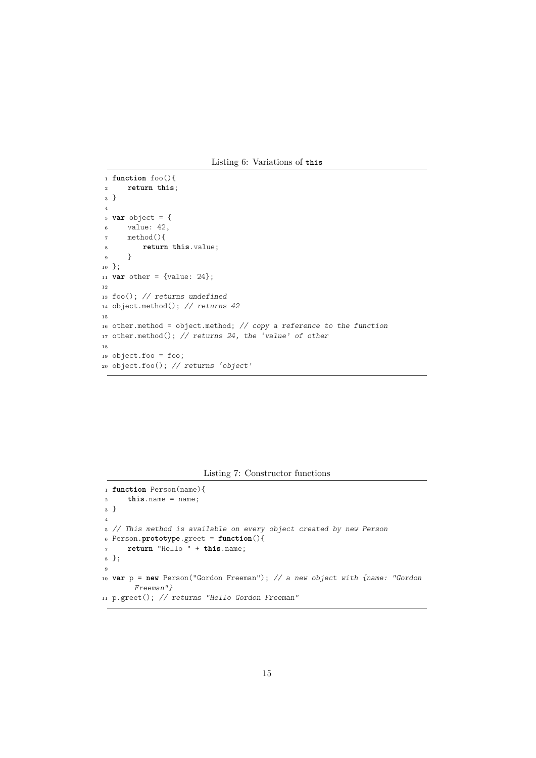Listing 6: Variations of **this**

```
1 function foo(){
2 return this;
3 }
4
5 var object = {
6 value: 42,
7 method(){
8 return this.value;
9 }
10 };
11 var other = {value: 24};
12
13 foo(); // returns undefined
14 object.method(); // returns 42
15
16 other.method = object.method; // copy a reference to the function
17 other.method(); // returns 24, the 'value' of other
18
19 object.foo = foo;
20 object.foo(); // returns 'object'
```
Listing 7: Constructor functions

```
1 function Person(name){
2 this.name = name;
3 }
4
5 // This method is available on every object created by new Person
6 Person.prototype.greet = function(){
7 return "Hello " + this.name;
8 };
9
10 var p = new Person("Gordon Freeman"); // a new object with {name: "Gordon
       Freeman"}
```

```
11 p.greet(); // returns "Hello Gordon Freeman"
```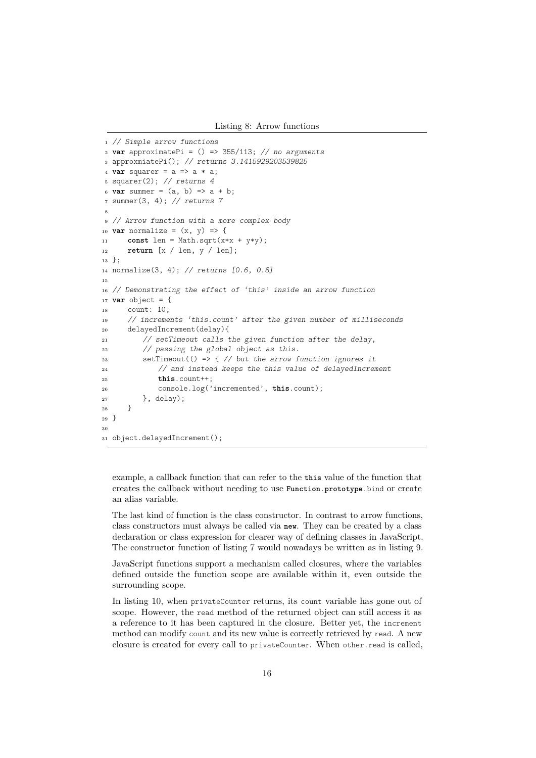```
1 // Simple arrow functions
2 var approximatePi = () => 355/113; // no arguments
3 approxmiatePi(); // returns 3.1415929203539825
4 var squarer = a => a * a;
5 squarer(2); // returns 4
6 var summer = (a, b) => a + b;
7 summer(3, 4); // returns 7
8
9 // Arrow function with a more complex body
10 var normalize = (x, y) => {
11 const len = Math.sqrt(x*x + y*y);
12 return [x / len, y / len];
13 };
14 normalize(3, 4); // returns [0.6, 0.8]
15
16 // Demonstrating the effect of 'this' inside an arrow function
17 var object = {
18 count: 10,
19 // increments 'this.count' after the given number of milliseconds
20 delayedIncrement(delay){
21 // setTimeout calls the given function after the delay,
22 // passing the global object as this.
23 setTimeout(() => \frac{1}{2} // but the arrow function ignores it
24 // and instead keeps the this value of delayedIncrement
25 this.count++;
26 console.log('incremented', this.count);
27 }, delay);
28 }
_{29} \}30
31 object.delayedIncrement();
```
example, a callback function that can refer to the **this** value of the function that creates the callback without needing to use **Function**.**prototype**.bind or create an alias variable.

The last kind of function is the class constructor. In contrast to arrow functions, class constructors must always be called via **new**. They can be created by a class declaration or class expression for clearer way of defining classes in JavaScript. The constructor function of listing [7](#page-15-1) would nowadays be written as in listing [9.](#page-17-0)

JavaScript functions support a mechanism called closures, where the variables defined outside the function scope are available within it, even outside the surrounding scope.

In listing [10,](#page-17-1) when privateCounter returns, its count variable has gone out of scope. However, the read method of the returned object can still access it as a reference to it has been captured in the closure. Better yet, the increment method can modify count and its new value is correctly retrieved by read. A new closure is created for every call to privateCounter. When other.read is called,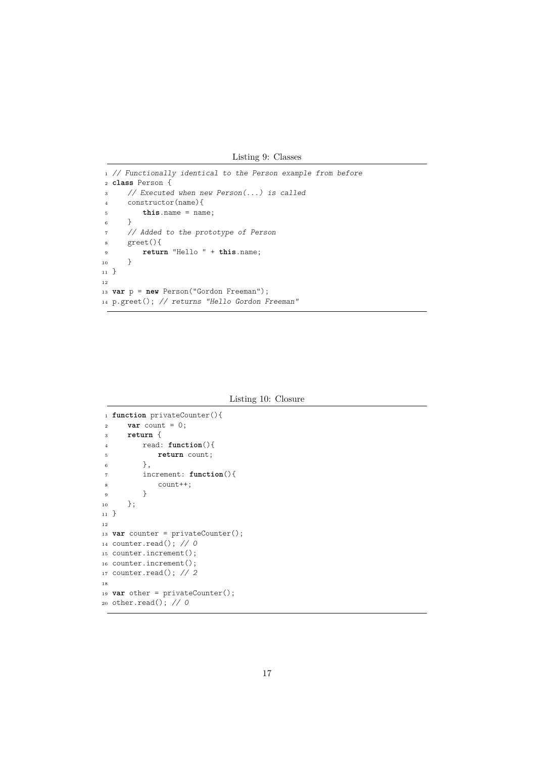Listing 9: Classes

```
1 // Functionally identical to the Person example from before
2 class Person {
3 // Executed when new Person(...) is called
4 constructor(name){
5 this.name = name;
6 }
7 // Added to the prototype of Person
8 greet(){
9 return "Hello " + this.name;
_{10} \qquad \}_{11} \}12
13 var p = new Person("Gordon Freeman");
14 p.greet(); // returns "Hello Gordon Freeman"
```
Listing 10: Closure

```
1 function privateCounter(){
vax count = 0;
3 return {
4 read: function(){
5 return count;
6  },
7 increment: function(){
8 count++;
9 }
10 };
_{11} \}12
13 var counter = privateCounter();
14 counter.read(); // 0
15 counter.increment();
16 counter.increment();
17 counter.read(); // 2
18
19 var other = privateCounter();
20 other.read(); // 0
```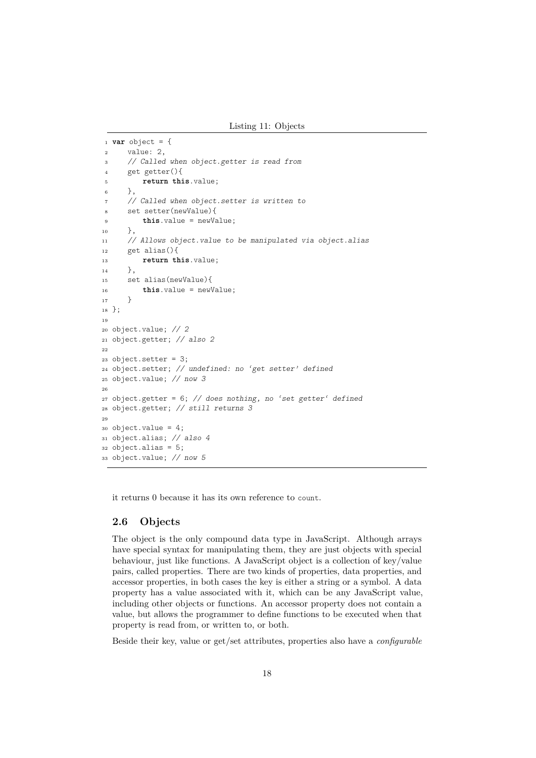Listing 11: Objects

```
1 var object = {
2 value: 2,
3 // Called when object.getter is read from
4 get getter(){
5 return this.value;
6 },
7 // Called when object.setter is written to
8 set setter(newValue){
9 this.value = newValue;
10 \quad \frac{\ }{},
11 // Allows object.value to be manipulated via object.alias
12 get alias(){
13 return this.value;
14 },
15 set alias(newValue){
16 this.value = newValue;
17 }
18 };
19
20 object.value; // 2
21 object.getter; // also 2
22
23 object. setter = 3;
24 object.setter; // undefined: no 'get setter' defined
25 object.value; // now 3
26
27 object.getter = 6; // does nothing, no 'set getter' defined
28 object.getter; // still returns 3
29
30 object.value = 4;
31 object.alias; // also 4
32 object.alias = 5;
33 object.value; // now 5
```
it returns 0 because it has its own reference to count.

## <span id="page-18-0"></span>**2.6 Objects**

The object is the only compound data type in JavaScript. Although arrays have special syntax for manipulating them, they are just objects with special behaviour, just like functions. A JavaScript object is a collection of key/value pairs, called properties. There are two kinds of properties, data properties, and accessor properties, in both cases the key is either a string or a symbol. A data property has a value associated with it, which can be any JavaScript value, including other objects or functions. An accessor property does not contain a value, but allows the programmer to define functions to be executed when that property is read from, or written to, or both.

Beside their key, value or get/set attributes, properties also have a *configurable*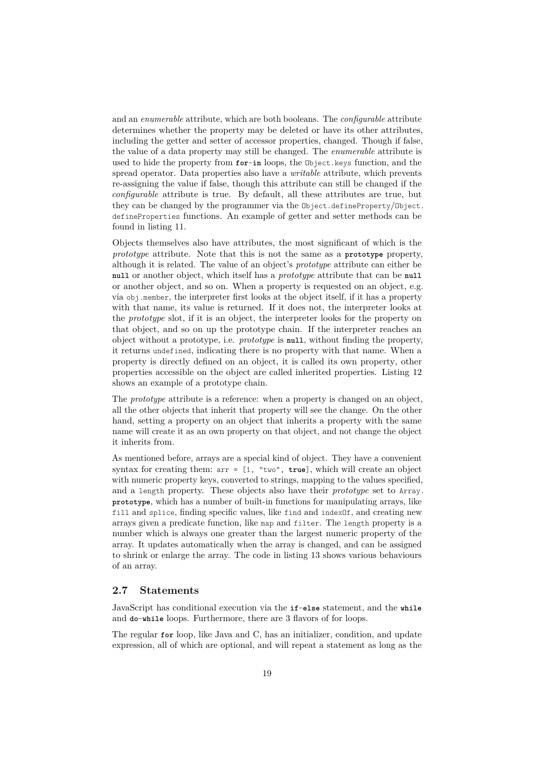and an *enumerable* attribute, which are both booleans. The *configurable* attribute determines whether the property may be deleted or have its other attributes, including the getter and setter of accessor properties, changed. Though if false, the value of a data property may still be changed. The *enumerable* attribute is used to hide the property from **for**-**in** loops, the Object.keys function, and the spread operator. Data properties also have a *writable* attribute, which prevents re-assigning the value if false, though this attribute can still be changed if the *configurable* attribute is true. By default, all these attributes are true, but they can be changed by the programmer via the Object.defineProperty/Object. defineProperties functions. An example of getter and setter methods can be found in listing [11.](#page-18-1)

Objects themselves also have attributes, the most significant of which is the *prototype* attribute. Note that this is not the same as a **prototype** property, although it is related. The value of an object's *prototype* attribute can either be **null** or another object, which itself has a *prototype* attribute that can be **null** or another object, and so on. When a property is requested on an object, e.g. via obj.member, the interpreter first looks at the object itself, if it has a property with that name, its value is returned. If it does not, the interpreter looks at the *prototype* slot, if it is an object, the interpreter looks for the property on that object, and so on up the prototype chain. If the interpreter reaches an object without a prototype, i.e. *prototype* is **null**, without finding the property, it returns undefined, indicating there is no property with that name. When a property is directly defined on an object, it is called its own property, other properties accessible on the object are called inherited properties. Listing [12](#page-20-0) shows an example of a prototype chain.

The *prototype* attribute is a reference: when a property is changed on an object, all the other objects that inherit that property will see the change. On the other hand, setting a property on an object that inherits a property with the same name will create it as an own property on that object, and not change the object it inherits from.

As mentioned before, arrays are a special kind of object. They have a convenient syntax for creating them: arr = [1, "two", **true**], which will create an object with numeric property keys, converted to strings, mapping to the values specified. and a length property. These objects also have their *prototype* set to Array. **prototype**, which has a number of built-in functions for manipulating arrays, like fill and splice, finding specific values, like find and indexOf, and creating new arrays given a predicate function, like map and filter. The length property is a number which is always one greater than the largest numeric property of the array. It updates automatically when the array is changed, and can be assigned to shrink or enlarge the array. The code in listing [13](#page-20-1) shows various behaviours of an array.

## <span id="page-19-0"></span>**2.7 Statements**

JavaScript has conditional execution via the **if**-**else** statement, and the **while** and **do**-**while** loops. Furthermore, there are 3 flavors of for loops.

The regular **for** loop, like Java and C, has an initializer, condition, and update expression, all of which are optional, and will repeat a statement as long as the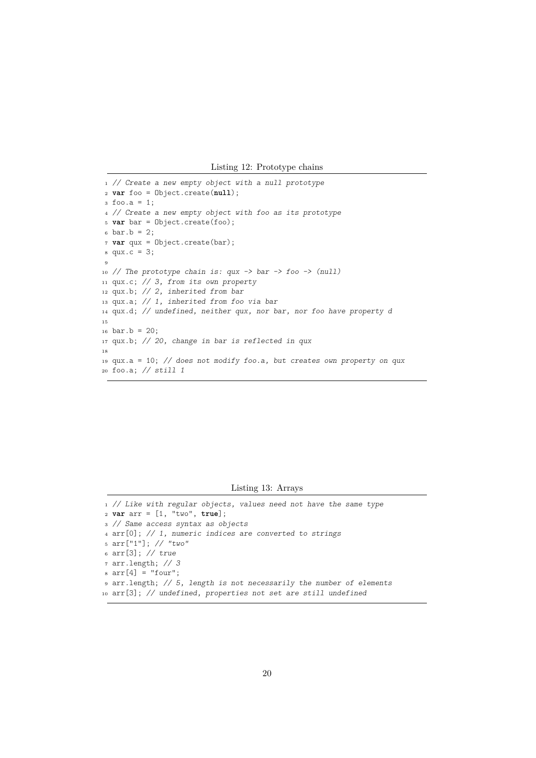Listing 12: Prototype chains

```
1 // Create a new empty object with a null prototype
2 var foo = Object.create(null);
3 \text{foo}.a = 1;4 // Create a new empty object with foo as its prototype
5 var bar = Object.create(foo);
6 bar.b = 2;
7 var qux = Object.create(bar);
square.c = 3;9
10 // The prototype chain is: qux \rightarrow bar \rightarrow foo \rightarrow (null)11 qux.c; // 3, from its own property
12 qux.b; // 2, inherited from bar
13 qux.a; // 1, inherited from foo via bar
14 qux.d; // undefined, neither qux, nor bar, nor foo have property d
15
16 bar.b = 20;
17 qux.b; // 20, change in bar is reflected in qux
18
19 qux.a = 10; // does not modify foo.a, but creates own property on qux
20 foo.a; // still 1
```
Listing 13: Arrays

```
1 // Like with regular objects, values need not have the same type
2 var arr = [1, "two", true];
3 // Same access syntax as objects
4 arr[0]; // 1, numeric indices are converted to strings
5 arr["1"]; // "two"
6 arr[3]; // true
7 arr.length; // 3
s \text{ arr}[4] = "four";9 arr.length; // 5, length is not necessarily the number of elements
10 arr[3]; // undefined, properties not set are still undefined
```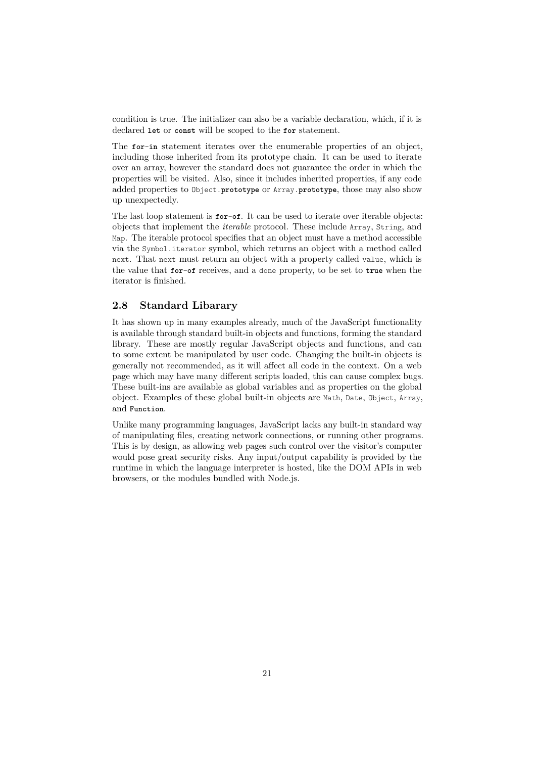condition is true. The initializer can also be a variable declaration, which, if it is declared **let** or **const** will be scoped to the **for** statement.

The **for**-**in** statement iterates over the enumerable properties of an object, including those inherited from its prototype chain. It can be used to iterate over an array, however the standard does not guarantee the order in which the properties will be visited. Also, since it includes inherited properties, if any code added properties to Object.**prototype** or Array.**prototype**, those may also show up unexpectedly.

The last loop statement is **for**-**of**. It can be used to iterate over iterable objects: objects that implement the *iterable* protocol. These include Array, String, and Map. The iterable protocol specifies that an object must have a method accessible via the Symbol.iterator symbol, which returns an object with a method called next. That next must return an object with a property called value, which is the value that **for**-**of** receives, and a done property, to be set to **true** when the iterator is finished.

### <span id="page-21-0"></span>**2.8 Standard Libarary**

It has shown up in many examples already, much of the JavaScript functionality is available through standard built-in objects and functions, forming the standard library. These are mostly regular JavaScript objects and functions, and can to some extent be manipulated by user code. Changing the built-in objects is generally not recommended, as it will affect all code in the context. On a web page which may have many different scripts loaded, this can cause complex bugs. These built-ins are available as global variables and as properties on the global object. Examples of these global built-in objects are Math, Date, Object, Array, and **Function**.

Unlike many programming languages, JavaScript lacks any built-in standard way of manipulating files, creating network connections, or running other programs. This is by design, as allowing web pages such control over the visitor's computer would pose great security risks. Any input/output capability is provided by the runtime in which the language interpreter is hosted, like the DOM APIs in web browsers, or the modules bundled with Node.js.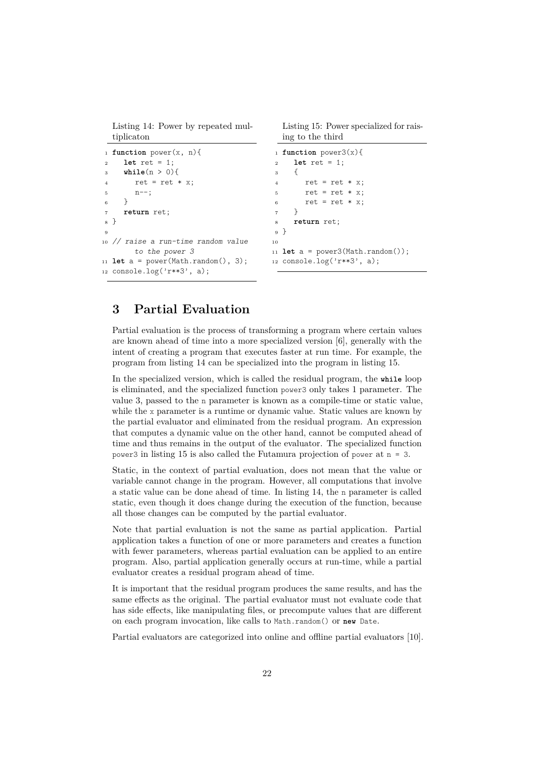<span id="page-22-1"></span>Listing 14: Power by repeated multiplicaton

```
1 function power(x, n){
2 let ret = 1;
3 while(n > 0){
4 ret = ret * x;5 n--;
6 }
7 return ret;
8 }
9
10 // raise a run-time random value
       to the power 3
11 let a = power(Math.random(), 3);
12 console.log('r**3', a);
```
<span id="page-22-2"></span>Listing 15: Power specialized for raising to the third

```
1 function power3(x){
2 let ret = 1;
3 {
4 ret = ret * x;
5 ret = ret * x;
6 ret = ret * x;
7 }
8 return ret;
9 }
10
11 let a = power3(Math.random());
12 console.log('r**3', a);
```
# <span id="page-22-0"></span>**3 Partial Evaluation**

Partial evaluation is the process of transforming a program where certain values are known ahead of time into a more specialized version [\[6\]](#page-69-1), generally with the intent of creating a program that executes faster at run time. For example, the program from listing [14](#page-22-1) can be specialized into the program in listing [15.](#page-22-2)

In the specialized version, which is called the residual program, the **while** loop is eliminated, and the specialized function power3 only takes 1 parameter. The value 3, passed to the n parameter is known as a compile-time or static value, while the x parameter is a runtime or dynamic value. Static values are known by the partial evaluator and eliminated from the residual program. An expression that computes a dynamic value on the other hand, cannot be computed ahead of time and thus remains in the output of the evaluator. The specialized function power3 in listing [15](#page-22-2) is also called the Futamura projection of power at n = 3.

Static, in the context of partial evaluation, does not mean that the value or variable cannot change in the program. However, all computations that involve a static value can be done ahead of time. In listing [14,](#page-22-1) the n parameter is called static, even though it does change during the execution of the function, because all those changes can be computed by the partial evaluator.

Note that partial evaluation is not the same as partial application. Partial application takes a function of one or more parameters and creates a function with fewer parameters, whereas partial evaluation can be applied to an entire program. Also, partial application generally occurs at run-time, while a partial evaluator creates a residual program ahead of time.

It is important that the residual program produces the same results, and has the same effects as the original. The partial evaluator must not evaluate code that has side effects, like manipulating files, or precompute values that are different on each program invocation, like calls to Math.random() or **new** Date.

Partial evaluators are categorized into online and offline partial evaluators [\[10\]](#page-69-6).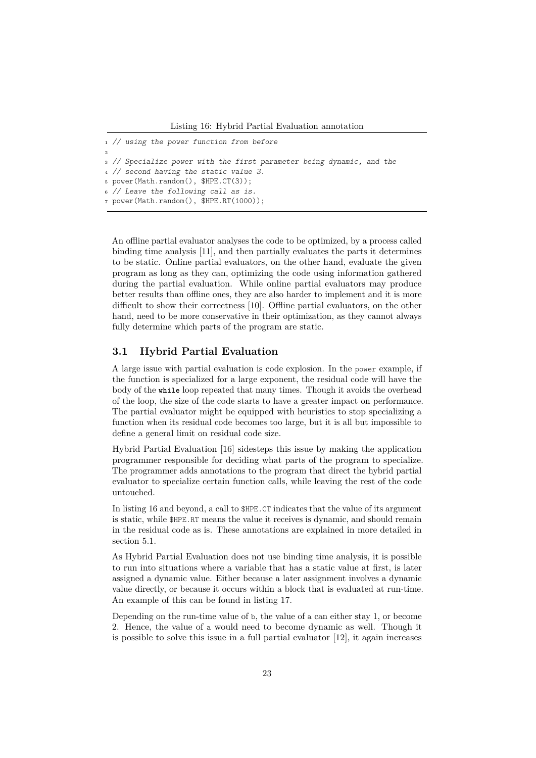```
1 // using the power function from before
2
3 // Specialize power with the first parameter being dynamic, and the
4 // second having the static value 3.
5 power(Math.random(), $HPE.CT(3));
6 // Leave the following call as is.
7 power(Math.random(), $HPE.RT(1000));
```
An offline partial evaluator analyses the code to be optimized, by a process called binding time analysis [\[11\]](#page-69-7), and then partially evaluates the parts it determines to be static. Online partial evaluators, on the other hand, evaluate the given program as long as they can, optimizing the code using information gathered during the partial evaluation. While online partial evaluators may produce better results than offline ones, they are also harder to implement and it is more difficult to show their correctness [\[10\]](#page-69-6). Offline partial evaluators, on the other hand, need to be more conservative in their optimization, as they cannot always fully determine which parts of the program are static.

## <span id="page-23-0"></span>**3.1 Hybrid Partial Evaluation**

A large issue with partial evaluation is code explosion. In the power example, if the function is specialized for a large exponent, the residual code will have the body of the **while** loop repeated that many times. Though it avoids the overhead of the loop, the size of the code starts to have a greater impact on performance. The partial evaluator might be equipped with heuristics to stop specializing a function when its residual code becomes too large, but it is all but impossible to define a general limit on residual code size.

Hybrid Partial Evaluation [\[16\]](#page-70-0) sidesteps this issue by making the application programmer responsible for deciding what parts of the program to specialize. The programmer adds annotations to the program that direct the hybrid partial evaluator to specialize certain function calls, while leaving the rest of the code untouched.

In listing [16](#page-23-1) and beyond, a call to \$HPE.CT indicates that the value of its argument is static, while \$HPE.RT means the value it receives is dynamic, and should remain in the residual code as is. These annotations are explained in more detailed in section [5.1.](#page-36-1)

As Hybrid Partial Evaluation does not use binding time analysis, it is possible to run into situations where a variable that has a static value at first, is later assigned a dynamic value. Either because a later assignment involves a dynamic value directly, or because it occurs within a block that is evaluated at run-time. An example of this can be found in listing [17.](#page-24-1)

Depending on the run-time value of b, the value of a can either stay 1, or become 2. Hence, the value of a would need to become dynamic as well. Though it is possible to solve this issue in a full partial evaluator [\[12\]](#page-69-8), it again increases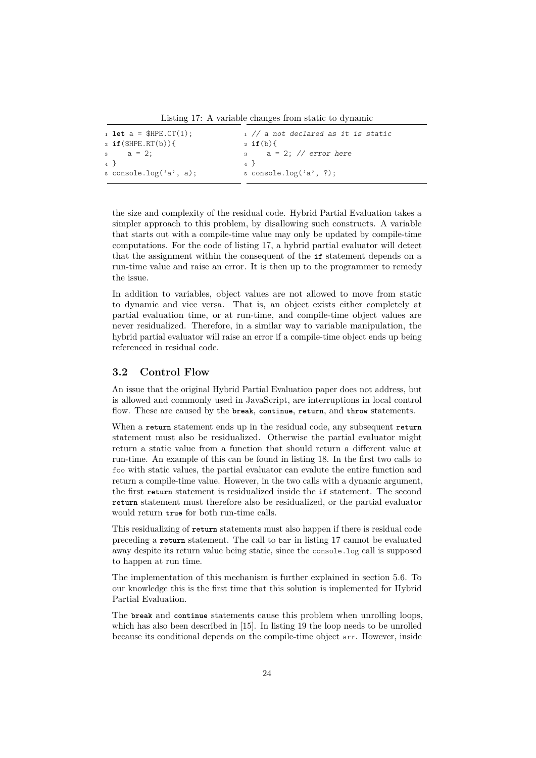Listing 17: A variable changes from static to dynamic

<span id="page-24-1"></span>

| $_1$ let a = \$HPE.CT(1);        |                | $_1$ // a not declared as it is static |
|----------------------------------|----------------|----------------------------------------|
| $_2$ if(\$HPE.RT(b)){            |                | $2 \text{ if } (b) \$                  |
| $_3$ a = 2;                      |                | $a = 2$ ; // error here                |
| 4 F                              | $\overline{4}$ |                                        |
| $5 \text{ console.log('a', a)};$ |                | $5$ console.log('a', ?);               |
|                                  |                |                                        |

the size and complexity of the residual code. Hybrid Partial Evaluation takes a simpler approach to this problem, by disallowing such constructs. A variable that starts out with a compile-time value may only be updated by compile-time computations. For the code of listing [17,](#page-24-1) a hybrid partial evaluator will detect that the assignment within the consequent of the **if** statement depends on a run-time value and raise an error. It is then up to the programmer to remedy the issue.

In addition to variables, object values are not allowed to move from static to dynamic and vice versa. That is, an object exists either completely at partial evaluation time, or at run-time, and compile-time object values are never residualized. Therefore, in a similar way to variable manipulation, the hybrid partial evaluator will raise an error if a compile-time object ends up being referenced in residual code.

## <span id="page-24-0"></span>**3.2 Control Flow**

An issue that the original Hybrid Partial Evaluation paper does not address, but is allowed and commonly used in JavaScript, are interruptions in local control flow. These are caused by the **break**, **continue**, **return**, and **throw** statements.

When a **return** statement ends up in the residual code, any subsequent **return** statement must also be residualized. Otherwise the partial evaluator might return a static value from a function that should return a different value at run-time. An example of this can be found in listing [18.](#page-25-1) In the first two calls to foo with static values, the partial evaluator can evalute the entire function and return a compile-time value. However, in the two calls with a dynamic argument, the first **return** statement is residualized inside the **if** statement. The second **return** statement must therefore also be residualized, or the partial evaluator would return **true** for both run-time calls.

This residualizing of **return** statements must also happen if there is residual code preceding a **return** statement. The call to bar in listing [17](#page-24-1) cannot be evaluated away despite its return value being static, since the console.log call is supposed to happen at run time.

The implementation of this mechanism is further explained in section [5.6.](#page-38-1) To our knowledge this is the first time that this solution is implemented for Hybrid Partial Evaluation.

The **break** and **continue** statements cause this problem when unrolling loops, which has also been described in [\[15\]](#page-70-2). In listing [19](#page-25-2) the loop needs to be unrolled because its conditional depends on the compile-time object arr. However, inside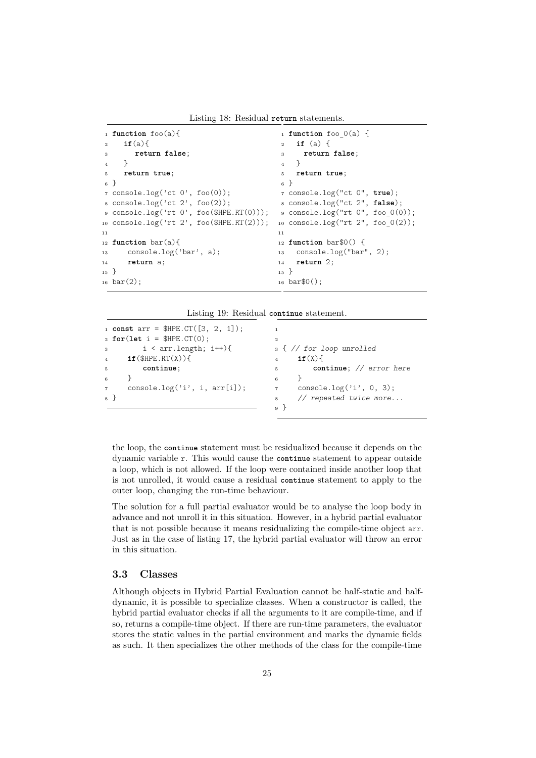Listing 18: Residual **return** statements.

```
1 function foo(a){
2 if(a){
3 return false;
     \rightarrow5 return true;
6 }
7 console.log('ct 0', foo(0));
8 console.log('ct 2', foo(2));
9 console.log('rt 0', foo($HPE.RT(0)));
10 console.log('rt 2', foo($HPE.RT(2)));
11
12 function bar(a){
13 console.log('bar', a);
14 return a;
15 }
16 bar(2);
                                          1 function foo_0(a) {
                                          2 if (a) {
                                          3 return false;
                                           4 }
                                          5 return true;
                                          6 }
                                          7 console.log("ct 0", true);
                                          8 console.log("ct 2", false);
                                          9 console.log("rt 0", foo_0(0));
                                         10 console.log("rt 2", foo 0(2));
                                          11
                                          12 function bar$0() {
                                          13 console.log("bar", 2);
                                          14 return 2;
                                          15 }
                                          16 bar$0();
```
Listing 19: Residual **continue** statement.

```
1 const arr = $HPE.CT([3, 2, 1]);
2 for(let i = $HPE.CT(0);
\text{3} \quad \text{i} < \text{arr.length}; \text{ i++}4 if($HPE.RT(X)){
5 continue;
6 }
7 console.log('i', i, arr[i]);
8 }
                                         1
                                         \overline{2}3 { // for loop unrolled
                                         4 if(X){
                                         5 continue; // error here
                                         6 }
                                         7 console.log('i', 0, 3);
                                         8 // repeated twice more...
                                         9 }
```
the loop, the **continue** statement must be residualized because it depends on the dynamic variable r. This would cause the **continue** statement to appear outside a loop, which is not allowed. If the loop were contained inside another loop that is not unrolled, it would cause a residual **continue** statement to apply to the outer loop, changing the run-time behaviour.

The solution for a full partial evaluator would be to analyse the loop body in advance and not unroll it in this situation. However, in a hybrid partial evaluator that is not possible because it means residualizing the compile-time object arr. Just as in the case of listing [17,](#page-24-1) the hybrid partial evaluator will throw an error in this situation.

#### <span id="page-25-0"></span>**3.3 Classes**

Although objects in Hybrid Partial Evaluation cannot be half-static and halfdynamic, it is possible to specialize classes. When a constructor is called, the hybrid partial evaluator checks if all the arguments to it are compile-time, and if so, returns a compile-time object. If there are run-time parameters, the evaluator stores the static values in the partial environment and marks the dynamic fields as such. It then specializes the other methods of the class for the compile-time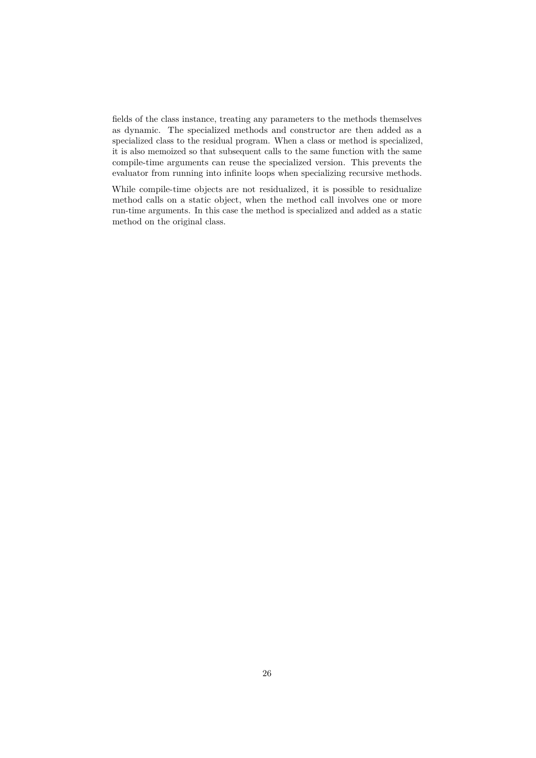fields of the class instance, treating any parameters to the methods themselves as dynamic. The specialized methods and constructor are then added as a specialized class to the residual program. When a class or method is specialized, it is also memoized so that subsequent calls to the same function with the same compile-time arguments can reuse the specialized version. This prevents the evaluator from running into infinite loops when specializing recursive methods.

While compile-time objects are not residualized, it is possible to residualize method calls on a static object, when the method call involves one or more run-time arguments. In this case the method is specialized and added as a static method on the original class.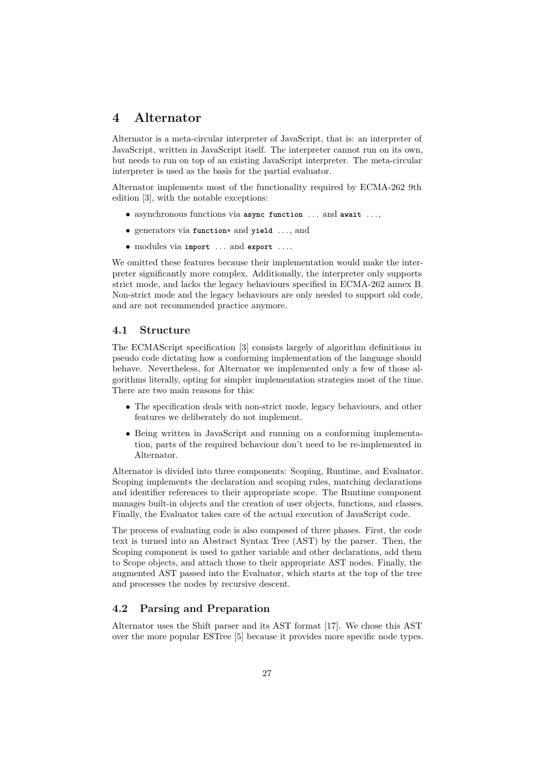# <span id="page-27-0"></span>**4 Alternator**

Alternator is a meta-circular interpreter of JavaScript, that is: an interpreter of JavaScript, written in JavaScript itself. The interpreter cannot run on its own, but needs to run on top of an existing JavaScript interpreter. The meta-circular interpreter is used as the basis for the partial evaluator.

Alternator implements most of the functionality required by ECMA-262 9th edition [\[3\]](#page-69-9), with the notable exceptions:

- asynchronous functions via **async function** ... and **await** ...,
- generators via **function**\* and **yield** ..., and
- modules via **import** ... and **export** ....

We omitted these features because their implementation would make the interpreter significantly more complex. Additionally, the interpreter only supports strict mode, and lacks the legacy behaviours specified in ECMA-262 annex B. Non-strict mode and the legacy behaviours are only needed to support old code, and are not recommended practice anymore.

#### <span id="page-27-1"></span>**4.1 Structure**

The ECMAScript specification [\[3\]](#page-69-9) consists largely of algorithm definitions in pseudo code dictating how a conforming implementation of the language should behave. Nevertheless, for Alternator we implemented only a few of those algorithms literally, opting for simpler implementation strategies most of the time. There are two main reasons for this:

- The specification deals with non-strict mode, legacy behaviours, and other features we deliberately do not implement.
- Being written in JavaScript and running on a conforming implementation, parts of the required behaviour don't need to be re-implemented in Alternator.

Alternator is divided into three components: Scoping, Runtime, and Evaluator. Scoping implements the declaration and scoping rules, matching declarations and identifier references to their appropriate scope. The Runtime component manages built-in objects and the creation of user objects, functions, and classes. Finally, the Evaluator takes care of the actual execution of JavaScript code.

The process of evaluating code is also composed of three phases. First, the code text is turned into an Abstract Syntax Tree (AST) by the parser. Then, the Scoping component is used to gather variable and other declarations, add them to Scope objects, and attach those to their appropriate AST nodes. Finally, the augmented AST passed into the Evaluator, which starts at the top of the tree and processes the nodes by recursive descent.

## <span id="page-27-2"></span>**4.2 Parsing and Preparation**

Alternator uses the Shift parser and its AST format [\[17\]](#page-70-3). We chose this AST over the more popular ESTree [\[5\]](#page-69-10) because it provides more specific node types.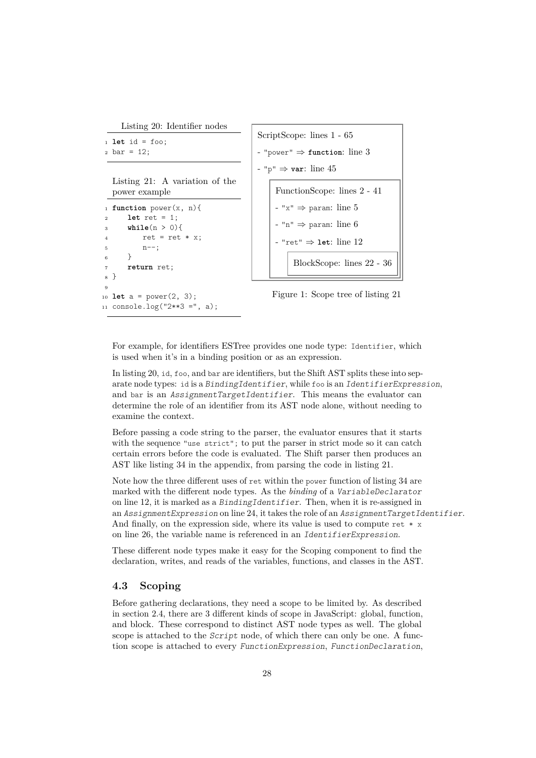<span id="page-28-2"></span>Listing 20: Identifier nodes

```
1 let id = foo:
2 \text{ bar} = 12;
```
<span id="page-28-1"></span>Listing 21: A variation of the power example

```
1 function power(x, n){
2 let ret = 1;
3 while(n > 0){
         ret = ret * x;5 n--;
6 }
7 return ret;
8 }
\overline{9}10 let a = power(2, 3);
```
<span id="page-28-6"></span><span id="page-28-5"></span><sup>11</sup> console.log("2\*\*3 =", a);

```
ScriptScope: lines 1 - 65
- "power" ⇒ function: line 3
- "p" ⇒ var: line 45
    FunctionScope: lines 2 - 41
    - "x" ⇒ param: line 5
     "n" \Rightarrow 6
      - "ret" ⇒ let: line 12
         BlockScope: lines 22 - 36
```
Figure 1: Scope tree of listing [21](#page-28-1)

For example, for identifiers ESTree provides one node type: Identifier, which is used when it's in a binding position or as an expression.

In listing [20,](#page-28-2) id, foo, and bar are identifiers, but the Shift AST splits these into separate node types: id is a BindingIdentifier, while foo is an IdentifierExpression, and bar is an AssignmentTargetIdentifier. This means the evaluator can determine the role of an identifier from its AST node alone, without needing to examine the context.

Before passing a code string to the parser, the evaluator ensures that it starts with the sequence "use strict"; to put the parser in strict mode so it can catch certain errors before the code is evaluated. The Shift parser then produces an AST like listing [34](#page-71-11) in the appendix, from parsing the code in listing [21.](#page-28-1)

Note how the three different uses of ret within the power function of listing [34](#page-71-11) are marked with the different node types. As the *binding* of a VariableDeclarator on line [12,](#page-71-8) it is marked as a BindingIdentifier. Then, when it is re-assigned in an AssignmentExpression on line [24,](#page-71-12) it takes the role of an AssignmentTargetIdentifier. And finally, on the expression side, where its value is used to compute ret  $*$  x on line [26,](#page-71-13) the variable name is referenced in an IdentifierExpression.

These different node types make it easy for the Scoping component to find the declaration, writes, and reads of the variables, functions, and classes in the AST.

## <span id="page-28-0"></span>**4.3 Scoping**

Before gathering declarations, they need a scope to be limited by. As described in section [2.4,](#page-12-0) there are 3 different kinds of scope in JavaScript: global, function, and block. These correspond to distinct AST node types as well. The global scope is attached to the Script node, of which there can only be one. A function scope is attached to every FunctionExpression, FunctionDeclaration,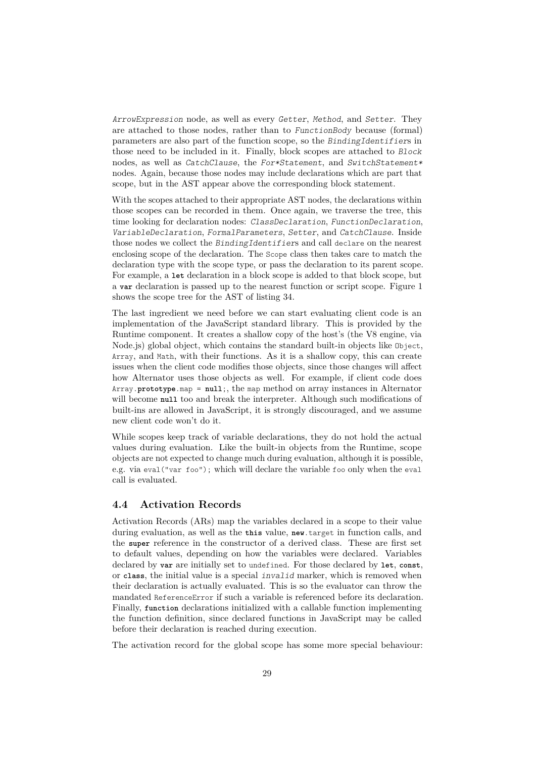ArrowExpression node, as well as every Getter, Method, and Setter. They are attached to those nodes, rather than to FunctionBody because (formal) parameters are also part of the function scope, so the BindingIdentifiers in those need to be included in it. Finally, block scopes are attached to Block nodes, as well as CatchClause, the For\*Statement, and SwitchStatement\* nodes. Again, because those nodes may include declarations which are part that scope, but in the AST appear above the corresponding block statement.

With the scopes attached to their appropriate AST nodes, the declarations within those scopes can be recorded in them. Once again, we traverse the tree, this time looking for declaration nodes: ClassDeclaration, FunctionDeclaration, VariableDeclaration, FormalParameters, Setter, and CatchClause. Inside those nodes we collect the BindingIdentifiers and call declare on the nearest enclosing scope of the declaration. The Scope class then takes care to match the declaration type with the scope type, or pass the declaration to its parent scope. For example, a **let** declaration in a block scope is added to that block scope, but a **var** declaration is passed up to the nearest function or script scope. Figure [1](#page-28-3) shows the scope tree for the AST of listing [34.](#page-71-11)

The last ingredient we need before we can start evaluating client code is an implementation of the JavaScript standard library. This is provided by the Runtime component. It creates a shallow copy of the host's (the V8 engine, via Node.js) global object, which contains the standard built-in objects like Object, Array, and Math, with their functions. As it is a shallow copy, this can create issues when the client code modifies those objects, since those changes will affect how Alternator uses those objects as well. For example, if client code does Array.**prototype**.map = **null**;, the map method on array instances in Alternator will become **null** too and break the interpreter. Although such modifications of built-ins are allowed in JavaScript, it is strongly discouraged, and we assume new client code won't do it.

While scopes keep track of variable declarations, they do not hold the actual values during evaluation. Like the built-in objects from the Runtime, scope objects are not expected to change much during evaluation, although it is possible, e.g. via eval("var foo"); which will declare the variable foo only when the eval call is evaluated.

#### <span id="page-29-0"></span>**4.4 Activation Records**

Activation Records (ARs) map the variables declared in a scope to their value during evaluation, as well as the **this** value, **new**.target in function calls, and the **super** reference in the constructor of a derived class. These are first set to default values, depending on how the variables were declared. Variables declared by **var** are initially set to undefined. For those declared by **let**, **const**, or **class**, the initial value is a special invalid marker, which is removed when their declaration is actually evaluated. This is so the evaluator can throw the mandated ReferenceError if such a variable is referenced before its declaration. Finally, **function** declarations initialized with a callable function implementing the function definition, since declared functions in JavaScript may be called before their declaration is reached during execution.

The activation record for the global scope has some more special behaviour: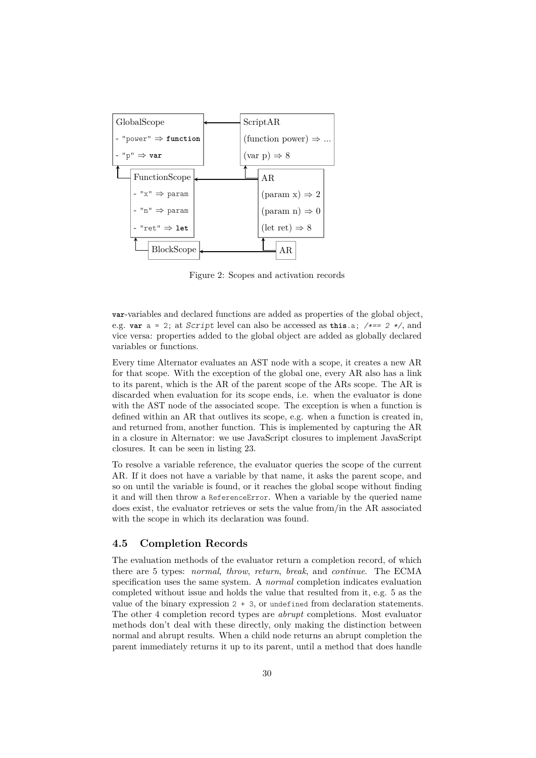

Figure 2: Scopes and activation records

**var**-variables and declared functions are added as properties of the global object, e.g. **var** a = 2; at Script level can also be accessed as **this**.a; /\*== 2 \*/, and vice versa: properties added to the global object are added as globally declared variables or functions.

Every time Alternator evaluates an AST node with a scope, it creates a new AR for that scope. With the exception of the global one, every AR also has a link to its parent, which is the AR of the parent scope of the ARs scope. The AR is discarded when evaluation for its scope ends, i.e. when the evaluator is done with the AST node of the associated scope. The exception is when a function is defined within an AR that outlives its scope, e.g. when a function is created in, and returned from, another function. This is implemented by capturing the AR in a closure in Alternator: we use JavaScript closures to implement JavaScript closures. It can be seen in listing [23.](#page-34-1)

To resolve a variable reference, the evaluator queries the scope of the current AR. If it does not have a variable by that name, it asks the parent scope, and so on until the variable is found, or it reaches the global scope without finding it and will then throw a ReferenceError. When a variable by the queried name does exist, the evaluator retrieves or sets the value from/in the AR associated with the scope in which its declaration was found.

## <span id="page-30-0"></span>**4.5 Completion Records**

The evaluation methods of the evaluator return a completion record, of which there are 5 types: *normal*, *throw*, *return*, *break*, and *continue*. The ECMA specification uses the same system. A *normal* completion indicates evaluation completed without issue and holds the value that resulted from it, e.g. 5 as the value of the binary expression  $2 + 3$ , or undefined from declaration statements. The other 4 completion record types are *abrupt* completions. Most evaluator methods don't deal with these directly, only making the distinction between normal and abrupt results. When a child node returns an abrupt completion the parent immediately returns it up to its parent, until a method that does handle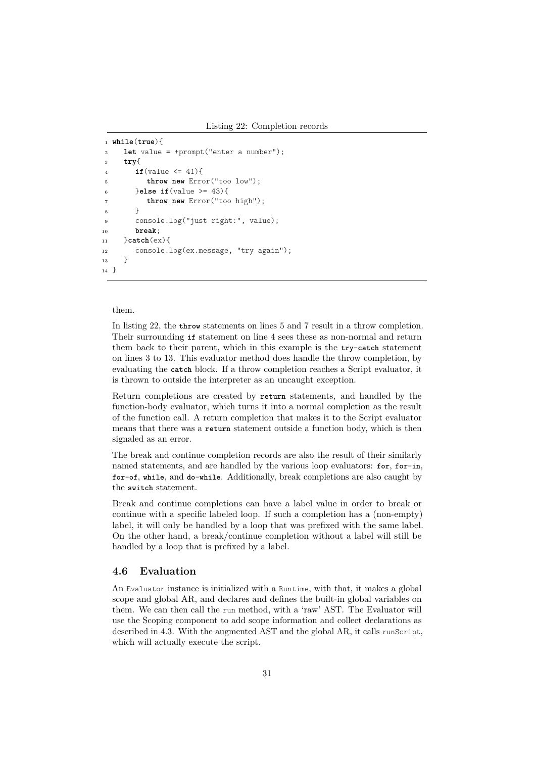```
1 while(true){
2 let value = +prompt("enter a number");
3 try{
4 if(value <= 41){
5 throw new Error("too low");
6 }else if(value >= 43){
         7 throw new Error("too high");
8 }
9 console.log("just right:", value);
10 break;
11 }catch(ex){
12 console.log(ex.message, "try again");
13 }
14 }
```
#### <span id="page-31-6"></span>them.

In listing [22,](#page-31-1) the **throw** statements on lines [5](#page-31-2) and [7](#page-31-3) result in a throw completion. Their surrounding **if** statement on line [4](#page-31-4) sees these as non-normal and return them back to their parent, which in this example is the **try**-**catch** statement on lines [3](#page-31-5) to [13.](#page-31-6) This evaluator method does handle the throw completion, by evaluating the **catch** block. If a throw completion reaches a Script evaluator, it is thrown to outside the interpreter as an uncaught exception.

Return completions are created by **return** statements, and handled by the function-body evaluator, which turns it into a normal completion as the result of the function call. A return completion that makes it to the Script evaluator means that there was a **return** statement outside a function body, which is then signaled as an error.

The break and continue completion records are also the result of their similarly named statements, and are handled by the various loop evaluators: **for**, **for**-**in**, **for**-**of**, **while**, and **do**-**while**. Additionally, break completions are also caught by the **switch** statement.

Break and continue completions can have a label value in order to break or continue with a specific labeled loop. If such a completion has a (non-empty) label, it will only be handled by a loop that was prefixed with the same label. On the other hand, a break/continue completion without a label will still be handled by a loop that is prefixed by a label.

#### <span id="page-31-0"></span>**4.6 Evaluation**

An Evaluator instance is initialized with a Runtime, with that, it makes a global scope and global AR, and declares and defines the built-in global variables on them. We can then call the run method, with a 'raw' AST. The Evaluator will use the Scoping component to add scope information and collect declarations as described in [4.3.](#page-28-0) With the augmented AST and the global AR, it calls runScript, which will actually execute the script.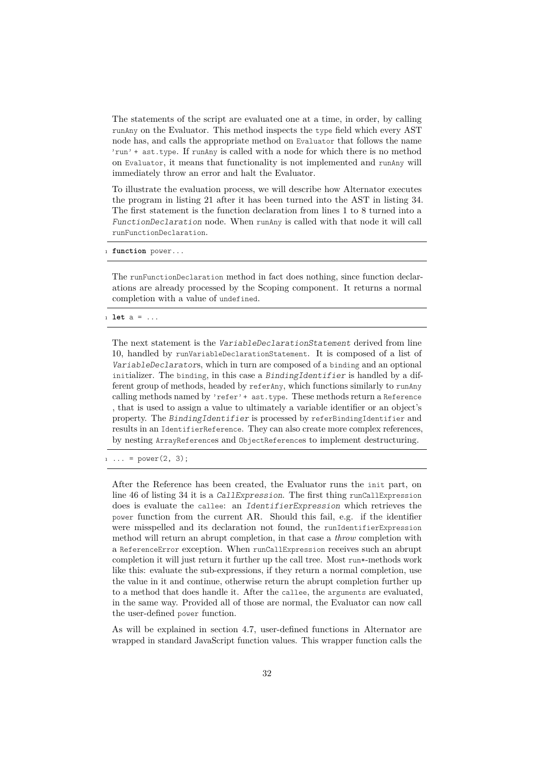The statements of the script are evaluated one at a time, in order, by calling runAny on the Evaluator. This method inspects the type field which every AST node has, and calls the appropriate method on Evaluator that follows the name 'run' + ast.type. If runAny is called with a node for which there is no method on Evaluator, it means that functionality is not implemented and runAny will immediately throw an error and halt the Evaluator.

To illustrate the evaluation process, we will describe how Alternator executes the program in listing [21](#page-28-1) after it has been turned into the AST in listing [34.](#page-71-11) The first statement is the function declaration from lines [1](#page-28-4) to [8](#page-28-5) turned into a FunctionDeclaration node. When runAny is called with that node it will call runFunctionDeclaration.

function power...

The runFunctionDeclaration method in fact does nothing, since function declarations are already processed by the Scoping component. It returns a normal completion with a value of undefined.

<sup>1</sup> **let** a = ...

The next statement is the *VariableDeclarationStatement* derived from line [10,](#page-28-6) handled by runVariableDeclarationStatement. It is composed of a list of VariableDeclarators, which in turn are composed of a binding and an optional initializer. The binding, in this case a BindingIdentifier is handled by a different group of methods, headed by referAny, which functions similarly to runAny calling methods named by 'refer' + ast.type. These methods return a Reference , that is used to assign a value to ultimately a variable identifier or an object's property. The BindingIdentifier is processed by referBindingIdentifier and results in an IdentifierReference. They can also create more complex references, by nesting ArrayReferences and ObjectReferences to implement destructuring.

 $\ldots$  = power(2, 3);

After the Reference has been created, the Evaluator runs the init part, on line [46](#page-71-14) of listing [34](#page-71-11) it is a CallExpression. The first thing runCallExpression does is evaluate the callee: an IdentifierExpression which retrieves the power function from the current AR. Should this fail, e.g. if the identifier were misspelled and its declaration not found, the runIdentifierExpression method will return an abrupt completion, in that case a *throw* completion with a ReferenceError exception. When runCallExpression receives such an abrupt completion it will just return it further up the call tree. Most run\*-methods work like this: evaluate the sub-expressions, if they return a normal completion, use the value in it and continue, otherwise return the abrupt completion further up to a method that does handle it. After the callee, the arguments are evaluated, in the same way. Provided all of those are normal, the Evaluator can now call the user-defined power function.

As will be explained in section [4.7,](#page-34-0) user-defined functions in Alternator are wrapped in standard JavaScript function values. This wrapper function calls the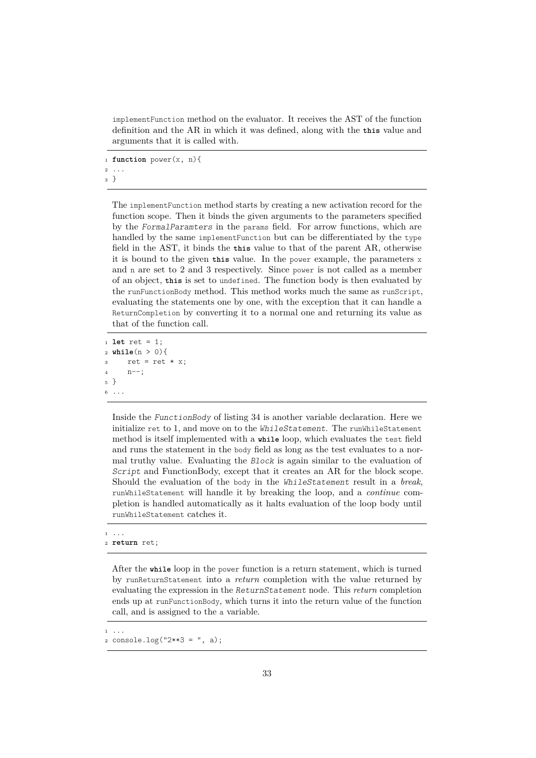implementFunction method on the evaluator. It receives the AST of the function definition and the AR in which it was defined, along with the **this** value and arguments that it is called with.

<sup>1</sup> **function** power(x, n){

<sup>2</sup> <sup>3</sup> }

> The implementFunction method starts by creating a new activation record for the function scope. Then it binds the given arguments to the parameters specified by the FormalParamters in the params field. For arrow functions, which are handled by the same implementFunction but can be differentiated by the type field in the AST, it binds the **this** value to that of the parent AR, otherwise it is bound to the given **this** value. In the power example, the parameters x and n are set to 2 and 3 respectively. Since power is not called as a member of an object, **this** is set to undefined. The function body is then evaluated by the runFunctionBody method. This method works much the same as runScript, evaluating the statements one by one, with the exception that it can handle a ReturnCompletion by converting it to a normal one and returning its value as that of the function call.

```
1 let ret = 1;
2 while(n > 0){
3 ret = ret * x;
1^{4} n--;
5 }
6 ...
```
Inside the FunctionBody of listing [34](#page-71-11) is another variable declaration. Here we initialize ret to 1, and move on to the WhileStatement. The runWhileStatement method is itself implemented with a **while** loop, which evaluates the test field and runs the statement in the body field as long as the test evaluates to a normal truthy value. Evaluating the Block is again similar to the evaluation of Script and FunctionBody, except that it creates an AR for the block scope. Should the evaluation of the body in the WhileStatement result in a *break*, runWhileStatement will handle it by breaking the loop, and a *continue* completion is handled automatically as it halts evaluation of the loop body until runWhileStatement catches it.

```
1 ...
```

```
2 return ret;
```
After the **while** loop in the power function is a return statement, which is turned by runReturnStatement into a *return* completion with the value returned by evaluating the expression in the ReturnStatement node. This *return* completion ends up at runFunctionBody, which turns it into the return value of the function call, and is assigned to the a variable.

<sup>1</sup> ...

<sup>2</sup> console.log("2\*\*3 = ", a);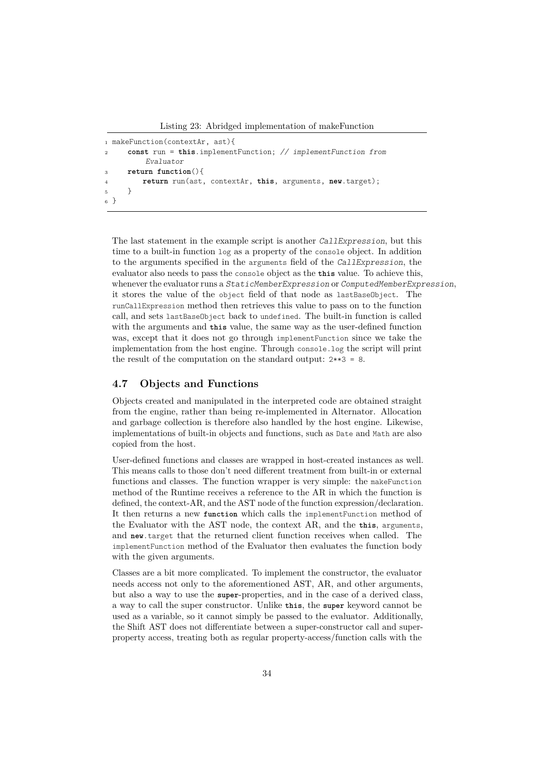Listing 23: Abridged implementation of makeFunction

```
1 makeFunction(contextAr, ast){
2 const run = this.implementFunction; // implementFunction from
         Evaluator
3 return function(){
         4 return run(ast, contextAr, this, arguments, new.target);
5 }
6 }
```
The last statement in the example script is another CallExpression, but this time to a built-in function log as a property of the console object. In addition to the arguments specified in the arguments field of the CallExpression, the evaluator also needs to pass the console object as the **this** value. To achieve this, whenever the evaluator runs a StaticMemberExpression or ComputedMemberExpression, it stores the value of the object field of that node as lastBaseObject. The runCallExpression method then retrieves this value to pass on to the function call, and sets lastBaseObject back to undefined. The built-in function is called with the arguments and **this** value, the same way as the user-defined function was, except that it does not go through implementFunction since we take the implementation from the host engine. Through console.log the script will print the result of the computation on the standard output: 2\*\*3 = 8.

#### <span id="page-34-0"></span>**4.7 Objects and Functions**

Objects created and manipulated in the interpreted code are obtained straight from the engine, rather than being re-implemented in Alternator. Allocation and garbage collection is therefore also handled by the host engine. Likewise, implementations of built-in objects and functions, such as Date and Math are also copied from the host.

User-defined functions and classes are wrapped in host-created instances as well. This means calls to those don't need different treatment from built-in or external functions and classes. The function wrapper is very simple: the makeFunction method of the Runtime receives a reference to the AR in which the function is defined, the context-AR, and the AST node of the function expression/declaration. It then returns a new **function** which calls the implementFunction method of the Evaluator with the AST node, the context AR, and the **this**, arguments, and **new**.target that the returned client function receives when called. The implementFunction method of the Evaluator then evaluates the function body with the given arguments.

Classes are a bit more complicated. To implement the constructor, the evaluator needs access not only to the aforementioned AST, AR, and other arguments, but also a way to use the **super**-properties, and in the case of a derived class, a way to call the super constructor. Unlike **this**, the **super** keyword cannot be used as a variable, so it cannot simply be passed to the evaluator. Additionally, the Shift AST does not differentiate between a super-constructor call and superproperty access, treating both as regular property-access/function calls with the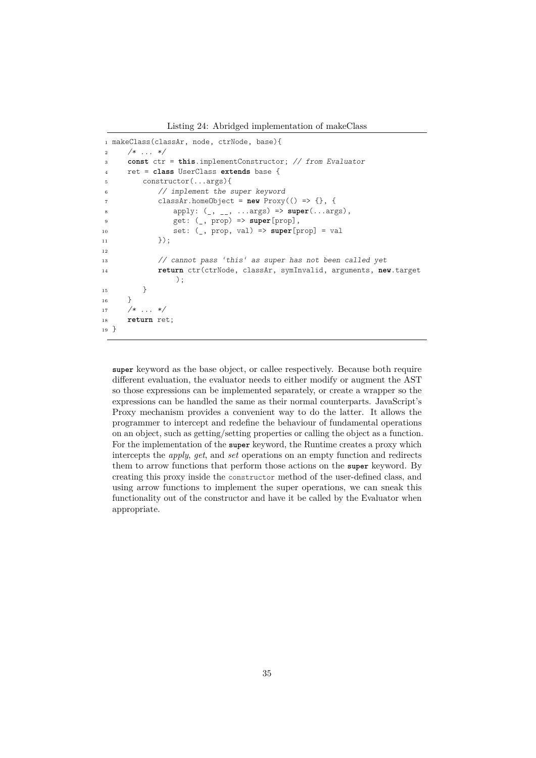Listing 24: Abridged implementation of makeClass

```
1 makeClass(classAr, node, ctrNode, base){
2 /* ... */
3 const ctr = this.implementConstructor; // from Evaluator
4 ret = class UserClass extends base {
5 constructor(...args){
6 // implement the super keyword
7 classAr.homeObject = new Proxy(() => {}, {
8 apply: (_, __, ...args) => super(...args),
9 get: (_, prop) => super[prop],
10 set: (_, prop, val) => super[prop] = val
\{11\} });
12
13 // cannot pass 'this' as super has not been called yet
14 return ctr(ctrNode, classAr, symInvalid, arguments, new.target
              );
15 }
16 }
17 /* \ldots */18 return ret;
19 }
```
**super** keyword as the base object, or callee respectively. Because both require different evaluation, the evaluator needs to either modify or augment the AST so those expressions can be implemented separately, or create a wrapper so the expressions can be handled the same as their normal counterparts. JavaScript's Proxy mechanism provides a convenient way to do the latter. It allows the programmer to intercept and redefine the behaviour of fundamental operations on an object, such as getting/setting properties or calling the object as a function. For the implementation of the **super** keyword, the Runtime creates a proxy which intercepts the *apply*, *get*, and *set* operations on an empty function and redirects them to arrow functions that perform those actions on the **super** keyword. By creating this proxy inside the constructor method of the user-defined class, and using arrow functions to implement the super operations, we can sneak this functionality out of the constructor and have it be called by the Evaluator when appropriate.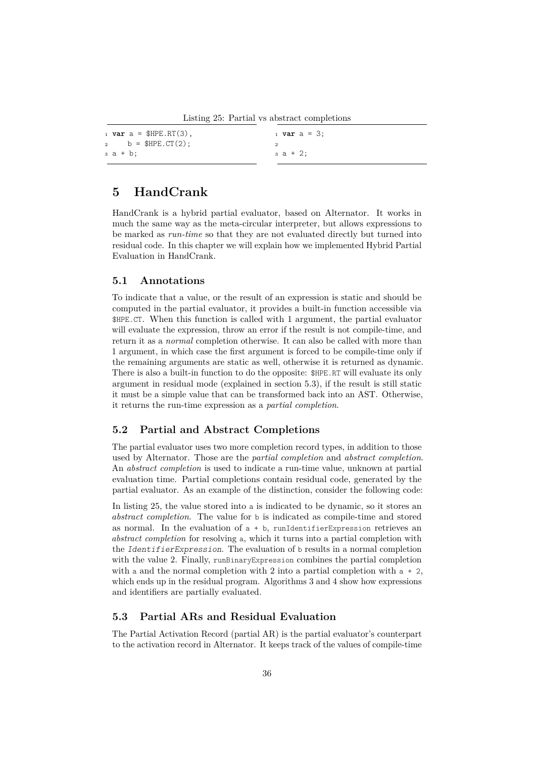Listing 25: Partial vs abstract completions

<span id="page-36-1"></span>

| $1 \text{ var } a = \text{SHPE.RT}(3)$ , | $_1$ var a = 3; |
|------------------------------------------|-----------------|
| 2 b = $$HPE. CT(2)$ ;                    |                 |
| за + b;                                  | за + 2;         |

## <span id="page-36-3"></span>**5 HandCrank**

HandCrank is a hybrid partial evaluator, based on Alternator. It works in much the same way as the meta-circular interpreter, but allows expressions to be marked as *run-time* so that they are not evaluated directly but turned into residual code. In this chapter we will explain how we implemented Hybrid Partial Evaluation in HandCrank.

#### **5.1 Annotations**

To indicate that a value, or the result of an expression is static and should be computed in the partial evaluator, it provides a built-in function accessible via \$HPE.CT. When this function is called with 1 argument, the partial evaluator will evaluate the expression, throw an error if the result is not compile-time, and return it as a *normal* completion otherwise. It can also be called with more than 1 argument, in which case the first argument is forced to be compile-time only if the remaining arguments are static as well, otherwise it is returned as dynamic. There is also a built-in function to do the opposite: \$HPE.RT will evaluate its only argument in residual mode (explained in section [5.3\)](#page-36-0), if the result is still static it must be a simple value that can be transformed back into an AST. Otherwise, it returns the run-time expression as a *partial completion*.

### <span id="page-36-2"></span>**5.2 Partial and Abstract Completions**

The partial evaluator uses two more completion record types, in addition to those used by Alternator. Those are the *partial completion* and *abstract completion*. An *abstract completion* is used to indicate a run-time value, unknown at partial evaluation time. Partial completions contain residual code, generated by the partial evaluator. As an example of the distinction, consider the following code:

In listing [25,](#page-36-1) the value stored into a is indicated to be dynamic, so it stores an *abstract completion*. The value for b is indicated as compile-time and stored as normal. In the evaluation of  $a + b$ , runIdentifierExpression retrieves an *abstract completion* for resolving a, which it turns into a partial completion with the IdentifierExpression. The evaluation of b results in a normal completion with the value 2. Finally, runBinaryExpression combines the partial completion with a and the normal completion with 2 into a partial completion with  $a + 2$ , which ends up in the residual program. Algorithms [3](#page-43-0) and [4](#page-43-1) show how expressions and identifiers are partially evaluated.

### <span id="page-36-0"></span>**5.3 Partial ARs and Residual Evaluation**

The Partial Activation Record (partial AR) is the partial evaluator's counterpart to the activation record in Alternator. It keeps track of the values of compile-time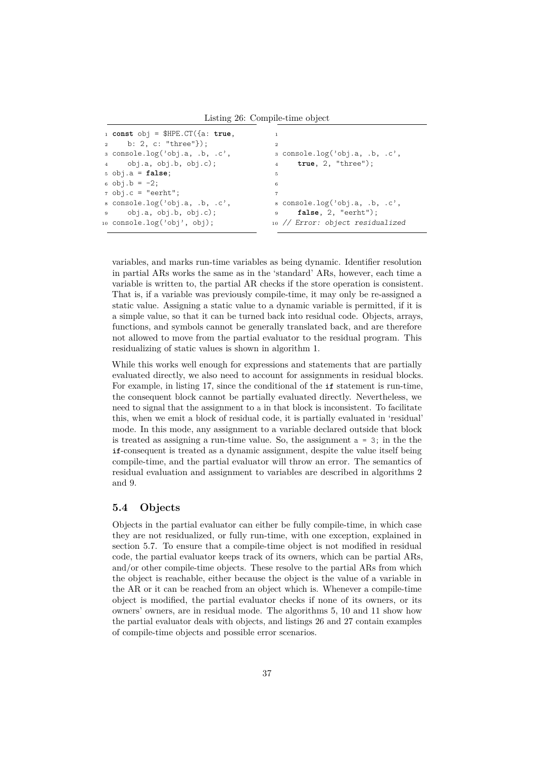Listing 26: Compile-time object

```
1 const obj = $HPE.CT({a: true,
2 b: 2, c: "three"});
3 console.log('obj.a, .b, .c',
      4 obj.a, obj.b, obj.c);
5 obj.a = false;
6 obj.b = -2;7 obj.c = "eerht";
8 console.log('obj.a, .b, .c',
9 obj.a, obj.b, obj.c);
10 console.log('obj', obj);
                                         1
                                         2
                                         3 console.log('obj.a, .b, .c',
                                         4 true, 2, "three");
                                         5
                                         6
                                         7
                                         8 console.log('obj.a, .b, .c',
                                         9 false, 2, "eerht");
                                        10 // Error: object residualized
```
variables, and marks run-time variables as being dynamic. Identifier resolution in partial ARs works the same as in the 'standard' ARs, however, each time a variable is written to, the partial AR checks if the store operation is consistent. That is, if a variable was previously compile-time, it may only be re-assigned a static value. Assigning a static value to a dynamic variable is permitted, if it is a simple value, so that it can be turned back into residual code. Objects, arrays, functions, and symbols cannot be generally translated back, and are therefore not allowed to move from the partial evaluator to the residual program. This residualizing of static values is shown in algorithm [1.](#page-42-0)

While this works well enough for expressions and statements that are partially evaluated directly, we also need to account for assignments in residual blocks. For example, in listing [17,](#page-24-0) since the conditional of the **if** statement is run-time, the consequent block cannot be partially evaluated directly. Nevertheless, we need to signal that the assignment to a in that block is inconsistent. To facilitate this, when we emit a block of residual code, it is partially evaluated in 'residual' mode. In this mode, any assignment to a variable declared outside that block is treated as assigning a run-time value. So, the assignment a = 3; in the the **if**-consequent is treated as a dynamic assignment, despite the value itself being compile-time, and the partial evaluator will throw an error. The semantics of residual evaluation and assignment to variables are described in algorithms [2](#page-42-1) and [9.](#page-47-0)

#### **5.4 Objects**

Objects in the partial evaluator can either be fully compile-time, in which case they are not residualized, or fully run-time, with one exception, explained in section [5.7.](#page-40-0) To ensure that a compile-time object is not modified in residual code, the partial evaluator keeps track of its owners, which can be partial ARs, and/or other compile-time objects. These resolve to the partial ARs from which the object is reachable, either because the object is the value of a variable in the AR or it can be reached from an object which is. Whenever a compile-time object is modified, the partial evaluator checks if none of its owners, or its owners' owners, are in residual mode. The algorithms [5,](#page-44-0) [10](#page-48-0) and [11](#page-49-0) show how the partial evaluator deals with objects, and listings [26](#page-37-0) and [27](#page-38-0) contain examples of compile-time objects and possible error scenarios.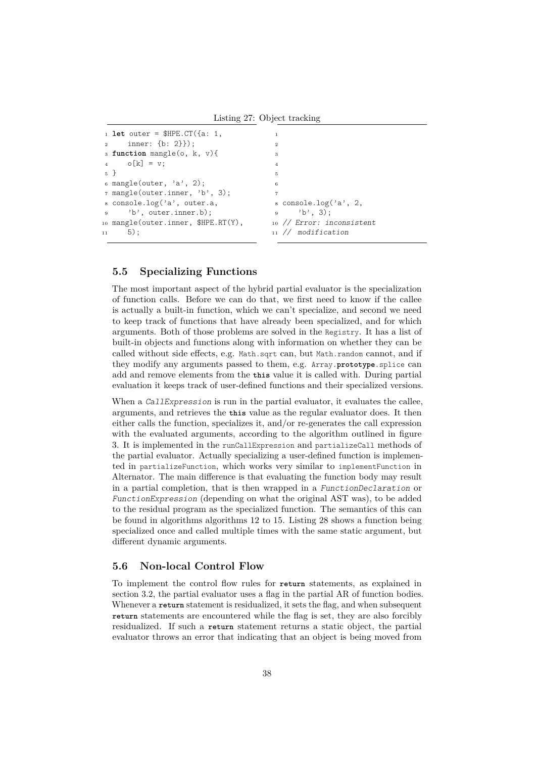Listing 27: Object tracking

```
1 let outer = $HPE.CT({a: 1,
2 inner: {b: 2}});
3 function mangle(o, k, v){
4 \qquad \qquad \circ [k] = v;5 }
6 mangle(outer, 'a', 2);
7 mangle(outer.inner, 'b', 3);
8 console.log('a', outer.a,
9 'b', outer.inner.b);
10 mangle(outer.inner, $HPE.RT(Y),
11 5);
                                           1
                                           2
                                           3
                                           4
                                           5
                                           6
                                           7
                                           8 console.log('a', 2,
                                           9' 'b', 3);
                                          10 // Error: inconsistent
                                          11 // modification
```
#### <span id="page-38-1"></span>**5.5 Specializing Functions**

The most important aspect of the hybrid partial evaluator is the specialization of function calls. Before we can do that, we first need to know if the callee is actually a built-in function, which we can't specialize, and second we need to keep track of functions that have already been specialized, and for which arguments. Both of those problems are solved in the Registry. It has a list of built-in objects and functions along with information on whether they can be called without side effects, e.g. Math.sqrt can, but Math.random cannot, and if they modify any arguments passed to them, e.g. Array.**prototype**.splice can add and remove elements from the **this** value it is called with. During partial evaluation it keeps track of user-defined functions and their specialized versions.

When a CallExpression is run in the partial evaluator, it evaluates the callee, arguments, and retrieves the **this** value as the regular evaluator does. It then either calls the function, specializes it, and/or re-generates the call expression with the evaluated arguments, according to the algorithm outlined in figure [3.](#page-39-0) It is implemented in the runCallExpression and partializeCall methods of the partial evaluator. Actually specializing a user-defined function is implemented in partializeFunction, which works very similar to implementFunction in Alternator. The main difference is that evaluating the function body may result in a partial completion, that is then wrapped in a FunctionDeclaration or FunctionExpression (depending on what the original AST was), to be added to the residual program as the specialized function. The semantics of this can be found in algorithms algorithms [12](#page-50-0) to [15.](#page-52-0) Listing [28](#page-40-1) shows a function being specialized once and called multiple times with the same static argument, but different dynamic arguments.

#### **5.6 Non-local Control Flow**

To implement the control flow rules for **return** statements, as explained in section [3.2,](#page-24-1) the partial evaluator uses a flag in the partial AR of function bodies. Whenever a **return** statement is residualized, it sets the flag, and when subsequent **return** statements are encountered while the flag is set, they are also forcibly residualized. If such a **return** statement returns a static object, the partial evaluator throws an error that indicating that an object is being moved from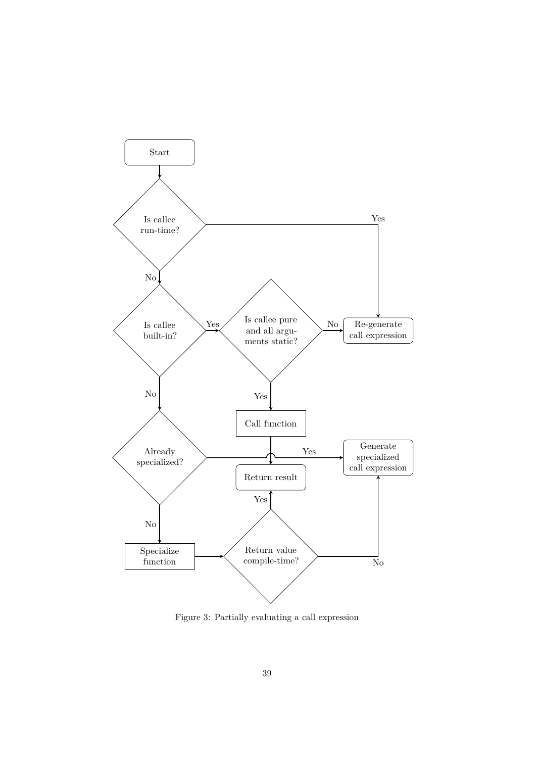<span id="page-39-0"></span>

Figure 3: Partially evaluating a call expression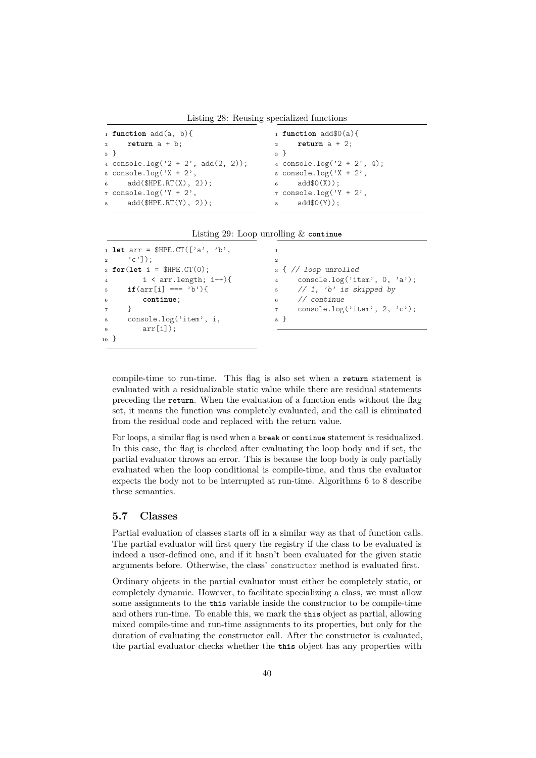Listing 28: Reusing specialized functions

```
1 function add(a, b){
2 return a + b;
3 }
4 console.log(2 + 2', add(2, 2));
5 console.log('X + 2',
6 add(\text{SHPE.RT}(X), 2));7 console.log('Y + 2',
\text{add}(\text{SHPE.RT}(Y), 2));1 function add$0(a){
                                         2 return a + 2;
                                         3 }
                                         4 console.log(2 + 2', 4);
                                         5 console.log('X + 2',
                                         6 add$0(X));
                                         7 console.log('Y + 2',
                                         8 add$0(Y));
```

|  |  |  | Listing 29: Loop unrolling $&$ continue |  |  |
|--|--|--|-----------------------------------------|--|--|
|--|--|--|-----------------------------------------|--|--|

```
1 let arr = $HPE.CT(['a', 'b',
\begin{bmatrix} 2 & 3 \\ 2 & 1 \end{bmatrix};
3 for(let i = $HPE.CT(0);
4 i < arr.length; i^{++} }{
5 if(\ar{r}[i] == 'b')6 continue;
7 }
8 console.log('item', i,
9 \quad \arctan\left[\text{i}\right];
10 }
                                            1
                                            2
                                            3 { // loop unrolled
                                            4 console.log('item', 0, 'a');
                                            5 // 1, 'b' is skipped by
                                            6 // continue
                                            7 console.log('item', 2, 'c');
                                            8 }
```
compile-time to run-time. This flag is also set when a **return** statement is evaluated with a residualizable static value while there are residual statements preceding the **return**. When the evaluation of a function ends without the flag set, it means the function was completely evaluated, and the call is eliminated from the residual code and replaced with the return value.

For loops, a similar flag is used when a **break** or **continue** statement is residualized. In this case, the flag is checked after evaluating the loop body and if set, the partial evaluator throws an error. This is because the loop body is only partially evaluated when the loop conditional is compile-time, and thus the evaluator expects the body not to be interrupted at run-time. Algorithms [6](#page-45-0) to [8](#page-46-0) describe these semantics.

### <span id="page-40-0"></span>**5.7 Classes**

Partial evaluation of classes starts off in a similar way as that of function calls. The partial evaluator will first query the registry if the class to be evaluated is indeed a user-defined one, and if it hasn't been evaluated for the given static arguments before. Otherwise, the class' constructor method is evaluated first.

Ordinary objects in the partial evaluator must either be completely static, or completely dynamic. However, to facilitate specializing a class, we must allow some assignments to the **this** variable inside the constructor to be compile-time and others run-time. To enable this, we mark the **this** object as partial, allowing mixed compile-time and run-time assignments to its properties, but only for the duration of evaluating the constructor call. After the constructor is evaluated, the partial evaluator checks whether the **this** object has any properties with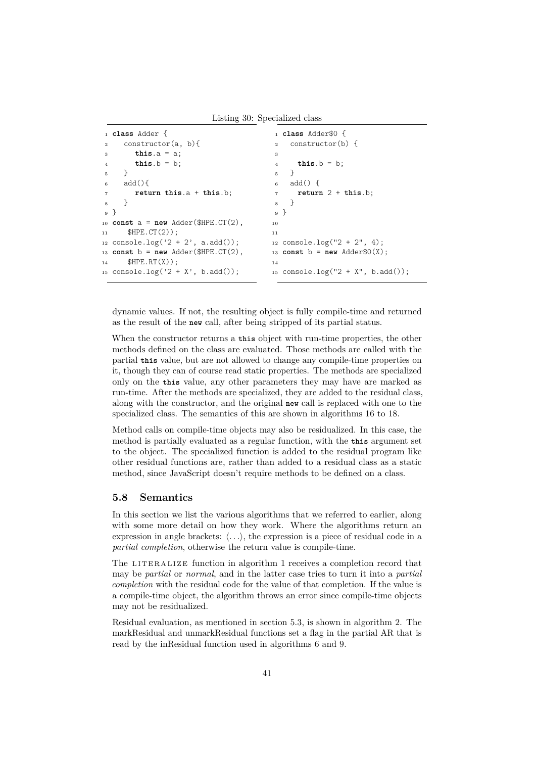Listing 30: Specialized class

```
1 class Adder {
2 constructor(a, b){
3 this.a = a;
       this.b = b;5 }
6 add(){
7 return this.a + this.b;
8 }
9 }
10 const a = new Adder($HPE.CT(2),
11 $HPE.CT(2));
12 console.log('2 + 2', a.add());
13 const b = new Adder(HPE.CT(2),
14 $HPE.RT(X));
15 console.log('2 + X', b.add());
                                       1 class Adder$0 {
                                       2 constructor(b) {
                                       3
                                       4 this.b = b;
                                       5 }
                                       6 add() {
                                       7 return 2 + this.b;
                                       8 }
                                       9 }
                                      10
                                      11
                                      12 console.log("2 + 2", 4);
                                      13 const b = new Adder$0(X);14
                                      15 console.log("2 + X", b.add());
```
dynamic values. If not, the resulting object is fully compile-time and returned as the result of the **new** call, after being stripped of its partial status.

When the constructor returns a **this** object with run-time properties, the other methods defined on the class are evaluated. Those methods are called with the partial **this** value, but are not allowed to change any compile-time properties on it, though they can of course read static properties. The methods are specialized only on the **this** value, any other parameters they may have are marked as run-time. After the methods are specialized, they are added to the residual class, along with the constructor, and the original **new** call is replaced with one to the specialized class. The semantics of this are shown in algorithms [16](#page-52-1) to [18.](#page-53-0)

Method calls on compile-time objects may also be residualized. In this case, the method is partially evaluated as a regular function, with the **this** argument set to the object. The specialized function is added to the residual program like other residual functions are, rather than added to a residual class as a static method, since JavaScript doesn't require methods to be defined on a class.

#### **5.8 Semantics**

In this section we list the various algorithms that we referred to earlier, along with some more detail on how they work. Where the algorithms return an expression in angle brackets:  $\langle \ldots \rangle$ , the expression is a piece of residual code in a *partial completion*, otherwise the return value is compile-time.

The LITERALIZE function in algorithm [1](#page-42-0) receives a completion record that may be *partial* or *normal*, and in the latter case tries to turn it into a *partial completion* with the residual code for the value of that completion. If the value is a compile-time object, the algorithm throws an error since compile-time objects may not be residualized.

Residual evaluation, as mentioned in section [5.3,](#page-36-0) is shown in algorithm [2.](#page-42-1) The markResidual and unmarkResidual functions set a flag in the partial AR that is read by the inResidual function used in algorithms [6](#page-45-0) and [9.](#page-47-0)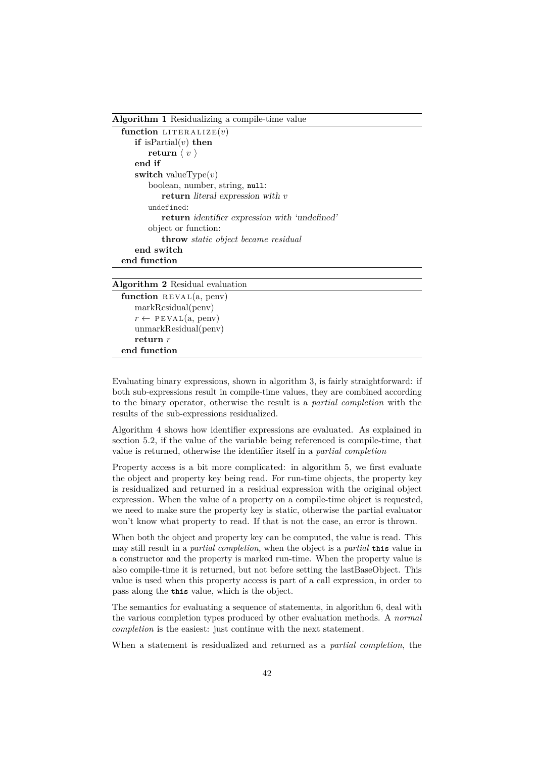<span id="page-42-0"></span>**Algorithm 1** Residualizing a compile-time value  $function$  LITERALIZE $(v)$ **if** isPartial(*v*) **then return**  $\langle v \rangle$ **end if switch** valueType $(v)$ boolean, number, string, **null**: **return** literal expression with *v* undefined: **return** identifier expression with 'undefined' object or function: **throw** *static object became residual* **end switch end function**

#### <span id="page-42-1"></span>**Algorithm 2** Residual evaluation

```
function REVAL(a, penv)
   markResidual(penv)
   r \leftarrow \text{PEVAL}(a, \text{penv})unmarkResidual(penv)
   return r
end function
```
Evaluating binary expressions, shown in algorithm [3,](#page-43-0) is fairly straightforward: if both sub-expressions result in compile-time values, they are combined according to the binary operator, otherwise the result is a *partial completion* with the results of the sub-expressions residualized.

Algorithm [4](#page-43-1) shows how identifier expressions are evaluated. As explained in section [5.2,](#page-36-2) if the value of the variable being referenced is compile-time, that value is returned, otherwise the identifier itself in a *partial completion*

Property access is a bit more complicated: in algorithm [5,](#page-44-0) we first evaluate the object and property key being read. For run-time objects, the property key is residualized and returned in a residual expression with the original object expression. When the value of a property on a compile-time object is requested, we need to make sure the property key is static, otherwise the partial evaluator won't know what property to read. If that is not the case, an error is thrown.

When both the object and property key can be computed, the value is read. This may still result in a *partial completion*, when the object is a *partial* **this** value in a constructor and the property is marked run-time. When the property value is also compile-time it is returned, but not before setting the lastBaseObject. This value is used when this property access is part of a call expression, in order to pass along the **this** value, which is the object.

The semantics for evaluating a sequence of statements, in algorithm [6,](#page-45-0) deal with the various completion types produced by other evaluation methods. A *normal completion* is the easiest: just continue with the next statement.

When a statement is residualized and returned as a *partial completion*, the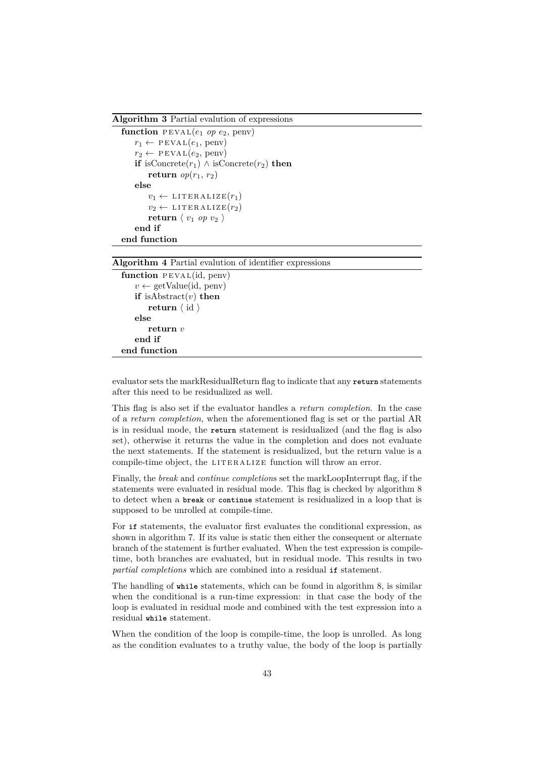<span id="page-43-0"></span>**Algorithm 3** Partial evalution of expressions

```
function \overline{P} EVAL(e_1 op e_2, penv)
    r_1 \leftarrow \text{PEVAL}(e_1, \text{penv})r_2 \leftarrow \text{PEVAL}(e_2, \text{penv})if isConcrete(r_1) ∧ isConcrete(r_2) then
         return op(r_1, r_2)else
         v_1 \leftarrow \text{LITERALIZE}(r_1)v_2 \leftarrow \text{LITERALIZE}(r_2)return \langle v_1 op v_2 \rangleend if
end function
```
<span id="page-43-1"></span>**Algorithm 4** Partial evalution of identifier expressions

```
function PEVAL(id, penv)
   v \leftarrow getValue(id, penv)
   if isAbstract(v) then
       return \langle id \rangleelse
       return v
   end if
end function
```
evaluator sets the markResidualReturn flag to indicate that any **return** statements after this need to be residualized as well.

This flag is also set if the evaluator handles a *return completion*. In the case of a *return completion*, when the aforementioned flag is set or the partial AR is in residual mode, the **return** statement is residualized (and the flag is also set), otherwise it returns the value in the completion and does not evaluate the next statements. If the statement is residualized, but the return value is a compile-time object, the LITERALIZE function will throw an error.

Finally, the *break* and *continue completions* set the markLoopInterrupt flag, if the statements were evaluated in residual mode. This flag is checked by algorithm [8](#page-46-0) to detect when a **break** or **continue** statement is residualized in a loop that is supposed to be unrolled at compile-time.

For **if** statements, the evaluator first evaluates the conditional expression, as shown in algorithm [7.](#page-46-1) If its value is static then either the consequent or alternate branch of the statement is further evaluated. When the test expression is compiletime, both branches are evaluated, but in residual mode. This results in two *partial completions* which are combined into a residual **if** statement.

The handling of **while** statements, which can be found in algorithm [8,](#page-46-0) is similar when the conditional is a run-time expression: in that case the body of the loop is evaluated in residual mode and combined with the test expression into a residual **while** statement.

When the condition of the loop is compile-time, the loop is unrolled. As long as the condition evaluates to a truthy value, the body of the loop is partially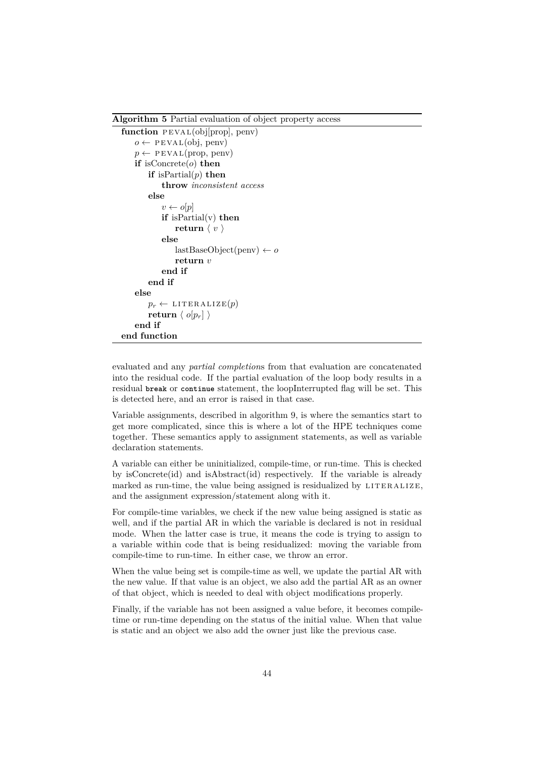<span id="page-44-0"></span>**Algorithm 5** Partial evaluation of object property access

```
function PEVAL(obj[prop], penv)
    o \leftarrow \text{PEVAL}(obj, \text{penv})p \leftarrow \text{PEVAL}(\text{prop}, \text{penv})if isConcrete(o) then
        if isPartial(p) then
            throw inconsistent access
        else
            v \leftarrow o[p]if isPartial(v) then
                 return \langle v \rangleelse
                 lastBaseObject(penv) ← o
                 return v
            end if
        end if
    else
        p_r \leftarrow \text{LITERALIZE}(p)return \langle o[p_r] \rangleend if
end function
```
evaluated and any *partial completion*s from that evaluation are concatenated into the residual code. If the partial evaluation of the loop body results in a residual **break** or **continue** statement, the loopInterrupted flag will be set. This is detected here, and an error is raised in that case.

Variable assignments, described in algorithm [9,](#page-47-0) is where the semantics start to get more complicated, since this is where a lot of the HPE techniques come together. These semantics apply to assignment statements, as well as variable declaration statements.

A variable can either be uninitialized, compile-time, or run-time. This is checked by isConcrete(id) and isAbstract(id) respectively. If the variable is already marked as run-time, the value being assigned is residualized by  $LITERALIZE$ , and the assignment expression/statement along with it.

For compile-time variables, we check if the new value being assigned is static as well, and if the partial AR in which the variable is declared is not in residual mode. When the latter case is true, it means the code is trying to assign to a variable within code that is being residualized: moving the variable from compile-time to run-time. In either case, we throw an error.

When the value being set is compile-time as well, we update the partial AR with the new value. If that value is an object, we also add the partial AR as an owner of that object, which is needed to deal with object modifications properly.

Finally, if the variable has not been assigned a value before, it becomes compiletime or run-time depending on the status of the initial value. When that value is static and an object we also add the owner just like the previous case.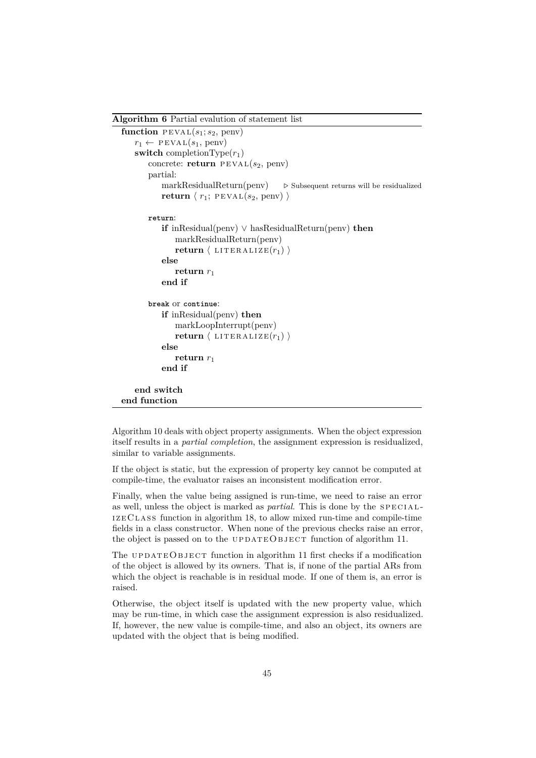<span id="page-45-0"></span>**Algorithm 6** Partial evalution of statement list **function**  $PEVAL(s_1; s_2, \text{penv})$  $r_1 \leftarrow \text{PEVAL}(s_1, \text{penv})$ **switch** completionType $(r_1)$ concrete: **return**  $PEVAL(s_2,$  penv) partial:  $markResidualReturn(penv)$   $\triangleright$  Subsequent returns will be residualized **return**  $\langle r_1;$  **PEVAL** $(s_2,$  penv)  $\rangle$ **return**: **if** inResidual(penv) ∨ hasResidualReturn(penv) **then** markResidualReturn(penv) **return**  $\langle$  LITERALIZE $(r_1)$ **else** return  $r_1$ **end if break** or **continue**: **if** inResidual(penv) **then** markLoopInterrupt(penv) **return**  $\langle$  LITERALIZE $(r_1)$ **else return** *r*<sup>1</sup> **end if end switch end function**

Algorithm [10](#page-48-0) deals with object property assignments. When the object expression itself results in a *partial completion*, the assignment expression is residualized, similar to variable assignments.

If the object is static, but the expression of property key cannot be computed at compile-time, the evaluator raises an inconsistent modification error.

Finally, when the value being assigned is run-time, we need to raise an error as well, unless the object is marked as *partial*. This is done by the SPECIALi zeC lass function in algorithm [18,](#page-53-0) to allow mixed run-time and compile-time fields in a class constructor. When none of the previous checks raise an error, the object is passed on to the UPDATEOBJECT function of algorithm [11.](#page-49-0)

The UPDATEOBJECT function in algorithm [11](#page-49-0) first checks if a modification of the object is allowed by its owners. That is, if none of the partial ARs from which the object is reachable is in residual mode. If one of them is, an error is raised.

Otherwise, the object itself is updated with the new property value, which may be run-time, in which case the assignment expression is also residualized. If, however, the new value is compile-time, and also an object, its owners are updated with the object that is being modified.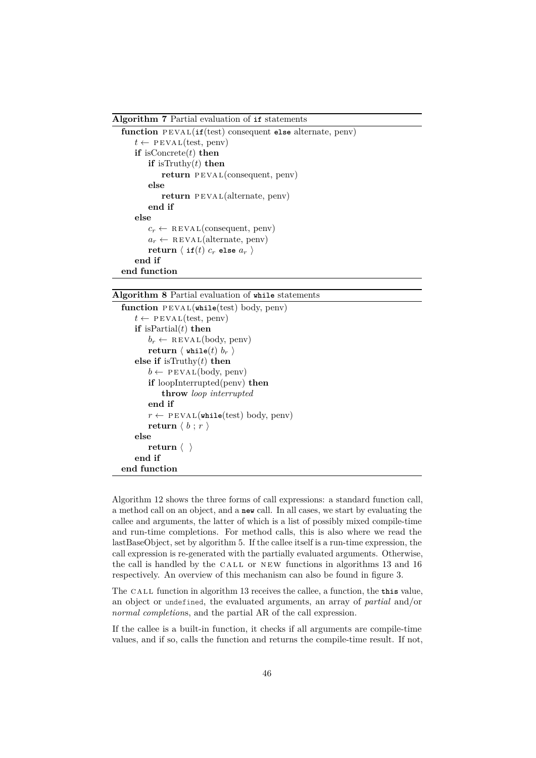<span id="page-46-1"></span>**Algorithm 7** Partial evaluation of **if** statements

```
function PEVAL(itf(test) consequent else alternate, penv)
    t \leftarrow \text{PEVAL}(\text{test}, \text{penv})if isConcrete(t) then
        if isTruthy(t) then
            return PEVAL(consequent, penv)
        else
            return PEVAL(alternate, penv)
        end if
    else
        c_r \leftarrow \text{REVAL}(\text{consequent}, \text{penv})a_r \leftarrow \text{REVAL}(alternate, \text{penv})return \langle if(t) c_r else a_r \rangleend if
end function
```
<span id="page-46-0"></span>**Algorithm 8** Partial evaluation of **while** statements

```
function PEVAL(while(test) body, penv)t \leftarrow \text{PEVAL}(\text{test}, \text{penv})if isPartial(t) then
         b_r \leftarrow \text{REVAL}(\text{body}, \text{penv})return \langle while(t) b_r \rangleelse if isTruthy(t) then
         b \leftarrow \text{PEVAL}(\text{body}, \text{penv})if loopInterrupted(penv) then
              throw loop interrupted
         end if
         r \leftarrow \text{PEVAL}(\text{while}(\text{test}) \text{ body}, \text{penv})return \langle b : r \rangleelse
         return \langle \rangleend if
end function
```
Algorithm [12](#page-50-0) shows the three forms of call expressions: a standard function call, a method call on an object, and a **new** call. In all cases, we start by evaluating the callee and arguments, the latter of which is a list of possibly mixed compile-time and run-time completions. For method calls, this is also where we read the lastBaseObject, set by algorithm [5.](#page-44-0) If the callee itself is a run-time expression, the call expression is re-generated with the partially evaluated arguments. Otherwise, the call is handled by the CALL or NEW functions in algorithms  $13$  and  $16$ respectively. An overview of this mechanism can also be found in figure [3.](#page-39-0)

The CALL function in algorithm [13](#page-51-0) receives the callee, a function, the **this** value, an object or undefined, the evaluated arguments, an array of *partial* and/or *normal completion*s, and the partial AR of the call expression.

If the callee is a built-in function, it checks if all arguments are compile-time values, and if so, calls the function and returns the compile-time result. If not,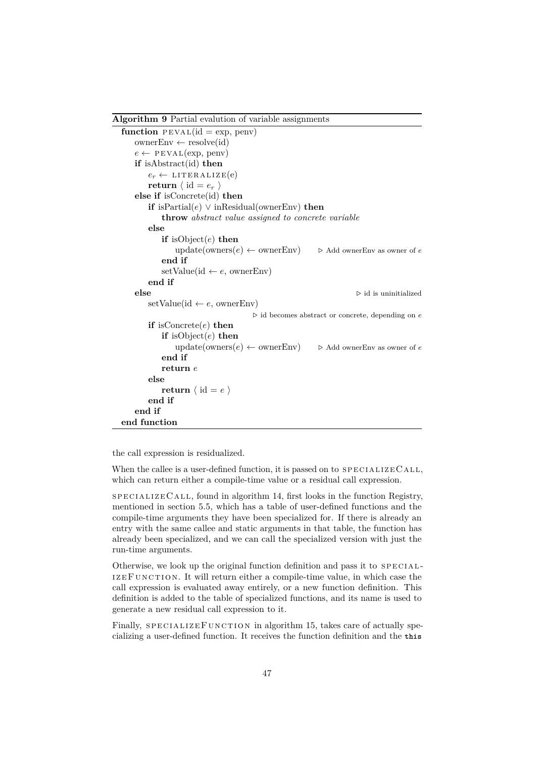<span id="page-47-0"></span>**Algorithm 9** Partial evalution of variable assignments

```
function PEVAL(id = exp, penv)ownerEnv \leftarrow resolve(id)
   e \leftarrow \text{PEVAL}(\text{exp}, \text{penv})if isAbstract(id) then
       e_r \leftarrow \text{LITERALIZE}(e)return \langle id = e_r \rangleelse if isConcrete(id) then
       if isPartial(e) \vee inResidual(ownerEnv) then
           throw abstract value assigned to concrete variable
       else
           if isObject(e) then
               update(owners(e) \leftarrow ownerEnv) \rightarrow Add ownerEnv as owner of e
           end if
           setValue(id \leftarrow e, ownerEnv)
       end if
   else \triangleright id is uninitialized
       setValue(id \leftarrow e, ownerEnv). id becomes abstract or concrete, depending on e
       if isConcrete(e) then
           if isObject(e) then
               update(owners(e) \leftarrow ownerEnv) \rightarrow Add ownerEnv as owner of e
           end if
           return e
       else
           return \langle id = e \rangleend if
   end if
end function
```
the call expression is residualized.

When the callee is a user-defined function, it is passed on to  $SPECIALIZECALL$ , which can return either a compile-time value or a residual call expression.

 $SPECTALIZE CALL$ , found in algorithm [14,](#page-51-1) first looks in the function Registry, mentioned in section [5.5,](#page-38-1) which has a table of user-defined functions and the compile-time arguments they have been specialized for. If there is already an entry with the same callee and static arguments in that table, the function has already been specialized, and we can call the specialized version with just the run-time arguments.

Otherwise, we look up the original function definition and pass it to SPECIAL-IZEFUNCTION. It will return either a compile-time value, in which case the call expression is evaluated away entirely, or a new function definition. This definition is added to the table of specialized functions, and its name is used to generate a new residual call expression to it.

Finally, SPECIALIZEFUNCTION in algorithm [15,](#page-52-0) takes care of actually specializing a user-defined function. It receives the function definition and the **this**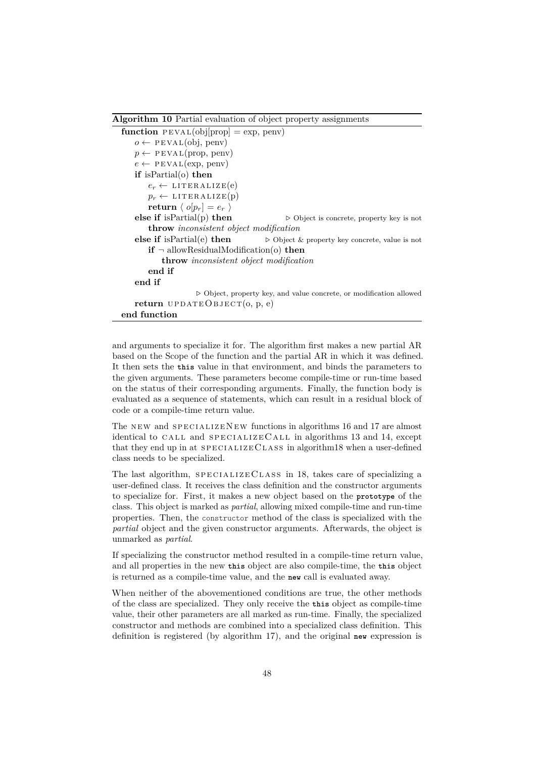<span id="page-48-0"></span>**Algorithm 10** Partial evaluation of object property assignments

```
function PEVAL(obj[prop] = exp, penv)o \leftarrow \text{PEVAL}(obj, \text{penv})p \leftarrow \text{PEVAL}(\text{prop}, \text{penv})e \leftarrow \text{PEVAL}(\text{exp}, \text{penv})if isPartial(o) then
        e_r \leftarrow \text{LITERALIZE}(e)p_r \leftarrow \text{LITERALIZE}(p)return \langle o[p_r] = e_r \rangleelse if isPartial(p) then ⊳ Object is concrete, property key is not
        throw inconsistent object modification
    else if is Partial(e) then \triangleright Object & property key concrete, value is not
        if ¬ allowResidualModification(o) then
           throw inconsistent object modification
        end if
    end if
                      . Object, property key, and value concrete, or modification allowed
   return UPDATEOBJECT(0, p, e)end function
```
and arguments to specialize it for. The algorithm first makes a new partial AR based on the Scope of the function and the partial AR in which it was defined. It then sets the **this** value in that environment, and binds the parameters to the given arguments. These parameters become compile-time or run-time based on the status of their corresponding arguments. Finally, the function body is evaluated as a sequence of statements, which can result in a residual block of code or a compile-time return value.

The NEW and SPECIALIZENEW functions in algorithms [16](#page-52-1) and [17](#page-53-1) are almost identical to CALL and SPECIALIZECALL in algorithms [13](#page-51-0) and [14,](#page-51-1) except that they end up in at  $s$ PECIALIZECLASS in algorith[m18](#page-53-0) when a user-defined class needs to be specialized.

The last algorithm,  $SPECIALIZECLASS$  in [18,](#page-53-0) takes care of specializing a user-defined class. It receives the class definition and the constructor arguments to specialize for. First, it makes a new object based on the **prototype** of the class. This object is marked as *partial*, allowing mixed compile-time and run-time properties. Then, the constructor method of the class is specialized with the *partial* object and the given constructor arguments. Afterwards, the object is unmarked as *partial*.

If specializing the constructor method resulted in a compile-time return value, and all properties in the new **this** object are also compile-time, the **this** object is returned as a compile-time value, and the **new** call is evaluated away.

When neither of the abovementioned conditions are true, the other methods of the class are specialized. They only receive the **this** object as compile-time value, their other parameters are all marked as run-time. Finally, the specialized constructor and methods are combined into a specialized class definition. This definition is registered (by algorithm [17\)](#page-53-1), and the original **new** expression is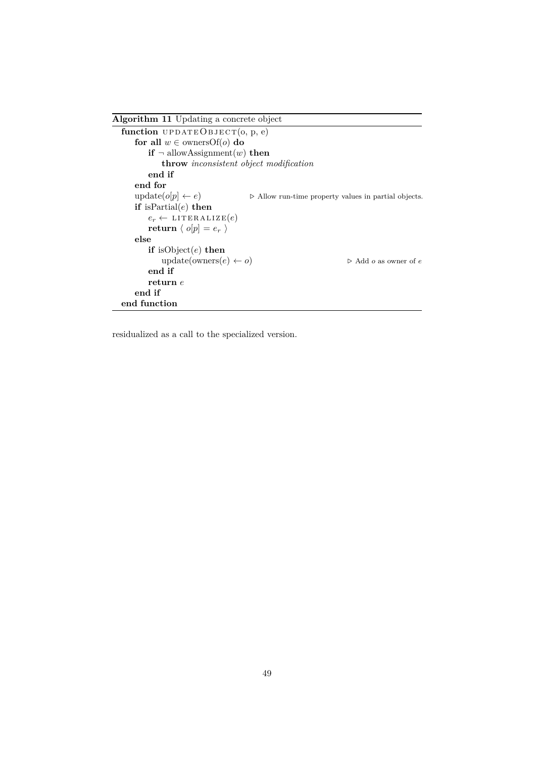```
Algorithm 11 Updating a concrete object
  function UPDATEOBJECT(0, p, e)for all w \in \text{ownersOf}(o) do
         if \neg allowAssignment(w) then
            throw inconsistent object modification
         end if
     end for
     update(o[p] \leftarrow e) <br> . Allow run-time property values in partial objects.
     if isPartial(e) then
         e_r \leftarrow \text{LITERALIZE}(e)return \langle o[p] = e_r \rangleelse
         if isObject(e) then
            update(owners(e) \leftarrow o) \triangleright Add o as owner of e
         end if
         return e
     end if
  end function
```
residualized as a call to the specialized version.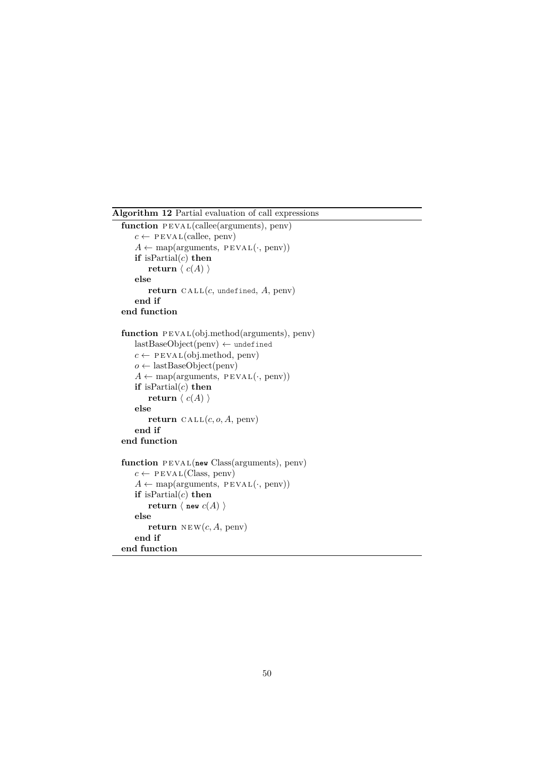<span id="page-50-0"></span>**Algorithm 12** Partial evaluation of call expressions

```
function PEVAL(callee(arguments), penv)
   c \leftarrow \text{PEVAL}(\text{called, penv})A \leftarrow map(arguments, PEVAL(·, penv))if isPartial(c) then
        return \langle c(A) \rangleelse
        return \text{CALL}(c, \text{undefined}, A, \text{penv})end if
end function
function PEVAL(obj.method(arguments), penv)lastBaseObject(penv) \leftarrow undefinedc \leftarrow \text{PEVAL}(obj{.}method, \text{penv})o ← lastBaseObject(penv)
   A \leftarrow \text{map}(\text{arguments}, \text{PEVAL}(\cdot, \text{penv}))if isPartial(c) then
        return \langle c(A) \rangleelse
        return \text{CALL}(c, o, A, \text{penv})end if
end function
function PEVAL(new Class(arguments), penv)
   c \leftarrow \text{PEVAL}(Class, \text{penv})A \leftarrow map(arguments, PEVAL(\cdot, penv))if isPartial(c) then
        return \langle new c(A) \rangleelse
        return NEW(c, A, \text{penv})end if
end function
```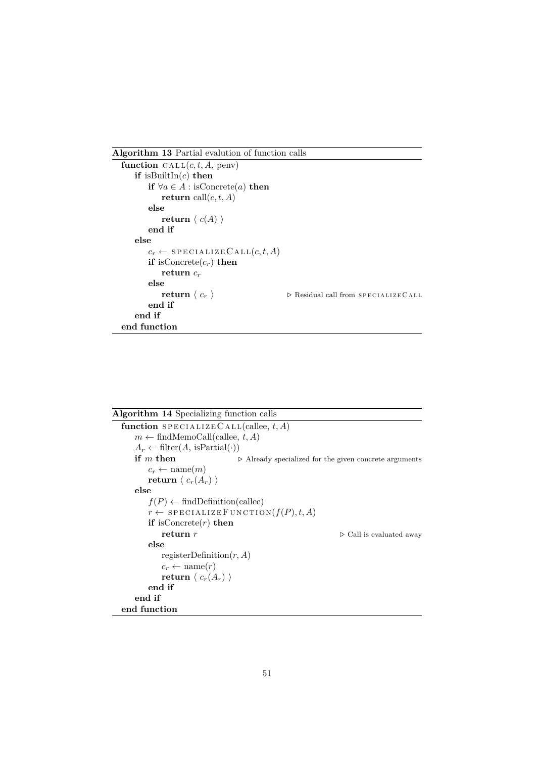<span id="page-51-0"></span>**Algorithm 13** Partial evalution of function calls

```
function CALL(c, t, A, penv)
   if isBuiltIn(c) then
       if ∀a ∈ A: isConcrete(a) then
           return call(c, t, A)else
           return \langle c(A) \rangleend if
   else
       c_r \leftarrow SPECIALIZECALL(c, t, A)if isConcrete(c_r) then
           return cr
       else<br>return \langle c_r \rangle\triangleright Residual call from SPECIALIZECALL
       end if
   end if
end function
```
<span id="page-51-1"></span>

| <b>Algorithm 14</b> Specializing function calls             |                                                                       |
|-------------------------------------------------------------|-----------------------------------------------------------------------|
| function SPECIALIZECALL(callee, $t, A$ )                    |                                                                       |
| $m \leftarrow \text{findMemoCall}(\text{called}, t, A)$     |                                                                       |
| $A_r \leftarrow \text{filter}(A, \text{ isPartial}(\cdot))$ |                                                                       |
| if $m$ then                                                 | $\triangleright$ Already specialized for the given concrete arguments |
| $c_r \leftarrow \text{name}(m)$                             |                                                                       |
| return $\langle c_r(A_r) \rangle$                           |                                                                       |
| else                                                        |                                                                       |
| $f(P) \leftarrow \text{findDefinition}(\text{called})$      |                                                                       |
|                                                             | $r \leftarrow$ SPECIALIZE FUNCTION $(f(P), t, A)$                     |
| <b>if</b> is Concrete $(r)$ then                            |                                                                       |
| return $r$                                                  | $\triangleright$ Call is evaluated away                               |
| else                                                        |                                                                       |
| registerDefinition $(r, A)$                                 |                                                                       |
| $c_r \leftarrow \text{name}(r)$                             |                                                                       |
| return $\langle c_r(A_r) \rangle$                           |                                                                       |
| end if                                                      |                                                                       |
| end if                                                      |                                                                       |
| end function                                                |                                                                       |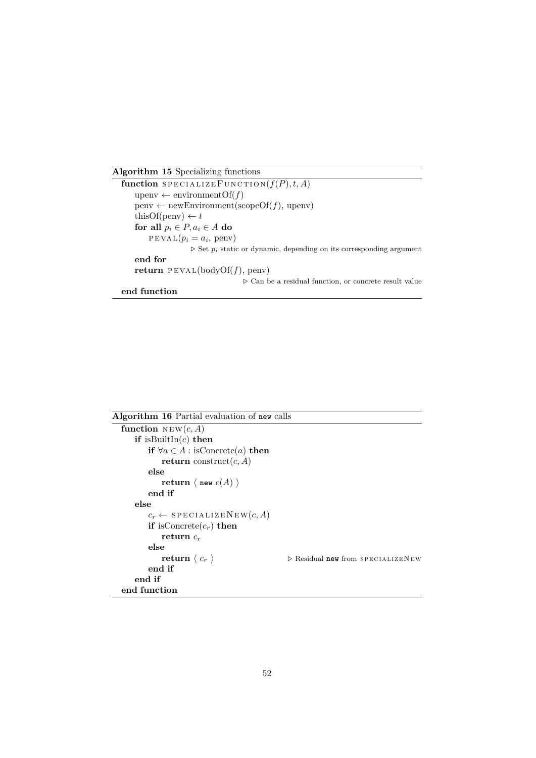<span id="page-52-0"></span>**Algorithm 15** Specializing functions

```
function SPECTALIZE FUNCTION(f(P), t, A)upenv \leftarrow environment\text{Of}(f)penv ← newEnvironment(scopeOf(f), upenv)
   thisOf(penv) \leftarrow tfor all p_i \in P, a_i \in A do
        PEVAL(p_i = a_i, \text{penv})\triangleright Set p_i static or dynamic, depending on its corresponding argument
   end for
   return PEVAL(bodyOf(f), penv)
                                  . Can be a residual function, or concrete result value
```

```
end function
```
<span id="page-52-1"></span>

| Algorithm 16 Partial evaluation of new calls     |                                                  |
|--------------------------------------------------|--------------------------------------------------|
| function $NEW(c, A)$                             |                                                  |
| if is Built $\text{In}(c)$ then                  |                                                  |
| if $\forall a \in A : \text{isConcrete}(a)$ then |                                                  |
| return construct $(c, A)$                        |                                                  |
| else                                             |                                                  |
| return $\langle$ new $c(A)$ $\rangle$            |                                                  |
| end if                                           |                                                  |
| else                                             |                                                  |
| $c_r \leftarrow$ SPECIALIZENEW $(c, A)$          |                                                  |
| <b>if</b> is Concrete $(c_r)$ then               |                                                  |
| return $c_r$                                     |                                                  |
| else                                             |                                                  |
| return $\langle c_r \rangle$                     | $\triangleright$ Residual new from SPECIALIZENEW |
| end if                                           |                                                  |
| end if                                           |                                                  |
| end function                                     |                                                  |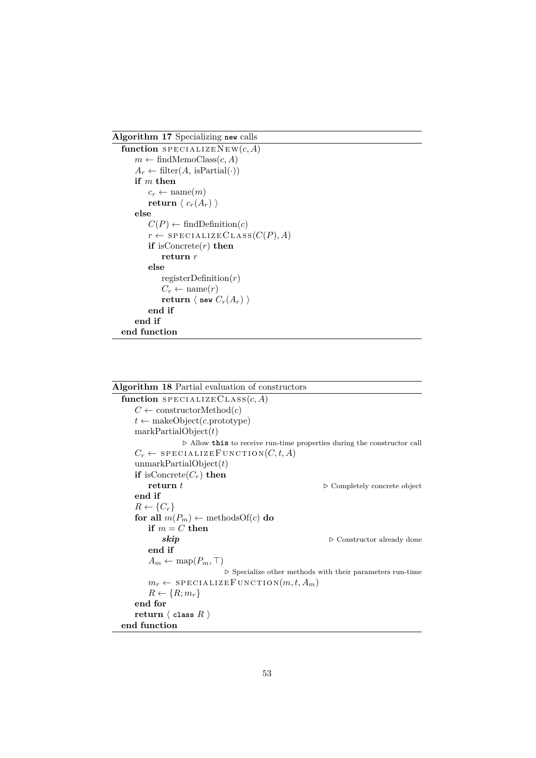<span id="page-53-1"></span>**Algorithm 17** Specializing **new** calls

```
function SPECIALIZENEW(c, A)m \leftarrow \text{findMemoClass}(c, A)A_r \leftarrow \text{filter}(A, \text{ isPartial}(\cdot))if m then
        c_r \leftarrow \text{name}(m)return \langle c_r(A_r) \rangleelse
        C(P) \leftarrow \text{findDefinition}(c)r \leftarrow SPECIALIZECLASS(C(P), A)
        if isConcrete(r) then
             return r
        else
            registerDefinition(r)
             C_r \leftarrow \text{name}(r)return \langle new C_r(A_r) \rangleend if
    end if
end function
```

```
Algorithm 18 Partial evaluation of constructors
  function SPECIALIZECLASS(c, A)C \leftarrow constructorMethod(c)
     t \leftarrow makeObject(c.prototype)
     markPartialObject(t)
                   \triangleright Allow \texttt{this} to receive run-time properties during the constructor call
     C_r \leftarrow SPECIALIZEFUNCTION(C, t, A)
     unmarkPartialObject(t)
     if isConcrete(C_r) then
         return t \triangleright Completely concrete object
     end if
     R \leftarrow \{C_r\}for all m(P_m) \leftarrow methodsOf(c) do
         if m = C then
             skip \triangleright Constructor already done
         end if
         A_m \leftarrow \text{map}(P_m, \top)\triangleright Specialize other methods with their parameters run-time
         m_r \leftarrow SPECIALIZEFUNCTION(m, t, A_m)R \leftarrow \{R; m_r\}end for
     return \langle class R \rangleend function
```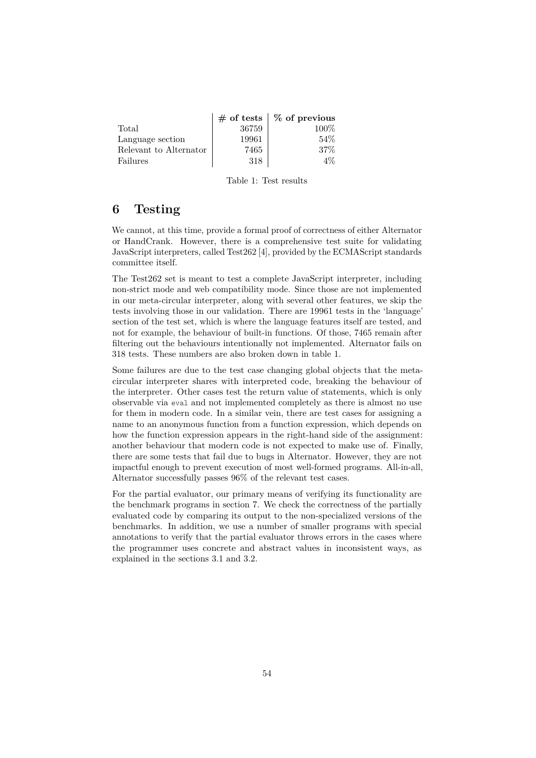<span id="page-54-0"></span>

|                        |       | $\#$ of tests $\mid \%$ of previous |
|------------------------|-------|-------------------------------------|
| Total                  | 36759 | $100\%$                             |
| Language section       | 19961 | $54\%$                              |
| Relevant to Alternator | 7465  | $37\%$                              |
| Failures               | 318   | 4%                                  |

Table 1: Test results

## **6 Testing**

We cannot, at this time, provide a formal proof of correctness of either Alternator or HandCrank. However, there is a comprehensive test suite for validating JavaScript interpreters, called Test262 [\[4\]](#page-69-0), provided by the ECMAScript standards committee itself.

The Test262 set is meant to test a complete JavaScript interpreter, including non-strict mode and web compatibility mode. Since those are not implemented in our meta-circular interpreter, along with several other features, we skip the tests involving those in our validation. There are 19961 tests in the 'language' section of the test set, which is where the language features itself are tested, and not for example, the behaviour of built-in functions. Of those, 7465 remain after filtering out the behaviours intentionally not implemented. Alternator fails on 318 tests. These numbers are also broken down in table [1.](#page-54-0)

Some failures are due to the test case changing global objects that the metacircular interpreter shares with interpreted code, breaking the behaviour of the interpreter. Other cases test the return value of statements, which is only observable via eval and not implemented completely as there is almost no use for them in modern code. In a similar vein, there are test cases for assigning a name to an anonymous function from a function expression, which depends on how the function expression appears in the right-hand side of the assignment: another behaviour that modern code is not expected to make use of. Finally, there are some tests that fail due to bugs in Alternator. However, they are not impactful enough to prevent execution of most well-formed programs. All-in-all, Alternator successfully passes 96% of the relevant test cases.

For the partial evaluator, our primary means of verifying its functionality are the benchmark programs in section [7.](#page-55-0) We check the correctness of the partially evaluated code by comparing its output to the non-specialized versions of the benchmarks. In addition, we use a number of smaller programs with special annotations to verify that the partial evaluator throws errors in the cases where the programmer uses concrete and abstract values in inconsistent ways, as explained in the sections [3.1](#page-23-0) and [3.2.](#page-24-1)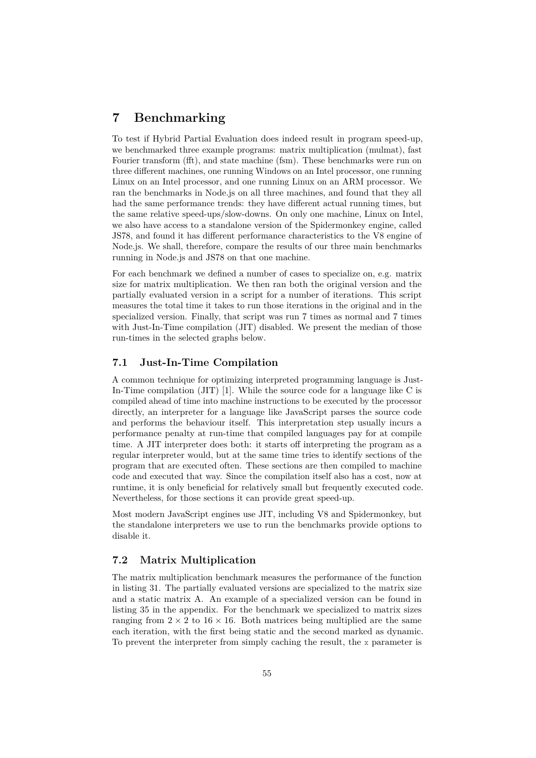# <span id="page-55-0"></span>**7 Benchmarking**

To test if Hybrid Partial Evaluation does indeed result in program speed-up, we benchmarked three example programs: matrix multiplication (mulmat), fast Fourier transform (fft), and state machine (fsm). These benchmarks were run on three different machines, one running Windows on an Intel processor, one running Linux on an Intel processor, and one running Linux on an ARM processor. We ran the benchmarks in Node.js on all three machines, and found that they all had the same performance trends: they have different actual running times, but the same relative speed-ups/slow-downs. On only one machine, Linux on Intel, we also have access to a standalone version of the Spidermonkey engine, called JS78, and found it has different performance characteristics to the V8 engine of Node.js. We shall, therefore, compare the results of our three main benchmarks running in Node.js and JS78 on that one machine.

For each benchmark we defined a number of cases to specialize on, e.g. matrix size for matrix multiplication. We then ran both the original version and the partially evaluated version in a script for a number of iterations. This script measures the total time it takes to run those iterations in the original and in the specialized version. Finally, that script was run 7 times as normal and 7 times with Just-In-Time compilation (JIT) disabled. We present the median of those run-times in the selected graphs below.

#### **7.1 Just-In-Time Compilation**

A common technique for optimizing interpreted programming language is Just-In-Time compilation (JIT) [\[1\]](#page-69-1). While the source code for a language like C is compiled ahead of time into machine instructions to be executed by the processor directly, an interpreter for a language like JavaScript parses the source code and performs the behaviour itself. This interpretation step usually incurs a performance penalty at run-time that compiled languages pay for at compile time. A JIT interpreter does both: it starts off interpreting the program as a regular interpreter would, but at the same time tries to identify sections of the program that are executed often. These sections are then compiled to machine code and executed that way. Since the compilation itself also has a cost, now at runtime, it is only beneficial for relatively small but frequently executed code. Nevertheless, for those sections it can provide great speed-up.

Most modern JavaScript engines use JIT, including V8 and Spidermonkey, but the standalone interpreters we use to run the benchmarks provide options to disable it.

### **7.2 Matrix Multiplication**

The matrix multiplication benchmark measures the performance of the function in listing [31.](#page-56-0) The partially evaluated versions are specialized to the matrix size and a static matrix A. An example of a specialized version can be found in listing [35](#page-73-0) in the appendix. For the benchmark we specialized to matrix sizes ranging from  $2 \times 2$  to  $16 \times 16$ . Both matrices being multiplied are the same each iteration, with the first being static and the second marked as dynamic. To prevent the interpreter from simply caching the result, the x parameter is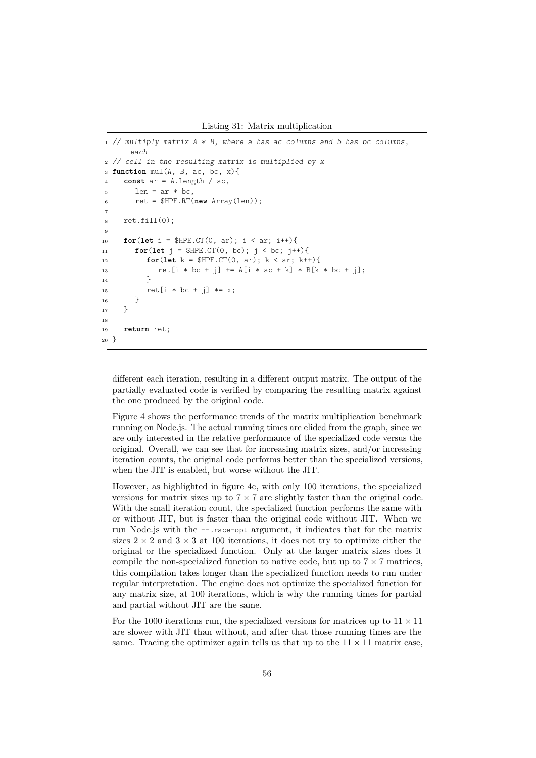Listing 31: Matrix multiplication

```
1 // multiply matrix A * B, where a has ac columns and b has bc columns,
      each
2 // cell in the resulting matrix is multiplied by x
3 function mul(A, B, ac, bc, x){
     const ar = A.length / ac,
1en = ar * bc,
6 ret = $HPE.RT(new Array(len));
7
8 ret.fill(0);
\overline{9}10 for(let i = $HPE.CT(0, ar); i < ar; i++){
11 for(let j = $HPE.CT(0, bc); j < bc; j++){
12 for(let k = $HPE.CT(0, ar); k < ar; k++){
13 rel[i * bc + j] += A[i * ac + k] * B[k * bc + j];14   }
15 ret[i * bc + j] * = x;\begin{matrix} 16 & 15 \\ 17 & 15 \end{matrix}17 }
18
19 return ret;
20 }
```
different each iteration, resulting in a different output matrix. The output of the partially evaluated code is verified by comparing the resulting matrix against the one produced by the original code.

Figure [4](#page-57-0) shows the performance trends of the matrix multiplication benchmark running on Node.js. The actual running times are elided from the graph, since we are only interested in the relative performance of the specialized code versus the original. Overall, we can see that for increasing matrix sizes, and/or increasing iteration counts, the original code performs better than the specialized versions, when the JIT is enabled, but worse without the JIT.

However, as highlighted in figure [4c,](#page-57-0) with only 100 iterations, the specialized versions for matrix sizes up to  $7 \times 7$  are slightly faster than the original code. With the small iteration count, the specialized function performs the same with or without JIT, but is faster than the original code without JIT. When we run Node.js with the --trace-opt argument, it indicates that for the matrix sizes  $2 \times 2$  and  $3 \times 3$  at 100 iterations, it does not try to optimize either the original or the specialized function. Only at the larger matrix sizes does it compile the non-specialized function to native code, but up to  $7 \times 7$  matrices, this compilation takes longer than the specialized function needs to run under regular interpretation. The engine does not optimize the specialized function for any matrix size, at 100 iterations, which is why the running times for partial and partial without JIT are the same.

For the 1000 iterations run, the specialized versions for matrices up to  $11 \times 11$ are slower with JIT than without, and after that those running times are the same. Tracing the optimizer again tells us that up to the  $11 \times 11$  matrix case,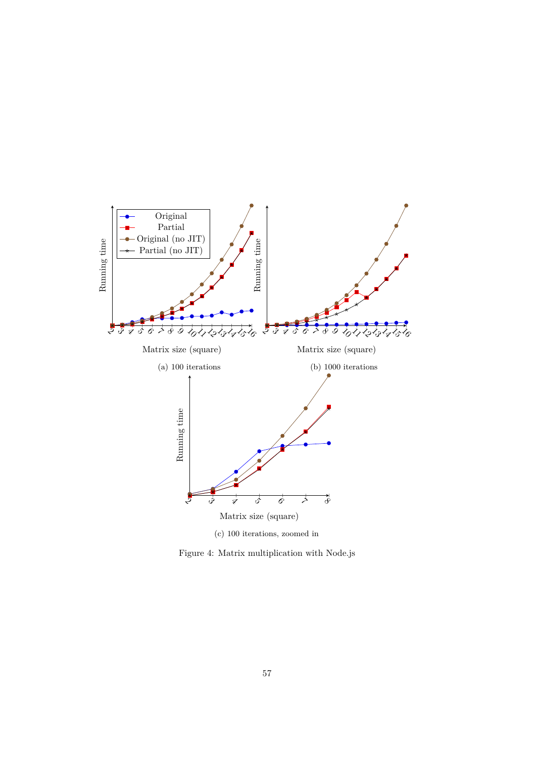<span id="page-57-0"></span>

Figure 4: Matrix multiplication with Node.js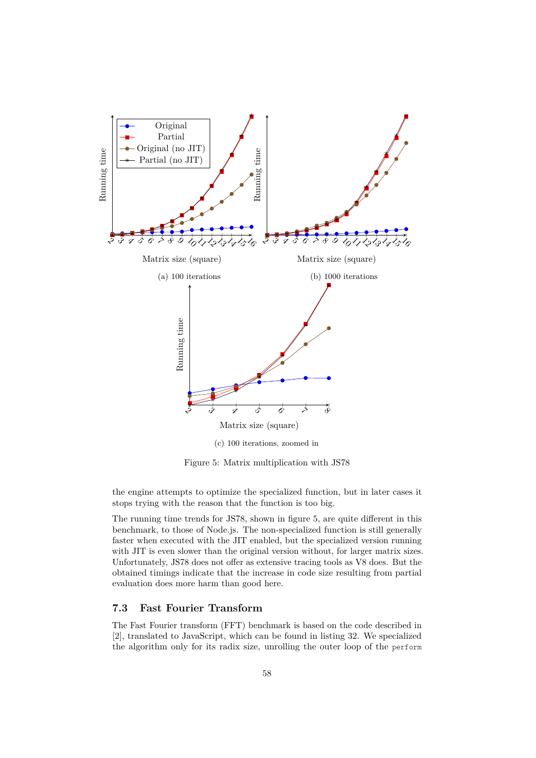<span id="page-58-0"></span>

Figure 5: Matrix multiplication with JS78

the engine attempts to optimize the specialized function, but in later cases it stops trying with the reason that the function is too big.

The running time trends for JS78, shown in figure [5,](#page-58-0) are quite different in this benchmark, to those of Node.js. The non-specialized function is still generally faster when executed with the JIT enabled, but the specialized version running with JIT is even slower than the original version without, for larger matrix sizes. Unfortunately, JS78 does not offer as extensive tracing tools as V8 does. But the obtained timings indicate that the increase in code size resulting from partial evaluation does more harm than good here.

### **7.3 Fast Fourier Transform**

The Fast Fourier transform (FFT) benchmark is based on the code described in [\[2\]](#page-69-2), translated to JavaScript, which can be found in listing [32.](#page-59-0) We specialized the algorithm only for its radix size, unrolling the outer loop of the perform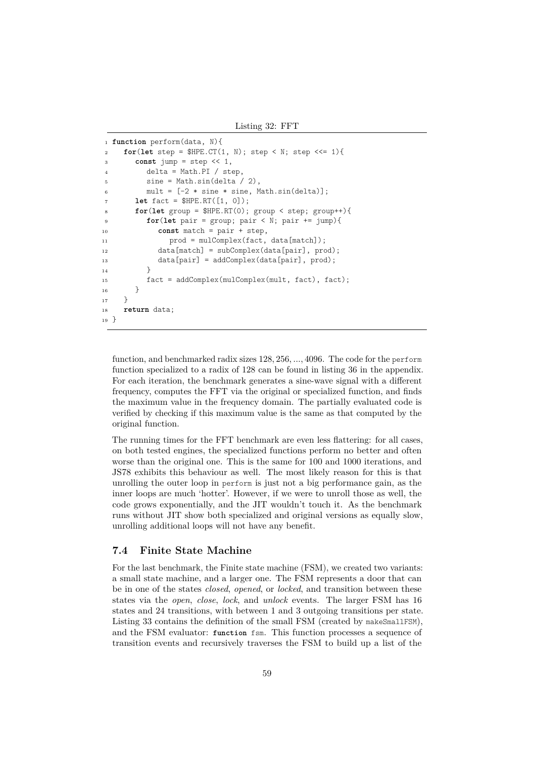Listing 32: FFT

```
1 function perform(data, N){
\mathbf{for} (let step = $HPE.CT(1, N); step < N; step <<= 1){
3 const jump = step << 1,
4 delta = Math.PI / step,
5 sine = Math.sin(delta / 2),
6 mult = [-2 * sine * sine, Math.sin(delta)];let fact = $HPE.RT([1, 0]);
8 for(let group = $HPE.RT(0); group < step; group++){
9 for(let pair = group; pair < N; pair += jump){
10 const match = pair + step,
11 prod = mulComplex(fact, data[match]);
12 data[match] = subComplex(data[pair], prod);
13 data[pair] = addComplex(data[pair], prod);
14   }
15 fact = addComplex(mulComplex(mult, fact), fact);
16 }
17 }
18 return data;
19 }
```
function, and benchmarked radix sizes 128*,* 256*, ...,* 4096. The code for the perform function specialized to a radix of 128 can be found in listing [36](#page-75-0) in the appendix. For each iteration, the benchmark generates a sine-wave signal with a different frequency, computes the FFT via the original or specialized function, and finds the maximum value in the frequency domain. The partially evaluated code is verified by checking if this maximum value is the same as that computed by the original function.

The running times for the FFT benchmark are even less flattering: for all cases, on both tested engines, the specialized functions perform no better and often worse than the original one. This is the same for 100 and 1000 iterations, and JS78 exhibits this behaviour as well. The most likely reason for this is that unrolling the outer loop in perform is just not a big performance gain, as the inner loops are much 'hotter'. However, if we were to unroll those as well, the code grows exponentially, and the JIT wouldn't touch it. As the benchmark runs without JIT show both specialized and original versions as equally slow, unrolling additional loops will not have any benefit.

#### **7.4 Finite State Machine**

For the last benchmark, the Finite state machine (FSM), we created two variants: a small state machine, and a larger one. The FSM represents a door that can be in one of the states *closed*, *opened*, or *locked*, and transition between these states via the *open*, *close*, *lock*, and *unlock* events. The larger FSM has 16 states and 24 transitions, with between 1 and 3 outgoing transitions per state. Listing [33](#page-62-0) contains the definition of the small FSM (created by makeSmallFSM), and the FSM evaluator: **function** fsm. This function processes a sequence of transition events and recursively traverses the FSM to build up a list of the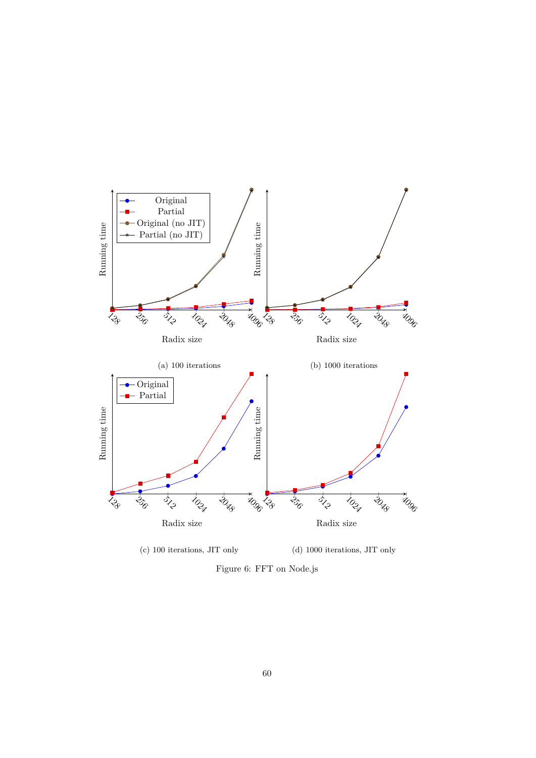

Figure 6: FFT on Node.js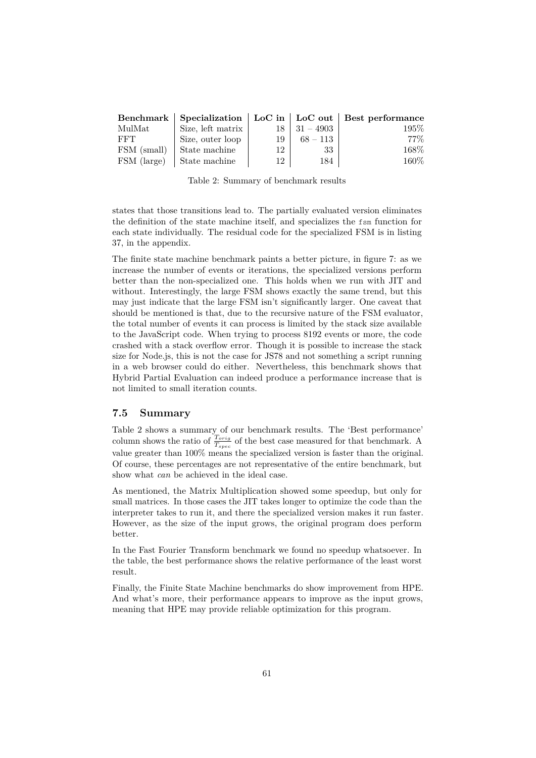<span id="page-61-0"></span>

|             |                   |    |             | Benchmark   Specialization   LoC in   LoC out   Best performance |
|-------------|-------------------|----|-------------|------------------------------------------------------------------|
| MulMat      | Size, left matrix |    | $31 - 4903$ | $195\%$                                                          |
| FFT         | Size, outer loop  | 19 | $68 - 113$  | 77%                                                              |
| FSM (small) | State machine     | 12 | 33          | 168%                                                             |
| FSM (large) | State machine     | 12 | 184         | 160%                                                             |

Table 2: Summary of benchmark results

states that those transitions lead to. The partially evaluated version eliminates the definition of the state machine itself, and specializes the fsm function for each state individually. The residual code for the specialized FSM is in listing [37,](#page-77-0) in the appendix.

The finite state machine benchmark paints a better picture, in figure [7:](#page-63-0) as we increase the number of events or iterations, the specialized versions perform better than the non-specialized one. This holds when we run with JIT and without. Interestingly, the large FSM shows exactly the same trend, but this may just indicate that the large FSM isn't significantly larger. One caveat that should be mentioned is that, due to the recursive nature of the FSM evaluator, the total number of events it can process is limited by the stack size available to the JavaScript code. When trying to process 8192 events or more, the code crashed with a stack overflow error. Though it is possible to increase the stack size for Node.js, this is not the case for JS78 and not something a script running in a web browser could do either. Nevertheless, this benchmark shows that Hybrid Partial Evaluation can indeed produce a performance increase that is not limited to small iteration counts.

#### **7.5 Summary**

Table [2](#page-61-0) shows a summary of our benchmark results. The 'Best performance' column shows the ratio of  $\frac{T_{orig}}{T_{spec}}$  of the best case measured for that benchmark. A value greater than 100% means the specialized version is faster than the original. Of course, these percentages are not representative of the entire benchmark, but show what *can* be achieved in the ideal case.

As mentioned, the Matrix Multiplication showed some speedup, but only for small matrices. In those cases the JIT takes longer to optimize the code than the interpreter takes to run it, and there the specialized version makes it run faster. However, as the size of the input grows, the original program does perform better.

In the Fast Fourier Transform benchmark we found no speedup whatsoever. In the table, the best performance shows the relative performance of the least worst result.

Finally, the Finite State Machine benchmarks do show improvement from HPE. And what's more, their performance appears to improve as the input grows, meaning that HPE may provide reliable optimization for this program.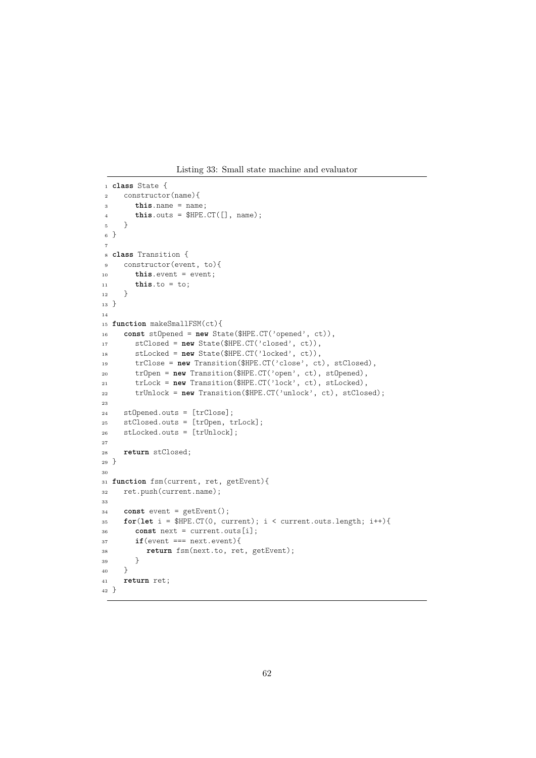Listing 33: Small state machine and evaluator

```
1 class State {
2 constructor(name){
3 this.name = name;
\text{this.outs} = \text{SHPE}.\text{CT}(\lceil \cdot \rceil, \text{name});
5 }
6 }
 7
8 class Transition {
9 constructor(event, to){
10 this.event = event;
11 this.to = to;<br>12 }
12
13 }
14
15 function makeSmallFSM(ct){
16 const stOpened = new State($HPE.CT('opened', ct)),
17 stClosed = new State($HPE.CT('closed', ct)),
18 stLocked = new State($HPE.CT('locked', ct)),
19 trClose = new Transition($HPE.CT('close', ct), stClosed),
20 trOpen = new Transition($HPE.CT('open', ct), stOpened),
21 trLock = new Transition($HPE.CT('lock', ct), stLocked),
22 trUnlock = new Transition($HPE.CT('unlock', ct), stClosed);
23
24 stOpened.outs = [trClose];
25 stClosed.outs = [trOpen, trLock];
26 stLocked.outs = [trUnlock];
27
28 return stClosed;
29 }
30
31 function fsm(current, ret, getEvent){
32 ret.push(current.name);
33
34 const event = getEvent();
35 for(let i = $HPE.CT(0, current); i < current.outs.length; i++){
36 const next = current.outs[i];
37 if(event === next.event){
38 return fsm(next.to, ret, getEvent);
39 }
_{40} \qquad }
41 return ret;
42 }
```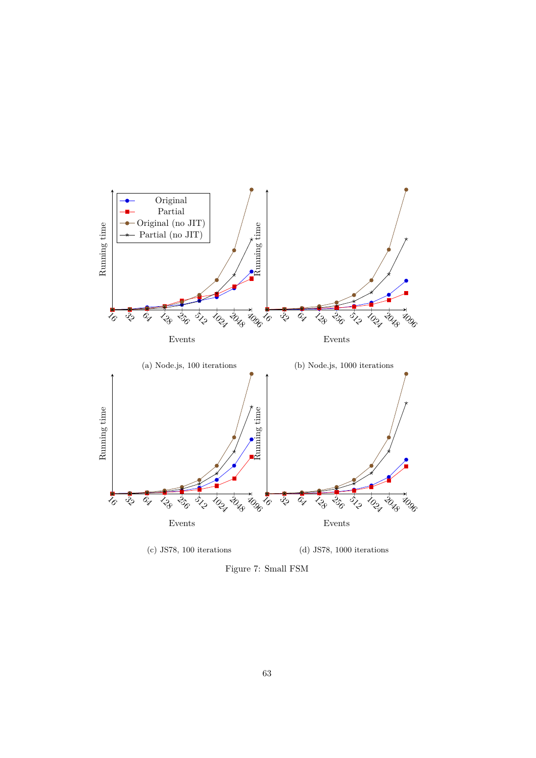<span id="page-63-0"></span>

Figure 7: Small FSM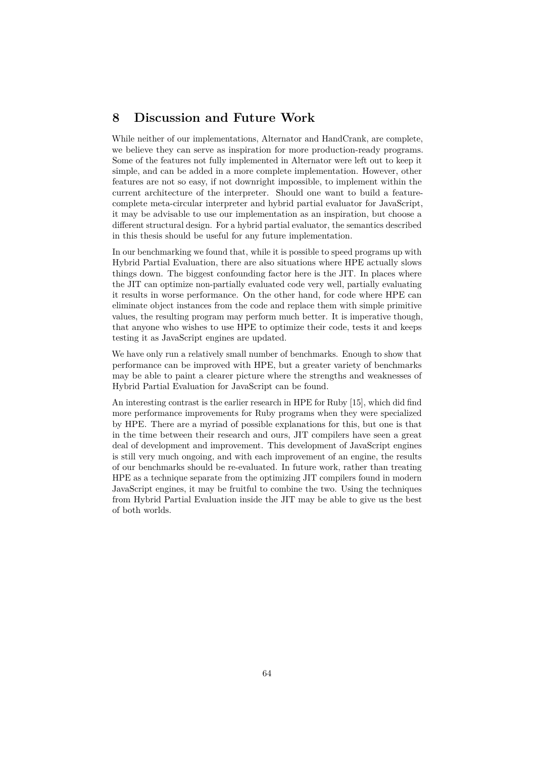## **8 Discussion and Future Work**

While neither of our implementations, Alternator and HandCrank, are complete, we believe they can serve as inspiration for more production-ready programs. Some of the features not fully implemented in Alternator were left out to keep it simple, and can be added in a more complete implementation. However, other features are not so easy, if not downright impossible, to implement within the current architecture of the interpreter. Should one want to build a featurecomplete meta-circular interpreter and hybrid partial evaluator for JavaScript, it may be advisable to use our implementation as an inspiration, but choose a different structural design. For a hybrid partial evaluator, the semantics described in this thesis should be useful for any future implementation.

In our benchmarking we found that, while it is possible to speed programs up with Hybrid Partial Evaluation, there are also situations where HPE actually slows things down. The biggest confounding factor here is the JIT. In places where the JIT can optimize non-partially evaluated code very well, partially evaluating it results in worse performance. On the other hand, for code where HPE can eliminate object instances from the code and replace them with simple primitive values, the resulting program may perform much better. It is imperative though, that anyone who wishes to use HPE to optimize their code, tests it and keeps testing it as JavaScript engines are updated.

We have only run a relatively small number of benchmarks. Enough to show that performance can be improved with HPE, but a greater variety of benchmarks may be able to paint a clearer picture where the strengths and weaknesses of Hybrid Partial Evaluation for JavaScript can be found.

An interesting contrast is the earlier research in HPE for Ruby [\[15\]](#page-70-0), which did find more performance improvements for Ruby programs when they were specialized by HPE. There are a myriad of possible explanations for this, but one is that in the time between their research and ours, JIT compilers have seen a great deal of development and improvement. This development of JavaScript engines is still very much ongoing, and with each improvement of an engine, the results of our benchmarks should be re-evaluated. In future work, rather than treating HPE as a technique separate from the optimizing JIT compilers found in modern JavaScript engines, it may be fruitful to combine the two. Using the techniques from Hybrid Partial Evaluation inside the JIT may be able to give us the best of both worlds.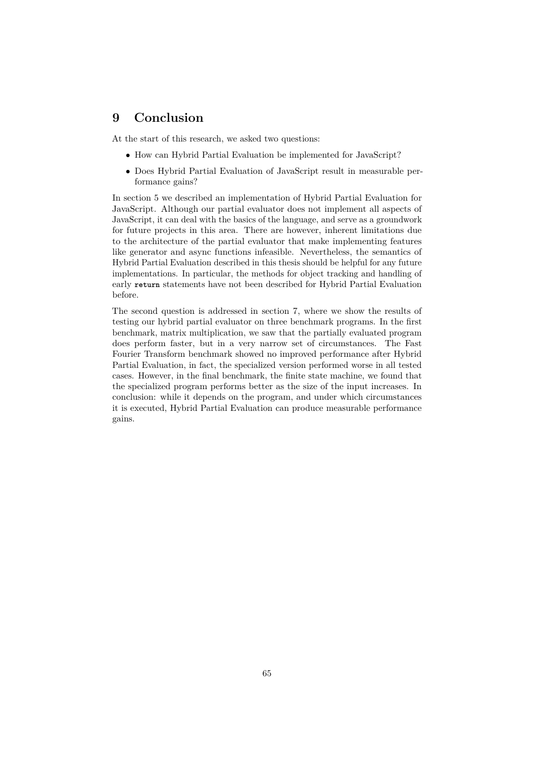# **9 Conclusion**

At the start of this research, we asked two questions:

- How can Hybrid Partial Evaluation be implemented for JavaScript?
- Does Hybrid Partial Evaluation of JavaScript result in measurable performance gains?

In section [5](#page-36-3) we described an implementation of Hybrid Partial Evaluation for JavaScript. Although our partial evaluator does not implement all aspects of JavaScript, it can deal with the basics of the language, and serve as a groundwork for future projects in this area. There are however, inherent limitations due to the architecture of the partial evaluator that make implementing features like generator and async functions infeasible. Nevertheless, the semantics of Hybrid Partial Evaluation described in this thesis should be helpful for any future implementations. In particular, the methods for object tracking and handling of early **return** statements have not been described for Hybrid Partial Evaluation before.

The second question is addressed in section [7,](#page-55-0) where we show the results of testing our hybrid partial evaluator on three benchmark programs. In the first benchmark, matrix multiplication, we saw that the partially evaluated program does perform faster, but in a very narrow set of circumstances. The Fast Fourier Transform benchmark showed no improved performance after Hybrid Partial Evaluation, in fact, the specialized version performed worse in all tested cases. However, in the final benchmark, the finite state machine, we found that the specialized program performs better as the size of the input increases. In conclusion: while it depends on the program, and under which circumstances it is executed, Hybrid Partial Evaluation can produce measurable performance gains.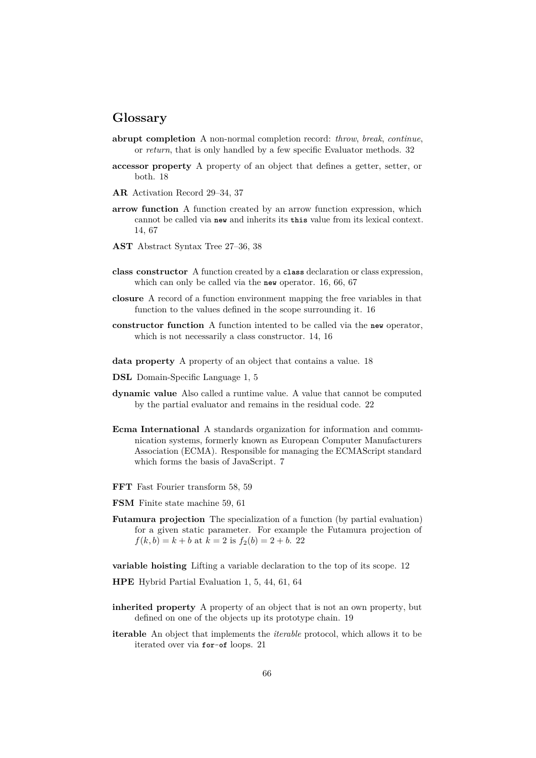## **Glossary**

- **abrupt completion** A non-normal completion record: *throw*, *break*, *continue*, or *return*, that is only handled by a few specific Evaluator methods. 32
- **accessor property** A property of an object that defines a getter, setter, or both. 18
- **AR** Activation Record 29–34, 37
- **arrow function** A function created by an arrow function expression, which cannot be called via **new** and inherits its **this** value from its lexical context. 14, 67
- **AST** Abstract Syntax Tree 27–36, 38
- **class constructor** A function created by a **class** declaration or class expression, which can only be called via the **new** operator. 16, 66, 67
- **closure** A record of a function environment mapping the free variables in that function to the values defined in the scope surrounding it. 16
- **constructor function** A function intented to be called via the **new** operator, which is not necessarily a class constructor. 14, 16
- **data property** A property of an object that contains a value. 18
- **DSL** Domain-Specific Language 1, 5
- **dynamic value** Also called a runtime value. A value that cannot be computed by the partial evaluator and remains in the residual code. 22
- **Ecma International** A standards organization for information and communication systems, formerly known as European Computer Manufacturers Association (ECMA). Responsible for managing the ECMAScript standard which forms the basis of JavaScript. 7
- **FFT** Fast Fourier transform 58, 59
- **FSM** Finite state machine 59, 61
- **Futamura projection** The specialization of a function (by partial evaluation) for a given static parameter. For example the Futamura projection of  $f(k, b) = k + b$  at  $k = 2$  is  $f_2(b) = 2 + b$ . 22

**variable hoisting** Lifting a variable declaration to the top of its scope. 12

**HPE** Hybrid Partial Evaluation 1, 5, 44, 61, 64

- **inherited property** A property of an object that is not an own property, but defined on one of the objects up its prototype chain. 19
- **iterable** An object that implements the *iterable* protocol, which allows it to be iterated over via **for**-**of** loops. 21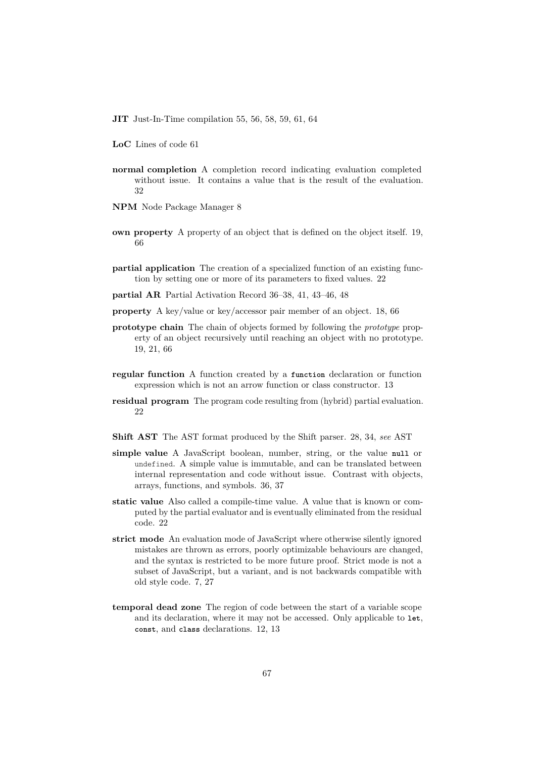**JIT** Just-In-Time compilation 55, 56, 58, 59, 61, 64

- **LoC** Lines of code 61
- **normal completion** A completion record indicating evaluation completed without issue. It contains a value that is the result of the evaluation. 32
- **NPM** Node Package Manager 8
- **own property** A property of an object that is defined on the object itself. 19, 66
- **partial application** The creation of a specialized function of an existing function by setting one or more of its parameters to fixed values. 22
- **partial AR** Partial Activation Record 36–38, 41, 43–46, 48
- **property** A key/value or key/accessor pair member of an object. 18, 66
- **prototype chain** The chain of objects formed by following the *prototype* property of an object recursively until reaching an object with no prototype. 19, 21, 66
- **regular function** A function created by a **function** declaration or function expression which is not an arrow function or class constructor. 13
- **residual program** The program code resulting from (hybrid) partial evaluation. 22
- **Shift AST** The AST format produced by the Shift parser. 28, 34, *see* AST
- **simple value** A JavaScript boolean, number, string, or the value **null** or undefined. A simple value is immutable, and can be translated between internal representation and code without issue. Contrast with objects, arrays, functions, and symbols. 36, 37
- **static value** Also called a compile-time value. A value that is known or computed by the partial evaluator and is eventually eliminated from the residual code. 22
- **strict mode** An evaluation mode of JavaScript where otherwise silently ignored mistakes are thrown as errors, poorly optimizable behaviours are changed, and the syntax is restricted to be more future proof. Strict mode is not a subset of JavaScript, but a variant, and is not backwards compatible with old style code. 7, 27
- **temporal dead zone** The region of code between the start of a variable scope and its declaration, where it may not be accessed. Only applicable to **let**, **const**, and **class** declarations. 12, 13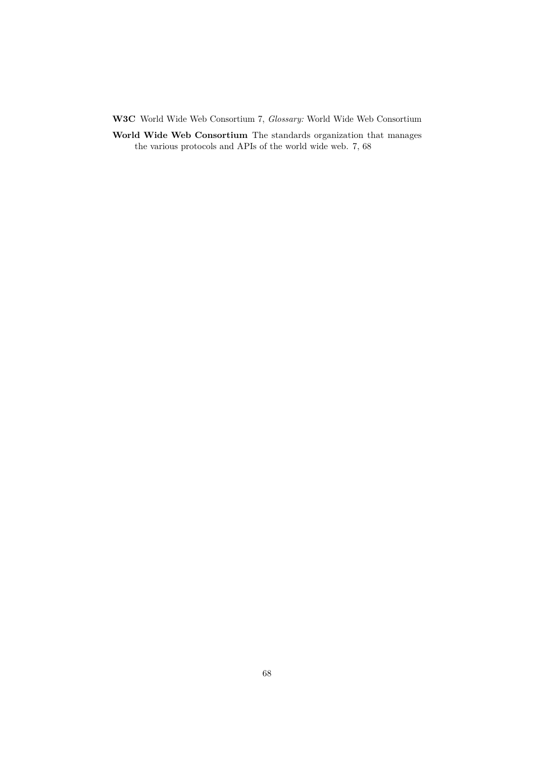**W3C** World Wide Web Consortium 7, *Glossary:* World Wide Web Consortium

**World Wide Web Consortium** The standards organization that manages the various protocols and APIs of the world wide web. 7, 68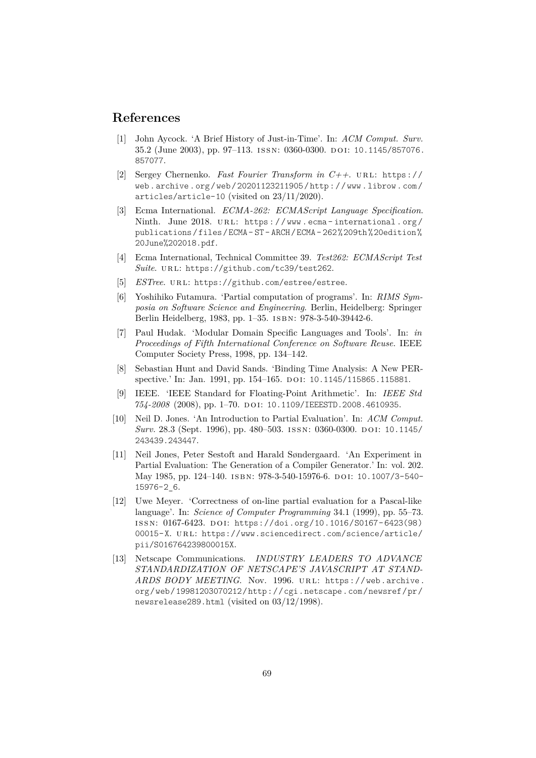## **References**

- <span id="page-69-1"></span>[1] John Aycock. 'A Brief History of Just-in-Time'. In: *ACM Comput. Surv.* 35.2 (June 2003), pp. 97–113. issn: 0360-0300. do i: [10.1145/857076.](https://doi.org/10.1145/857076.857077) [857077](https://doi.org/10.1145/857076.857077).
- <span id="page-69-2"></span>[2] Sergey Chernenko. *Fast Fourier Transform in C++*. ur l: [https://](https://web.archive.org/web/20201123211905/http://www.librow.com/articles/article-10) [web . archive . org / web / 20201123211905 / http : / / www . librow . com /](https://web.archive.org/web/20201123211905/http://www.librow.com/articles/article-10) [articles/article-10](https://web.archive.org/web/20201123211905/http://www.librow.com/articles/article-10) (visited on 23/11/2020).
- [3] Ecma International. *ECMA-262: ECMAScript Language Specification*. Ninth. June 2018. URL: https://www.ecma-international.org/ [publications / files / ECMA - ST - ARCH / ECMA - 262 % 209th % 20edition %](https://www.ecma-international.org/publications/files/ECMA-ST-ARCH/ECMA-262%209th%20edition%20June%202018.pdf) [20June%202018.pdf](https://www.ecma-international.org/publications/files/ECMA-ST-ARCH/ECMA-262%209th%20edition%20June%202018.pdf).
- <span id="page-69-0"></span>[4] Ecma International, Technical Committee 39. *Test262: ECMAScript Test* Suite. URL: <https://github.com/tc39/test262>.
- [5] *ESTree.* URL: <https://github.com/estree/estree>.
- [6] Yoshihiko Futamura. 'Partial computation of programs'. In: *RIMS Symposia on Software Science and Engineering*. Berlin, Heidelberg: Springer Berlin Heidelberg, 1983, pp. 1–35. isbn: 978-3-540-39442-6.
- [7] Paul Hudak. 'Modular Domain Specific Languages and Tools'. In: *in Proceedings of Fifth International Conference on Software Reuse*. IEEE Computer Society Press, 1998, pp. 134–142.
- [8] Sebastian Hunt and David Sands. 'Binding Time Analysis: A New PER-spective.' In: Jan. 1991, pp. 154-165. DOI: [10.1145/115865.115881](https://doi.org/10.1145/115865.115881).
- [9] IEEE. 'IEEE Standard for Floating-Point Arithmetic'. In: *IEEE Std 754-2008* (2008), pp. 1–70. do i: [10.1109/IEEESTD.2008.4610935](https://doi.org/10.1109/IEEESTD.2008.4610935).
- [10] Neil D. Jones. 'An Introduction to Partial Evaluation'. In: *ACM Comput. Surv.* 28.3 (Sept. 1996), pp. 480–503. ISSN: 0360-0300. DOI: [10.1145/](https://doi.org/10.1145/243439.243447) [243439.243447](https://doi.org/10.1145/243439.243447).
- [11] Neil Jones, Peter Sestoft and Harald Søndergaard. 'An Experiment in Partial Evaluation: The Generation of a Compiler Generator.' In: vol. 202. May 1985, pp. 124–140. isbn: 978-3-540-15976-6. do i: [10.1007/3-540-](https://doi.org/10.1007/3-540-15976-2_6) [15976-2\\_6](https://doi.org/10.1007/3-540-15976-2_6).
- [12] Uwe Meyer. 'Correctness of on-line partial evaluation for a Pascal-like language'. In: *Science of Computer Programming* 34.1 (1999), pp. 55–73. issn: 0167-6423. do i: [https://doi.org/10.1016/S0167- 6423\(98\)](https://doi.org/https://doi.org/10.1016/S0167-6423(98)00015-X) [00015-X](https://doi.org/https://doi.org/10.1016/S0167-6423(98)00015-X). URL: [https://www.sciencedirect.com/science/article/](https://www.sciencedirect.com/science/article/pii/S016764239800015X) [pii/S016764239800015X](https://www.sciencedirect.com/science/article/pii/S016764239800015X).
- [13] Netscape Communications. *INDUSTRY LEADERS TO ADVANCE STANDARDIZATION OF NETSCAPE'S JAVASCRIPT AT STAND-ARDS BODY MEETING*. Nov. 1996. URL: [https://web.archive.](https://web.archive.org/web/19981203070212/http://cgi.netscape.com/newsref/pr/newsrelease289.html) [org/web/19981203070212/http://cgi.netscape.com/newsref/pr/](https://web.archive.org/web/19981203070212/http://cgi.netscape.com/newsref/pr/newsrelease289.html) [newsrelease289.html](https://web.archive.org/web/19981203070212/http://cgi.netscape.com/newsref/pr/newsrelease289.html) (visited on 03/12/1998).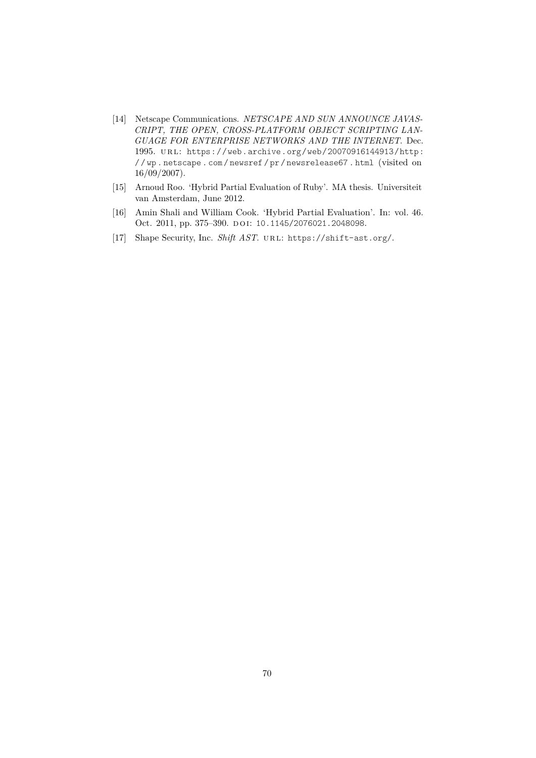- [14] Netscape Communications. *NETSCAPE AND SUN ANNOUNCE JAVAS-CRIPT, THE OPEN, CROSS-PLATFORM OBJECT SCRIPTING LAN-GUAGE FOR ENTERPRISE NETWORKS AND THE INTERNET*. Dec. 1995. ur l: [https://web.archive.org/web/20070916144913/http:](https://web.archive.org/web/20070916144913/http://wp.netscape.com/newsref/pr/newsrelease67.html) [/ / wp . netscape . com / newsref / pr / newsrelease67 . html](https://web.archive.org/web/20070916144913/http://wp.netscape.com/newsref/pr/newsrelease67.html) (visited on 16/09/2007).
- <span id="page-70-0"></span>[15] Arnoud Roo. 'Hybrid Partial Evaluation of Ruby'. MA thesis. Universiteit van Amsterdam, June 2012.
- [16] Amin Shali and William Cook. 'Hybrid Partial Evaluation'. In: vol. 46. Oct. 2011, pp. 375-390. DOI: [10.1145/2076021.2048098](https://doi.org/10.1145/2076021.2048098).
- [17] Shape Security, Inc. *Shift AST*. URL: <https://shift-ast.org/>.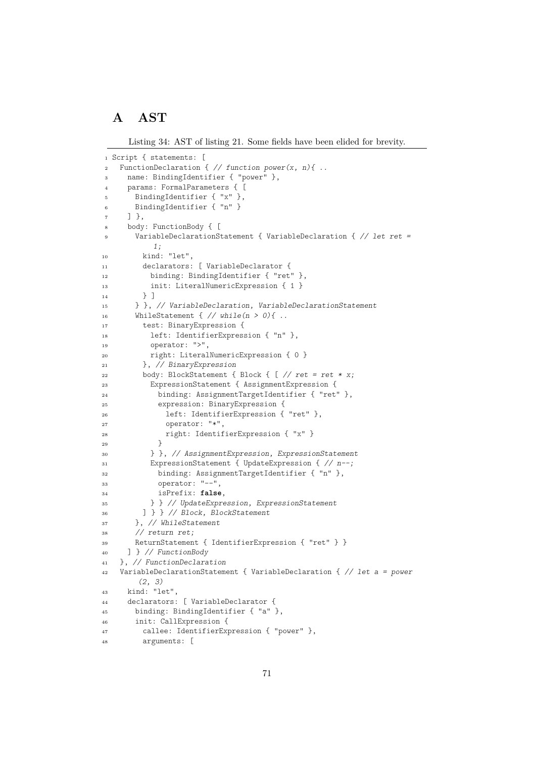# **A AST**

Listing 34: AST of listing [21.](#page-28-0) Some fields have been elided for brevity.

```
1 Script { statements: [
2 FunctionDeclaration { // function power(x, n){ ..
3 name: BindingIdentifier { "power" },
     params: FormalParameters { [
5 BindingIdentifier { "x" },
6 BindingIdentifier { "n" }
7 \quad 1 \},
8 body: FunctionBody { [
9 VariableDeclarationStatement { VariableDeclaration { // let ret =
          1;
10 kind: "let",
11 declarators: [ VariableDeclarator {
12 binding: BindingIdentifier { "ret" },
13 init: LiteralNumericExpression { 1 }
14   } ]
15 } }, // VariableDeclaration, VariableDeclarationStatement
16 WhileStatement \{\n/ while(n > 0){ ..
17 test: BinaryExpression {
18 left: IdentifierExpression { "n" },
19 operator: ">",
20 right: LiteralNumericExpression { 0 }
21 }, // BinaryExpression
22 body: BlockStatement { Block { [ // ret = ret * x;
23 ExpressionStatement { AssignmentExpression {
24 binding: AssignmentTargetIdentifier { "ret" },
25 expression: BinaryExpression {
26 left: IdentifierExpression { "ret" },
27 operator: "*",
28 right: IdentifierExpression { "x" }
29 }
30 } }, // AssignmentExpression, ExpressionStatement
31 ExpressionStatement { UpdateExpression { // n--;
32 binding: AssignmentTargetIdentifier { "n" },
33 operator: "--",
34 isPrefix: false,
35 } } // UpdateExpression, ExpressionStatement
36 ] } } // Block, BlockStatement
37 }, // WhileStatement
38 // return ret;
39 ReturnStatement { IdentifierExpression { "ret" } }
40 ] } // FunctionBody
41 }, // FunctionDeclaration
42 VariableDeclarationStatement { VariableDeclaration { // let a = power
       (2, 3)
43 kind: "let",
44 declarators: [ VariableDeclarator {
45 binding: BindingIdentifier { "a" },
46 init: CallExpression {
47 callee: IdentifierExpression { "power" },
48 arguments: [
```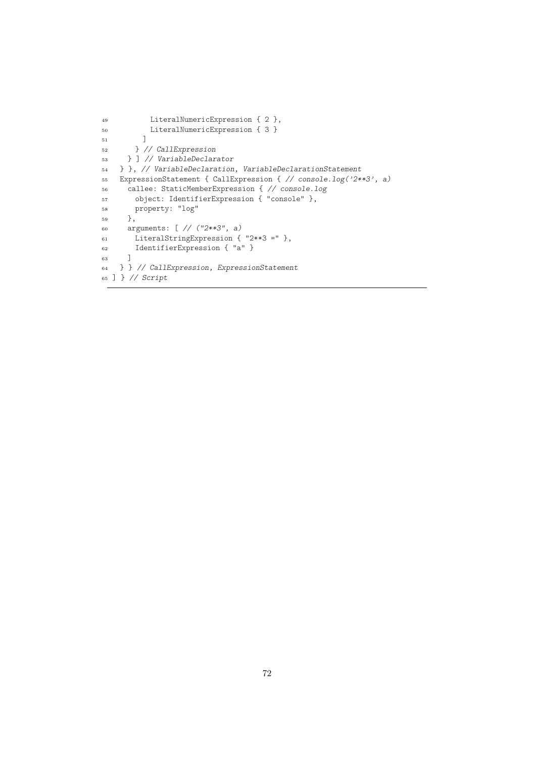```
49 LiteralNumericExpression { 2 },
50 LiteralNumericExpression { 3 }
51 ]
52 } // CallExpression
53 } ] // VariableDeclarator
54 } }, // VariableDeclaration, VariableDeclarationStatement
55 ExpressionStatement { CallExpression { // console.log('2**3', a)
56 callee: StaticMemberExpression { // console.log
57 object: IdentifierExpression { "console" },
58 property: "log"
59 },
60 arguments: [ // ("2**3", a)
61 LiteralStringExpression { "2**3 =" },
62 IdentifierExpression { "a" }
63 ]
64 } } // CallExpression, ExpressionStatement
65 ] } // Script
```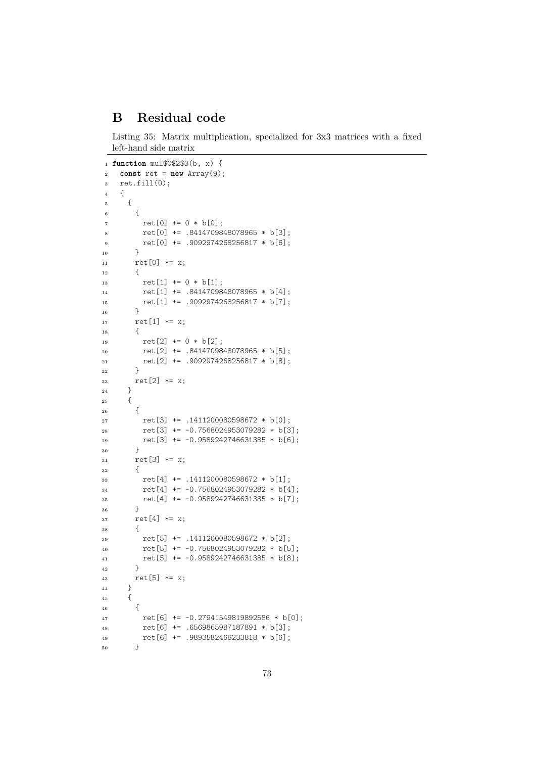## **B Residual code**

Listing 35: Matrix multiplication, specialized for 3x3 matrices with a fixed left-hand side matrix

```
1 function mul$0$2$3(b, x) {
2 const ret = new Array(9);
3 ret.fill(0);
4 {
5 {
6 \qquad \qquad7 \text{ ret}[0] += 0 * b[0];8 ret[0] += .8414709848078965 * b[3];
9 ret[0] += .9092974268256817 * b[6];
10 }
11 ret[0] * = x;12 {
13 ret[1] += 0 * b[1];14 ret[1] += .8414709848078965 * b[4];
15 ret[1] += .9092974268256817 * b[7];
16 }
17 ret[1] * = x;18 		 {
19 ret[2] += 0 * b[2];20 ret[2] += .8414709848078965 * b[5];
21 ret[2] += .9092974268256817 * b[8];<br>22 }
\overline{22}23 ret[2] * = x;<br>24 }
2425 {
26 {
27 ret[3] += .1411200080598672 * b[0];
28 ret [3] += -0.7568024953079282 * b [3];
29 ret [3] += -0.9589242746631385 * b[6];30 }
31 ret [3] * = x;32 {
33 ret[4] += .1411200080598672 * b[1];
34 ret[4] += -0.7568024953079282 * b[4];
35 ret[4] += -0.9589242746631385 * b[7];
36 }
37 ret [4] *= x;
38 {
39 ret[5] += .1411200080598672 * b[2];
40 ret [5] += -0.7568024953079282 * b[5];
41 ret [5] += -0.9589242746631385 * b[8];42 }
43 ret[5] *= x;
\begin{matrix}44 & & \end{matrix}<br>45 {
4546 {
47 ret[6] += -0.27941549819892586 * b[0];
48 ret[6] += .6569865987187891 * b[3];
49 ret[6] += .9893582466233818 * b[6];50 }
```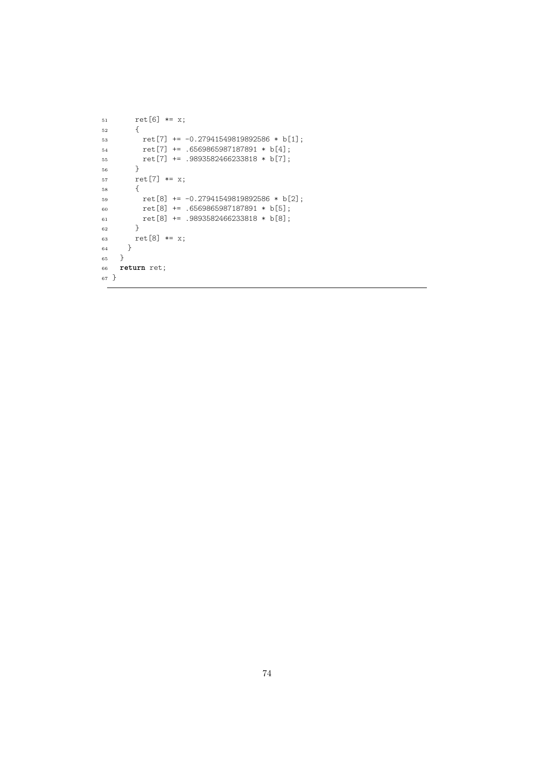```
51 ret[6] *= x;
52 {
53 ret[7] += -0.27941549819892586 * b[1];54 ret[7] += .6569865987187891 * b[4];
55 ret[7] += .9893582466233818 * b[7];<br>56 }
56 }
57 ret[7] * = x;58 {
59 ret[8] += -0.27941549819892586 * b[2];
60 ret[8] += .6569865987187891 * b[5];
61 ret<br/>[8] += .9893582466233818 * b[8]; <br> 62 }
62 }
63 ret[8] *= x;
\left. \begin{array}{c} 64 \\ 65 \end{array} \right\}65\,66 return ret;
67 }
```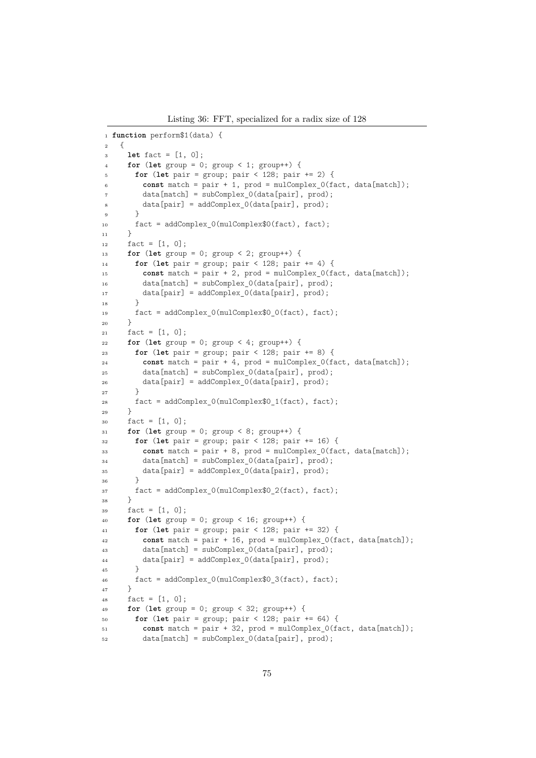Listing 36: FFT, specialized for a radix size of 128

```
1 function perform$1(data) {
2 {
3 let fact = [1, 0];
4 for (let group = 0; group < 1; group++) {
5 for (let pair = group; pair < 128; pair += 2) {
6 const match = pair + 1, prod = mulComplex 0(fact, data[match]);
7 \text{ data}[match] = subComplex 0(data[pair], prod);
         data[pair] = addComplex0(data[pair], prod);9 }
10 fact = addComplex_0(mulComplex$0(fact), fact);11 }
12 fact = [1, 0];13 for (let group = 0; group < 2; group++) {
14 for (let pair = group; pair < 128; pair += 4) {
15 const match = pair + 2, prod = mulComplex_0(fact, data[match]);
16 data[match] = subComplex_0(data[pair], prod);
17 data[pair] = addComplex_0(data[pair], prod);
18 }
19 fact = addComplex_0(mulComplex$0_0(fact), fact);
20 }
21 fact = [1, 0];
22 for (let group = 0; group < 4; group++) {
23 for (let pair = group; pair < 128; pair += 8) {
24 const match = pair + 4, prod = mulComplex 0(fact, data[match]);
25 data[match] = subComplex_0(data[pair], prod);
26 data[pair] = addComplex 0(data[pair], prod);
27 }
28 fact = addComplex_0(mulComplex\0_1(fact), fact);<br>
29
2930 fact = [1, 0];
31 for (let group = 0; group < 8; group++) {
32 for (let pair = group; pair < 128; pair += 16) {
33 const match = pair + 8, prod = mulComplex_0(fact, data[match]);
34 data[match] = subComplex_0(data[pair], prod);
35 data[pair] = addComplex 0(data[pair], prod);
36 }
37 fact = addComplex_0(mulComplex$0_2(fact), fact);
38 }
39 \quad \text{fact} = [1, 0];40 for (let group = 0; group < 16; group++) {
41 for (let pair = group; pair < 128; pair += 32) {
42 const match = pair + 16, prod = mulComplex_0(fact, data[match]);
43 data[match] = subComplex 0(data[pair], prod);
44 data[pair] = addComplex_0(data[pair], prod);
45 }
46 \qquad \qquad fact = addComplex_0(mulComplex$0_3(fact), fact);
47 }
48 \text{fact} = [1, 0];
49 for (let group = 0; group < 32; group++) {
50 for (let pair = group; pair < 128; pair += 64) {
51 const match = pair + 32, prod = mulComplex 0(fact, data[match]);
52 data[match] = subComplex_0(data[pair], prod);
```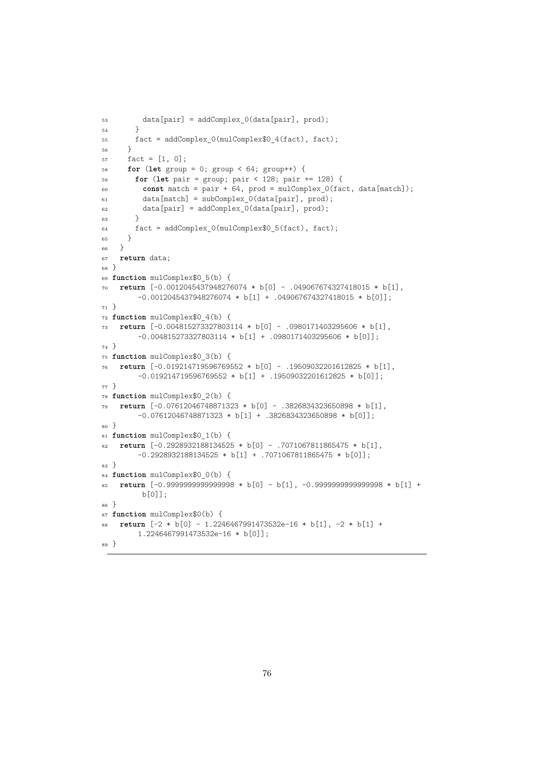```
53 data[pair] = addComplex_0(data[pair], prod);
54 }
55 fact = addComplex 0(mulComplex$0 4(fact), fact);
56 }
57 fact = [1, 0];
58 for (let group = 0; group < 64; group++) {
59 for (let pair = group; pair < 128; pair += 128) {
60 const match = pair + 64, prod = mulComplex_0(fact, data[match]);
61 data[match] = subComplex_0(data[pair], prod);
62 data[pair] = addComplex_0(data[pair], prod);
63 }
64 fact = addComplex_0(mulComplex$0_5(fact), fact);
65 }
66 }
67 return data;
68 }
69 function mulComplex$0_5(b) {
70 return [-0.0012045437948276074 * b[0] - .049067674327418015 * b[1],
        -0.0012045437948276074 * b[1] + .049067674327418015 * b[0]];
71 }
72 function mulComplex$0_4(b) {
73 return [-0.004815273327803114 * b[0] - .0980171403295606 * b[1],
        -0.004815273327803114 * b[1] + .0980171403295606 * b[0]];
74 }
75 function mulComplex$0_3(b) {
76 return [-0.019214719596769552 * b[0] - .19509032201612825 * b[1],
        -0.019214719596769552 * b[1] + .19509032201612825 * b[0]];
77 }
78 function mulComplex$0_2(b) {
79 return [-0.07612046748871323 * b[0] - .3826834323650898 * b[1],
        -0.07612046748871323 * b[1] + .3826834323650898 * b[0]];
80 }
81 function mulComplex$0_1(b) {
82 return [-0.2928932188134525 * b[0] - .7071067811865475 * b[1],
        -0.2928932188134525 * b[1] + .7071067811865475 * b[0]];
83 }
84 function mulComplex$0_0(b) {
85 return [-0.9999999999999998 * b[0] - b[1], -0.9999999999999998 * b[1] +
         b[0]];
86 }
87 function mulComplex$0(b) {
88 return [-2 * b[0] - 1.2246467991473532e-16 * b[1], -2 * b[1] +
        1.2246467991473532e-16 * b[0]];
89 }
```